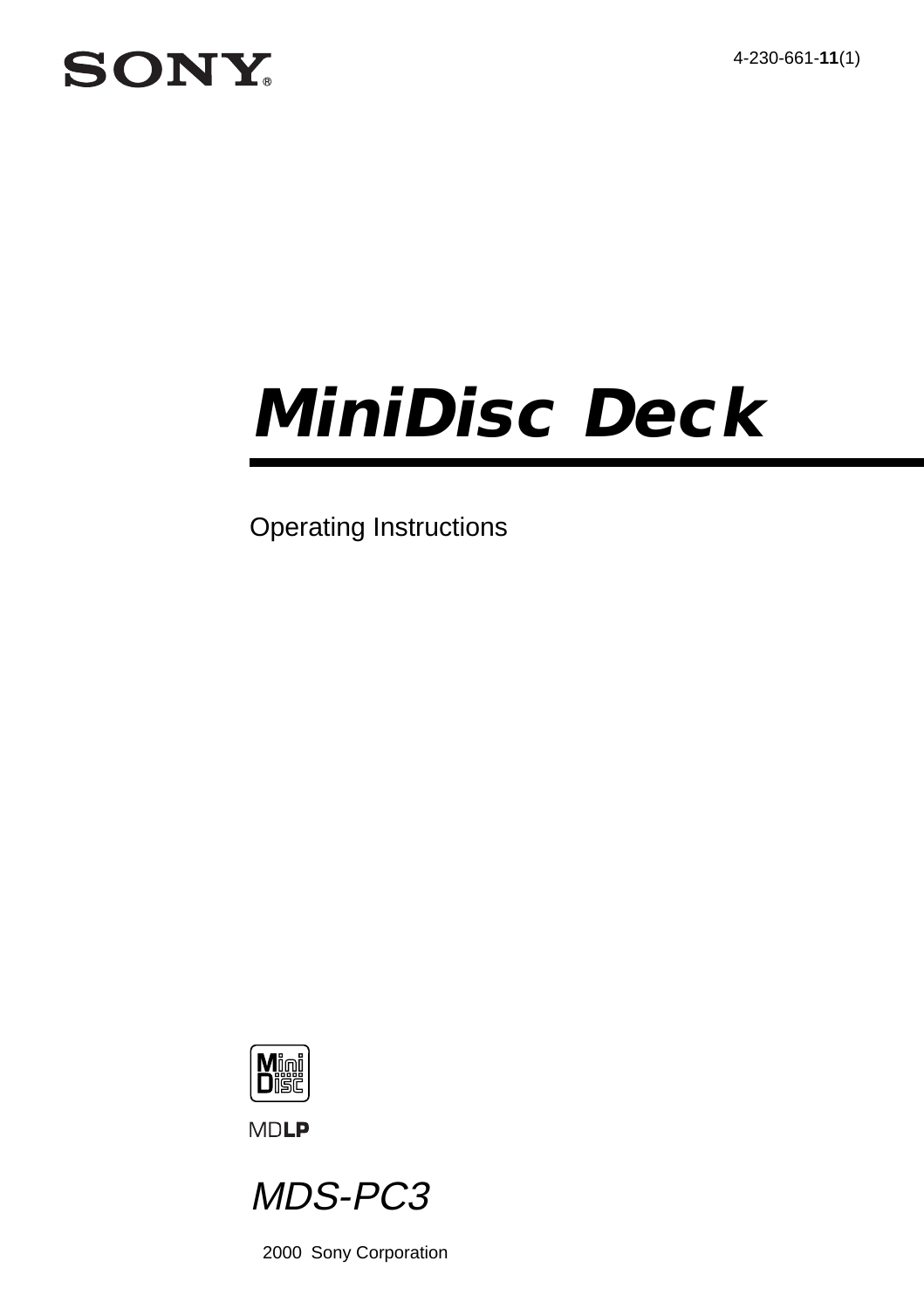4-230-661-**11**(1)

# **SONY**

# **MiniDisc Deck**

Operating Instructions



**MDLP** 



2000 Sony Corporation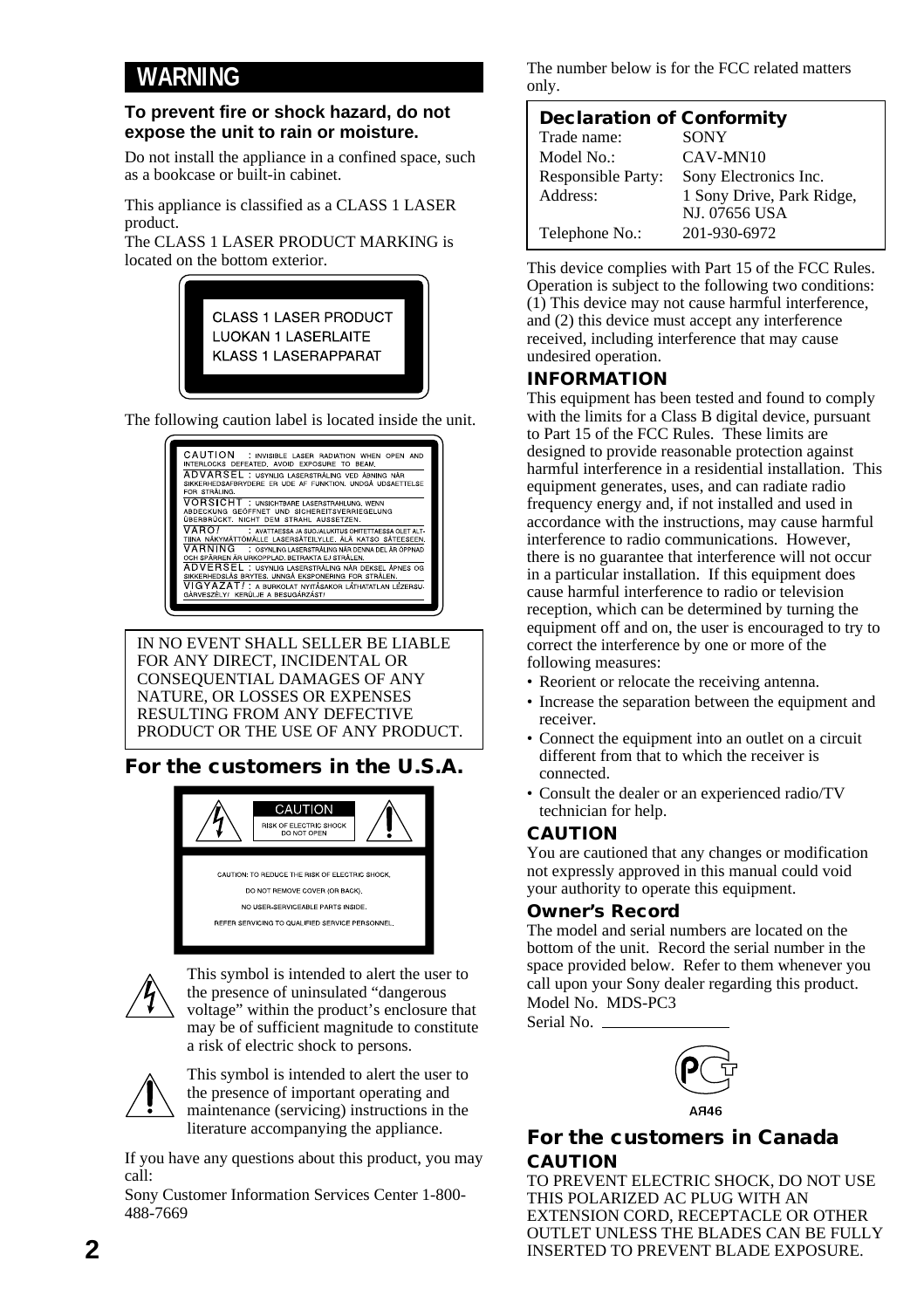#### **WARNING**

#### **To prevent fire or shock hazard, do not expose the unit to rain or moisture.**

Do not install the appliance in a confined space, such as a bookcase or built-in cabinet.

This appliance is classified as a CLASS 1 LASER product.

The CLASS 1 LASER PRODUCT MARKING is located on the bottom exterior.



The following caution label is located inside the unit.



IN NO EVENT SHALL SELLER BE LIABLE FOR ANY DIRECT, INCIDENTAL OR CONSEQUENTIAL DAMAGES OF ANY NATURE, OR LOSSES OR EXPENSES RESULTING FROM ANY DEFECTIVE PRODUCT OR THE USE OF ANY PRODUCT.

#### **For the customers in the U.S.A.**





This symbol is intended to alert the user to the presence of uninsulated "dangerous voltage" within the product's enclosure that may be of sufficient magnitude to constitute a risk of electric shock to persons.



This symbol is intended to alert the user to the presence of important operating and maintenance (servicing) instructions in the literature accompanying the appliance.

If you have any questions about this product, you may call:

Sony Customer Information Services Center 1-800- 488-7669

The number below is for the FCC related matters only.

| <b>Declaration of Conformity</b> |                           |
|----------------------------------|---------------------------|
| Trade name:                      | <b>SONY</b>               |
| Model No.:                       | CAV-MN10                  |
| Responsible Party:               | Sony Electronics Inc.     |
| Address:                         | 1 Sony Drive, Park Ridge, |
|                                  | <b>NJ. 07656 USA</b>      |
| Telephone No.:                   | 201-930-6972              |

This device complies with Part 15 of the FCC Rules. Operation is subject to the following two conditions: (1) This device may not cause harmful interference, and (2) this device must accept any interference received, including interference that may cause undesired operation.

#### **INFORMATION**

This equipment has been tested and found to comply with the limits for a Class B digital device, pursuant to Part 15 of the FCC Rules. These limits are designed to provide reasonable protection against harmful interference in a residential installation. This equipment generates, uses, and can radiate radio frequency energy and, if not installed and used in accordance with the instructions, may cause harmful interference to radio communications. However, there is no guarantee that interference will not occur in a particular installation. If this equipment does cause harmful interference to radio or television reception, which can be determined by turning the equipment off and on, the user is encouraged to try to correct the interference by one or more of the following measures:

- Reorient or relocate the receiving antenna.
- Increase the separation between the equipment and receiver.
- Connect the equipment into an outlet on a circuit different from that to which the receiver is connected.
- Consult the dealer or an experienced radio/TV technician for help.

#### **CAUTION**

You are cautioned that any changes or modification not expressly approved in this manual could void your authority to operate this equipment.

#### **Owner's Record**

The model and serial numbers are located on the bottom of the unit. Record the serial number in the space provided below. Refer to them whenever you call upon your Sony dealer regarding this product. Model No. MDS-PC3

Serial No.



#### **For the customers in Canada CAUTION**

TO PREVENT ELECTRIC SHOCK, DO NOT USE THIS POLARIZED AC PLUG WITH AN EXTENSION CORD, RECEPTACLE OR OTHER OUTLET UNLESS THE BLADES CAN BE FULLY INSERTED TO PREVENT BLADE EXPOSURE.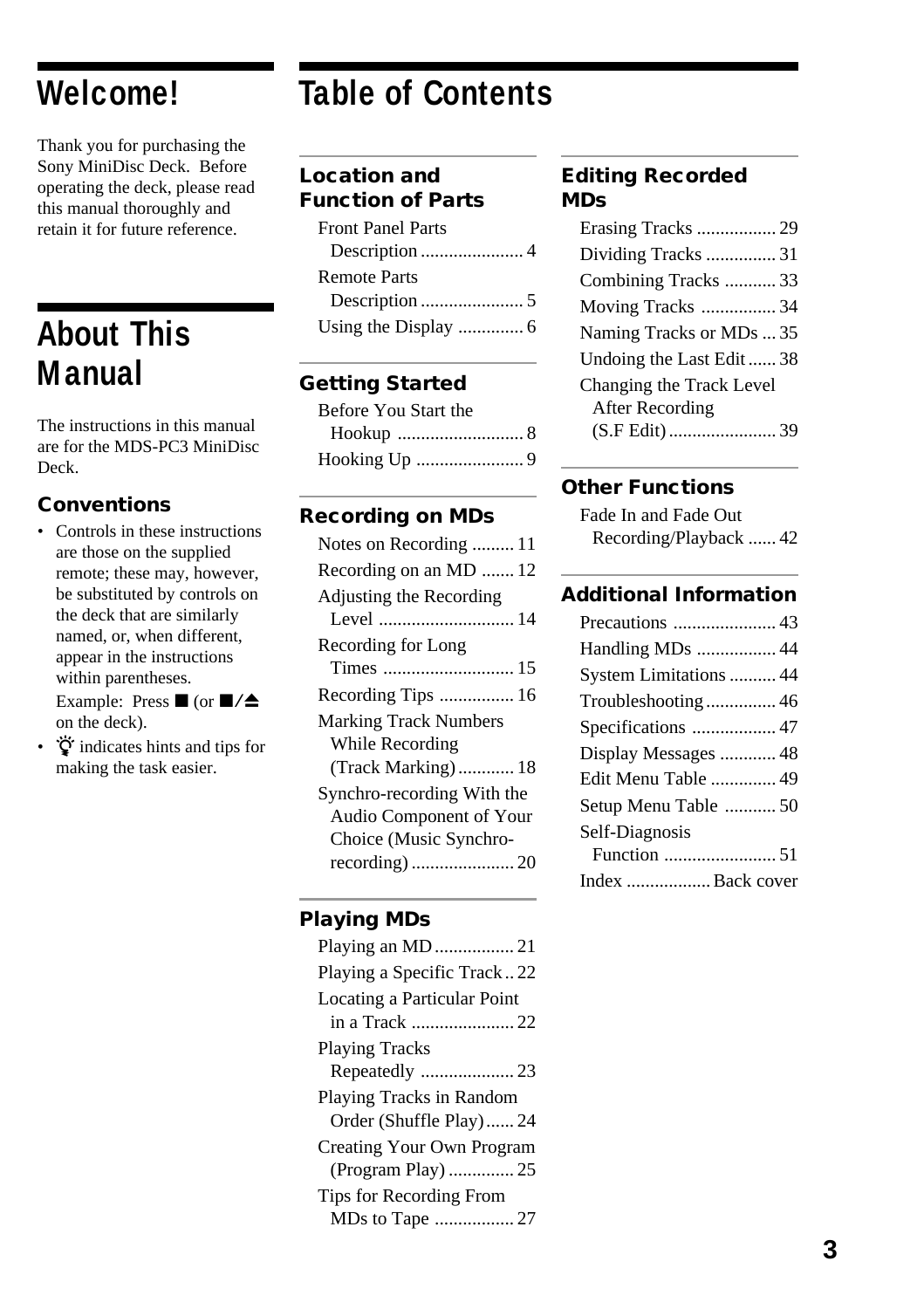## **Welcome!**

Thank you for purchasing the Sony MiniDisc Deck. Before operating the deck, please read this manual thoroughly and retain it for future reference.

# **About This Manual**

The instructions in this manual are for the MDS-PC3 MiniDisc Deck.

#### **Conventions**

- Controls in these instructions are those on the supplied remote; these may, however, be substituted by controls on the deck that are similarly named, or, when different, appear in the instructions within parentheses. Example: Press  $\blacksquare$  (or  $\blacksquare/\spadesuit$ on the deck).
- $\ddot{Q}$  indicates hints and tips for making the task easier.

# **Table of Contents**

#### **Location and Function of Parts**

| <b>Front Panel Parts</b> |
|--------------------------|
|                          |
| <b>Remote Parts</b>      |
|                          |
|                          |

#### **Getting Started**

| Before You Start the |  |
|----------------------|--|
|                      |  |
|                      |  |

#### **Recording on MDs**

| Notes on Recording  11       |
|------------------------------|
| Recording on an MD  12       |
| Adjusting the Recording      |
|                              |
| Recording for Long           |
|                              |
|                              |
| <b>Marking Track Numbers</b> |
| While Recording              |
| (Track Marking) 18           |
| Synchro-recording With the   |
| Audio Component of Your      |
| Choice (Music Synchro-       |
|                              |
|                              |

#### **Playing MDs**

| Playing a Specific Track22<br>Locating a Particular Point<br><b>Playing Tracks</b><br>Playing Tracks in Random<br>Order (Shuffle Play) 24<br>Creating Your Own Program<br>Tips for Recording From |  |
|---------------------------------------------------------------------------------------------------------------------------------------------------------------------------------------------------|--|
|                                                                                                                                                                                                   |  |
|                                                                                                                                                                                                   |  |
|                                                                                                                                                                                                   |  |
|                                                                                                                                                                                                   |  |
|                                                                                                                                                                                                   |  |
|                                                                                                                                                                                                   |  |
|                                                                                                                                                                                                   |  |
|                                                                                                                                                                                                   |  |
|                                                                                                                                                                                                   |  |
|                                                                                                                                                                                                   |  |
|                                                                                                                                                                                                   |  |

#### **Editing Recorded MDs**

| Erasing Tracks  29       |
|--------------------------|
| Dividing Tracks  31      |
| Combining Tracks  33     |
| Moving Tracks  34        |
| Naming Tracks or MDs  35 |
| Undoing the Last Edit 38 |
| Changing the Track Level |
| After Recording          |
|                          |
|                          |

#### **Other Functions**

| Fade In and Fade Out   |  |
|------------------------|--|
| Recording/Playback  42 |  |

#### **Additional Information**

| Handling MDs  44       |
|------------------------|
| System Limitations  44 |
| Troubleshooting 46     |
| Specifications  47     |
| Display Messages  48   |
| Edit Menu Table  49    |
| Setup Menu Table  50   |
| Self-Diagnosis         |
|                        |
|                        |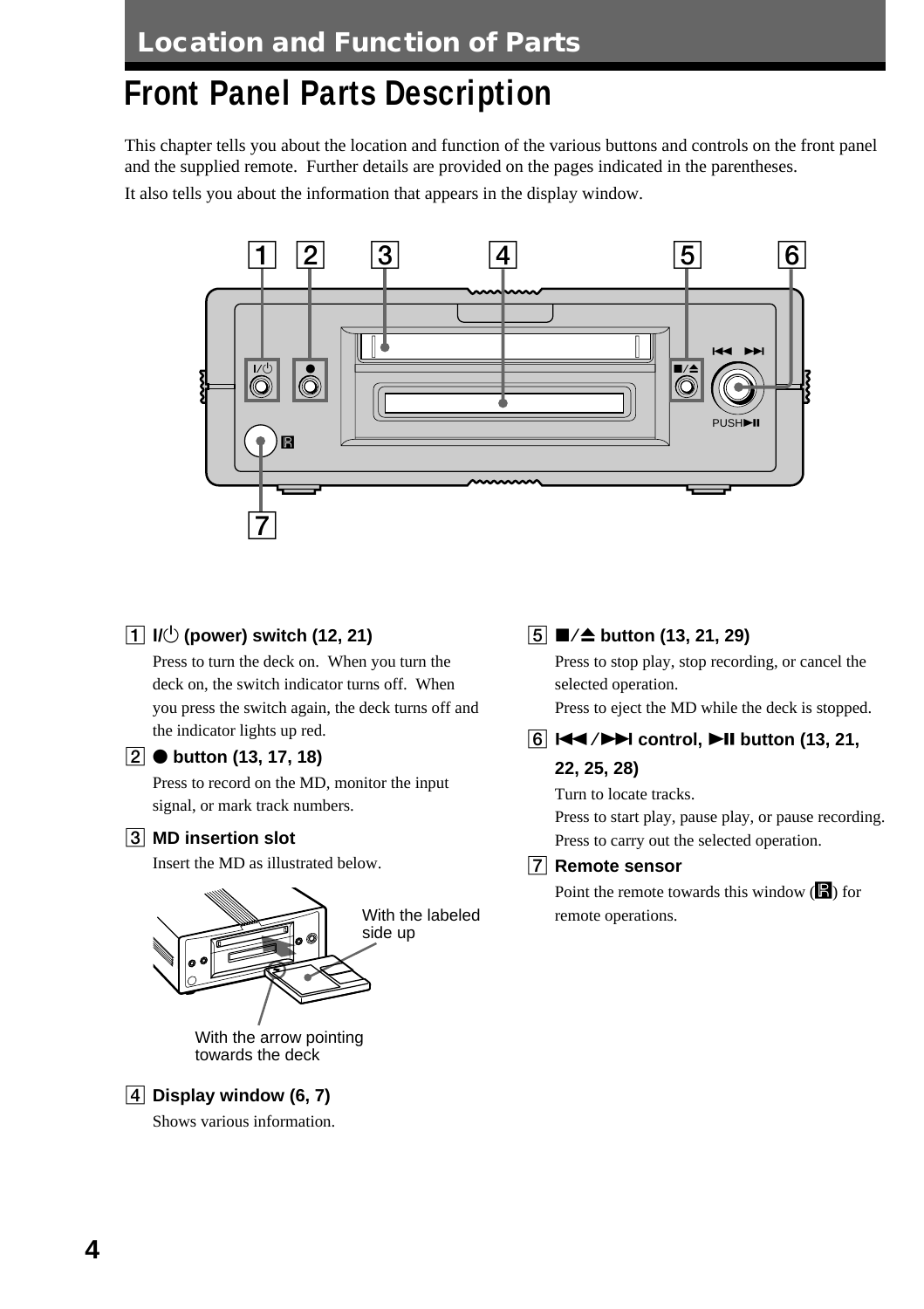# **Front Panel Parts Description**

This chapter tells you about the location and function of the various buttons and controls on the front panel and the supplied remote. Further details are provided on the pages indicated in the parentheses.

It also tells you about the information that appears in the display window.



#### 1 ?**/**1 **(power) switch (12, 21)**

Press to turn the deck on. When you turn the deck on, the switch indicator turns off. When you press the switch again, the deck turns off and the indicator lights up red.

#### **2** ● button (13, 17, 18)

Press to record on the MD, monitor the input signal, or mark track numbers.

#### 3 **MD insertion slot**

Insert the MD as illustrated below.



towards the deck

#### 4 **Display window (6, 7)**

Shows various information.

#### 5 x/Z **button (13, 21, 29)**

Press to stop play, stop recording, or cancel the selected operation.

Press to eject the MD while the deck is stopped.

#### **6**  $\blacktriangleright$  **Extrinsi** control,  $\blacktriangleright$  **II** button (13, 21,

#### **22, 25, 28)**

Turn to locate tracks.

Press to start play, pause play, or pause recording. Press to carry out the selected operation.

#### 7 **Remote sensor**

Point the remote towards this window  $(\blacksquare)$  for With the labeled remote operations.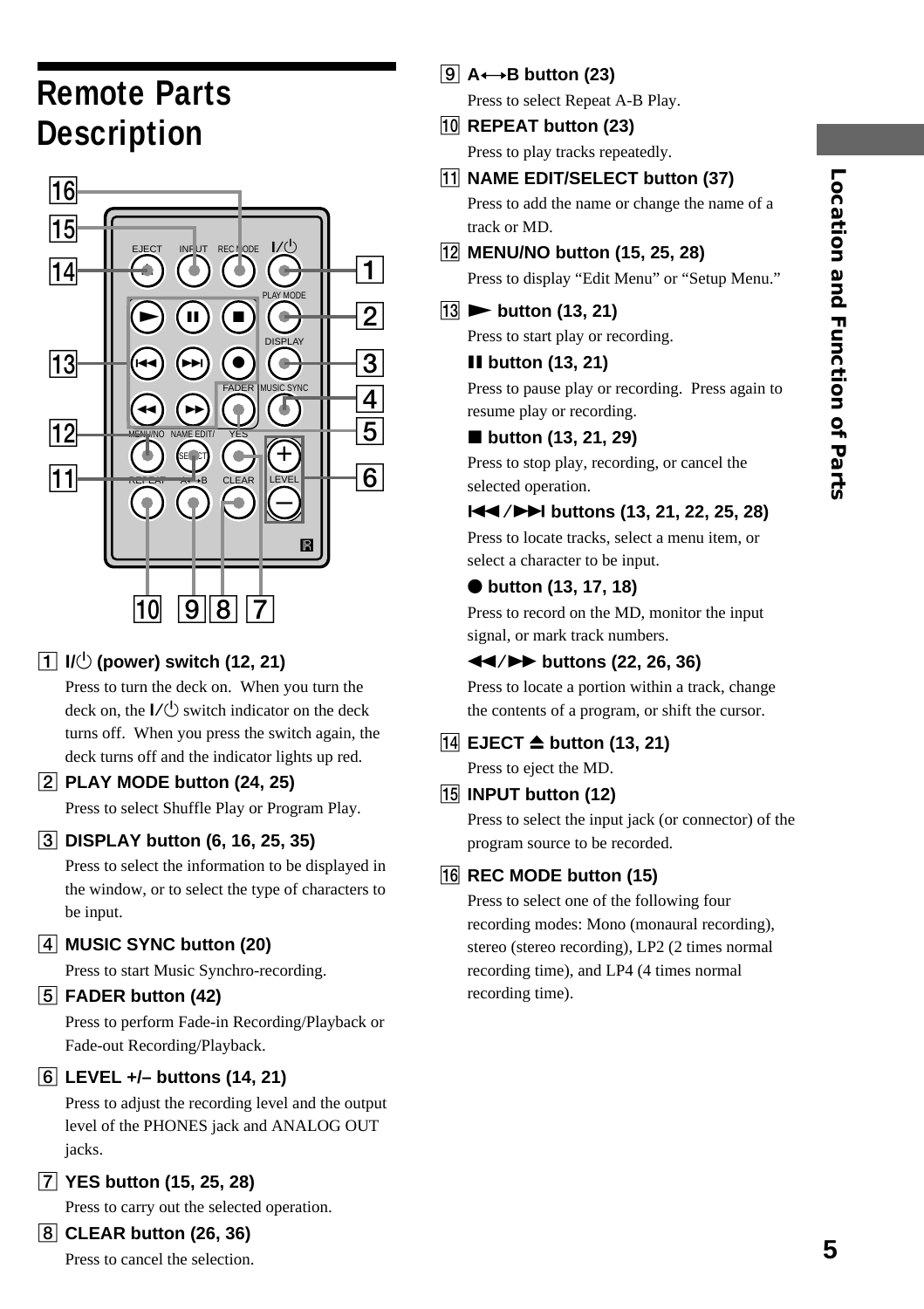# **5Location and Function of Parts Location and Function of Parts**

# **Remote Parts Description**



#### 1 ?**/**1 **(power) switch (12, 21)**

Press to turn the deck on. When you turn the deck on, the  $I/(1)$  switch indicator on the deck turns off. When you press the switch again, the deck turns off and the indicator lights up red.

#### 2 **PLAY MODE button (24, 25)**

Press to select Shuffle Play or Program Play.

#### 3 **DISPLAY button (6, 16, 25, 35)**

Press to select the information to be displayed in the window, or to select the type of characters to be input.

#### 4 **MUSIC SYNC button (20)**

Press to start Music Synchro-recording.

#### 5 **FADER button (42)**

Press to perform Fade-in Recording/Playback or Fade-out Recording/Playback.

#### 6 **LEVEL +/– buttons (14, 21)**

Press to adjust the recording level and the output level of the PHONES jack and ANALOG OUT jacks.

7 **YES button (15, 25, 28)**

Press to carry out the selected operation.

#### 8 **CLEAR button (26, 36)**

Press to cancel the selection.

#### 9 **A**y**B button (23)**

Press to select Repeat A-B Play.

0 **REPEAT button (23)** Press to play tracks repeatedly.

#### **11 NAME EDIT/SELECT button (37)**

Press to add the name or change the name of a track or MD.

#### qs **MENU/NO button (15, 25, 28)**

Press to display "Edit Menu" or "Setup Menu."

13 ► button (13, 21)

Press to start play or recording.

#### *II* button (13, 21)

Press to pause play or recording. Press again to resume play or recording.

#### ■ button (13, 21, 29)

Press to stop play, recording, or cancel the selected operation.

#### $\blacktriangleright\blacktriangleleft$  **/**  $\blacktriangleright\blacktriangleright\blacktriangleright$  **buttons (13, 21, 22, 25, 28)**

Press to locate tracks, select a menu item, or select a character to be input.

#### ● button (13, 17, 18)

Press to record on the MD, monitor the input signal, or mark track numbers.

#### m/M **buttons (22, 26, 36)**

Press to locate a portion within a track, change the contents of a program, or shift the cursor.

#### qf **EJECT** Z **button (13, 21)**

Press to eject the MD.

#### qg **INPUT button (12)**

Press to select the input jack (or connector) of the program source to be recorded.

#### 16 REC MODE button (15)

Press to select one of the following four recording modes: Mono (monaural recording), stereo (stereo recording), LP2 (2 times normal recording time), and LP4 (4 times normal recording time).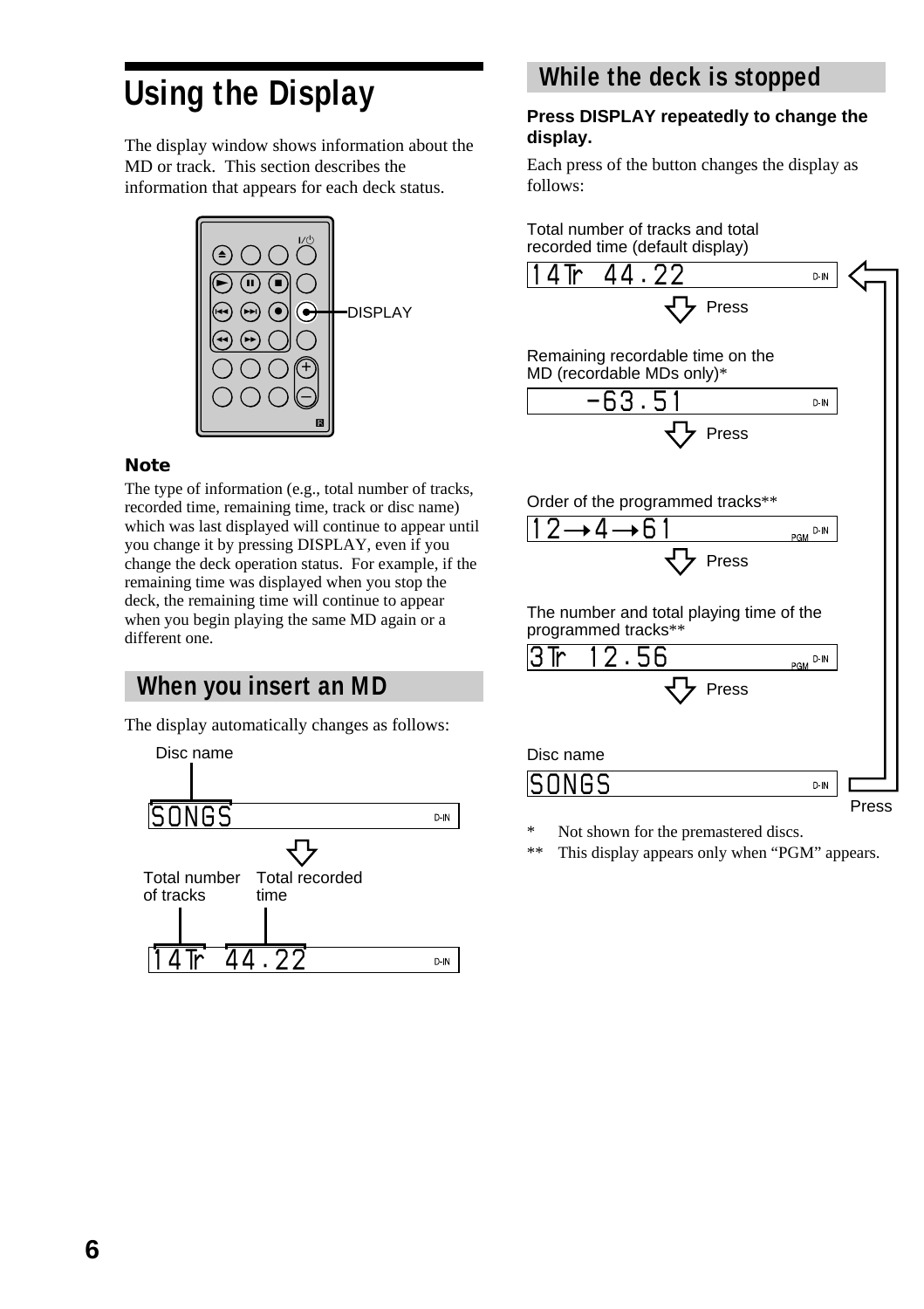# **Using the Display**

The display window shows information about the MD or track. This section describes the information that appears for each deck status.



#### **Note**

The type of information (e.g., total number of tracks, recorded time, remaining time, track or disc name) which was last displayed will continue to appear until you change it by pressing DISPLAY, even if you change the deck operation status. For example, if the remaining time was displayed when you stop the deck, the remaining time will continue to appear when you begin playing the same MD again or a different one.

#### **When you insert an MD**

The display automatically changes as follows:



#### **While the deck is stopped**

#### **Press DISPLAY repeatedly to change the display.**

Each press of the button changes the display as follows:





\* Not shown for the premastered discs.<br>\*\* This display appears only when "PG!"

This display appears only when "PGM" appears.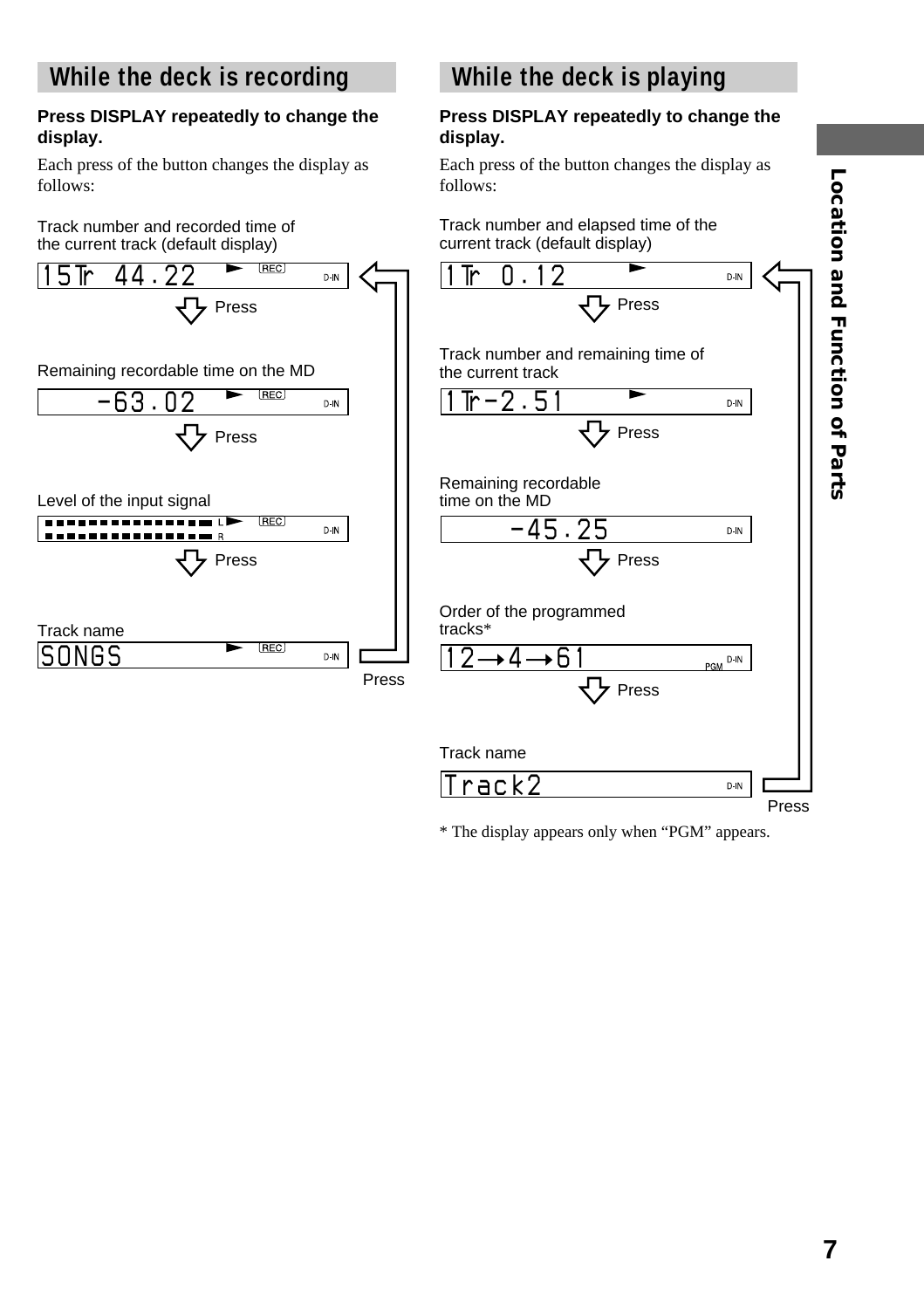#### **While the deck is recording**

#### **Press DISPLAY repeatedly to change the display.**

Each press of the button changes the display as follows:





### **While the deck is playing**

#### **Press DISPLAY repeatedly to change the display.**

Each press of the button changes the display as follows:

Track number and elapsed time of the current track (default display)



\* The display appears only when "PGM" appears.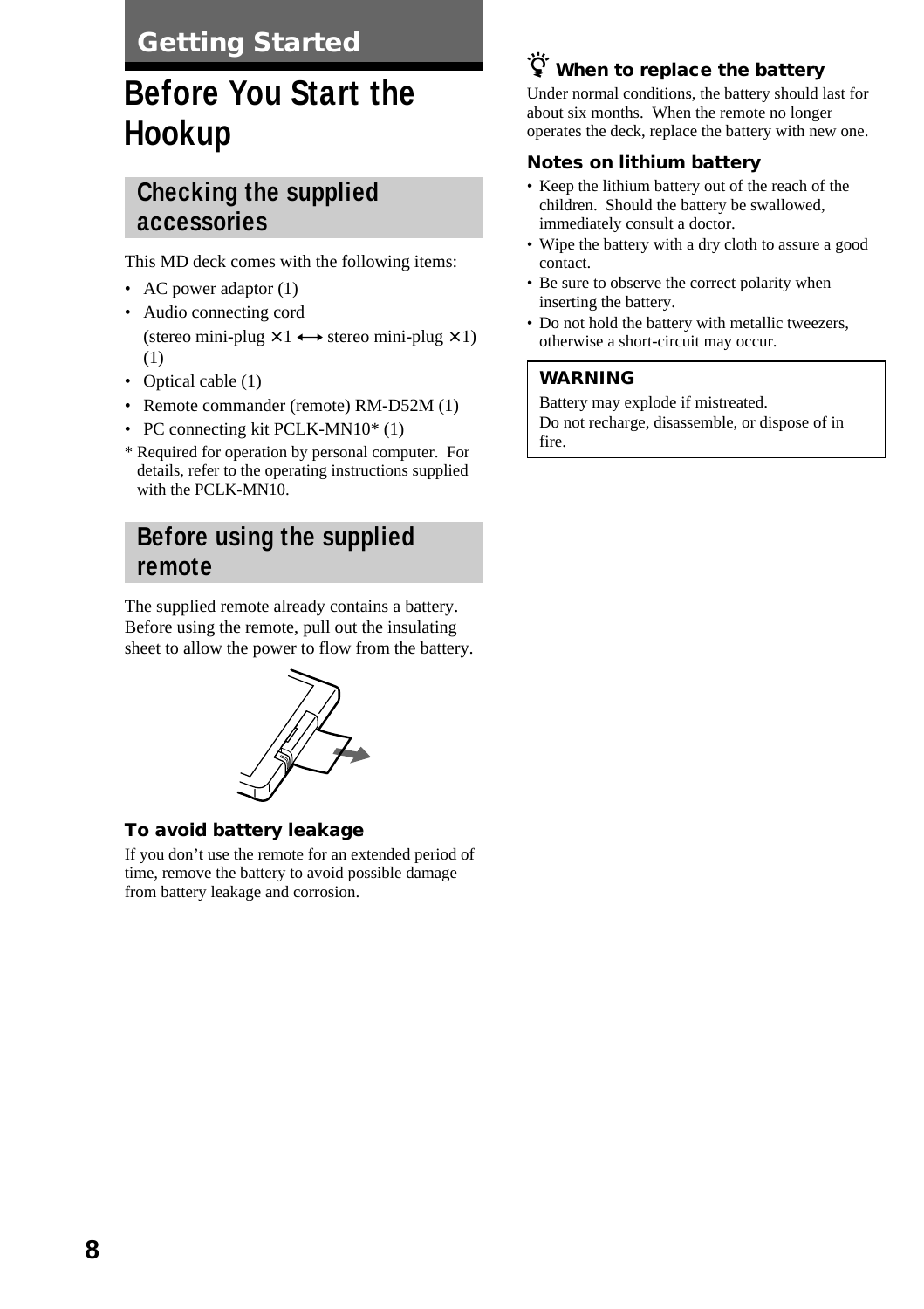#### **Getting Started**

# **Before You Start the Hookup**

#### **Checking the supplied accessories**

This MD deck comes with the following items:

- AC power adaptor  $(1)$
- Audio connecting cord (stereo mini-plug  $\times$  1  $\leftrightarrow$  stereo mini-plug  $\times$  1) (1)
- Optical cable (1)
- Remote commander (remote) RM-D52M (1)
- PC connecting kit PCLK-MN10\* (1)
- \* Required for operation by personal computer. For details, refer to the operating instructions supplied with the PCLK-MN10.

#### **Before using the supplied remote**

The supplied remote already contains a battery. Before using the remote, pull out the insulating sheet to allow the power to flow from the battery.



#### **To avoid battery leakage**

If you don't use the remote for an extended period of time, remove the battery to avoid possible damage from battery leakage and corrosion.

#### z **When to replace the battery**

Under normal conditions, the battery should last for about six months. When the remote no longer operates the deck, replace the battery with new one.

#### **Notes on lithium battery**

- Keep the lithium battery out of the reach of the children. Should the battery be swallowed, immediately consult a doctor.
- Wipe the battery with a dry cloth to assure a good contact.
- Be sure to observe the correct polarity when inserting the battery.
- Do not hold the battery with metallic tweezers, otherwise a short-circuit may occur.

#### **WARNING**

Battery may explode if mistreated. Do not recharge, disassemble, or dispose of in fire.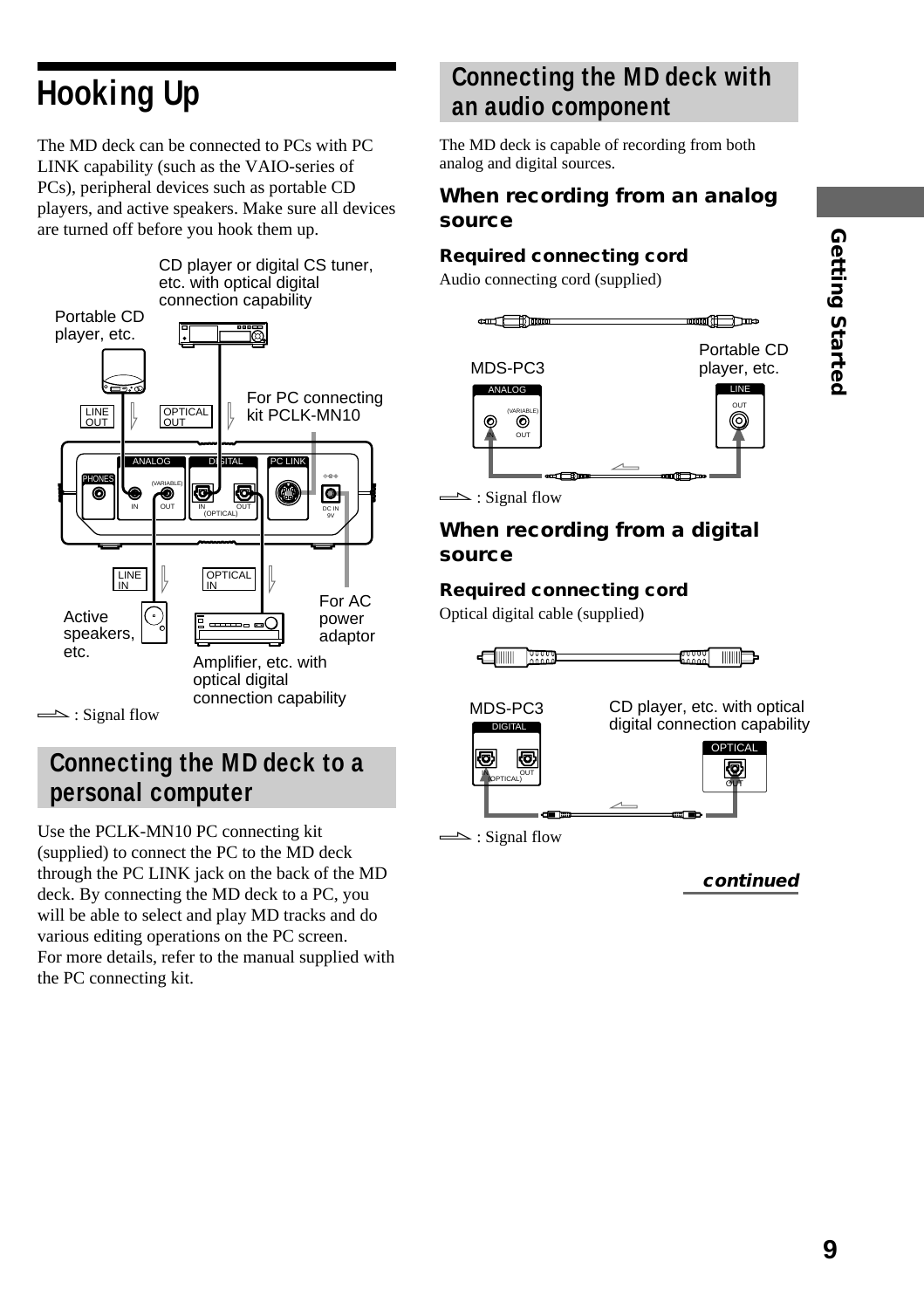# **Hooking Up**

The MD deck can be connected to PCs with PC LINK capability (such as the VAIO-series of PCs), peripheral devices such as portable CD players, and active speakers. Make sure all devices are turned off before you hook them up.



#### **Connecting the MD deck to a personal computer**

Use the PCLK-MN10 PC connecting kit (supplied) to connect the PC to the MD deck through the PC LINK jack on the back of the MD deck. By connecting the MD deck to a PC, you will be able to select and play MD tracks and do various editing operations on the PC screen. For more details, refer to the manual supplied with the PC connecting kit.

#### **Connecting the MD deck with an audio component**

The MD deck is capable of recording from both analog and digital sources.

#### **When recording from an analog source**

#### **Required connecting cord**

Audio connecting cord (supplied)



Portable CD

 $\implies$ : Signal flow

#### **When recording from a digital source**

#### **Required connecting cord**

Optical digital cable (supplied)

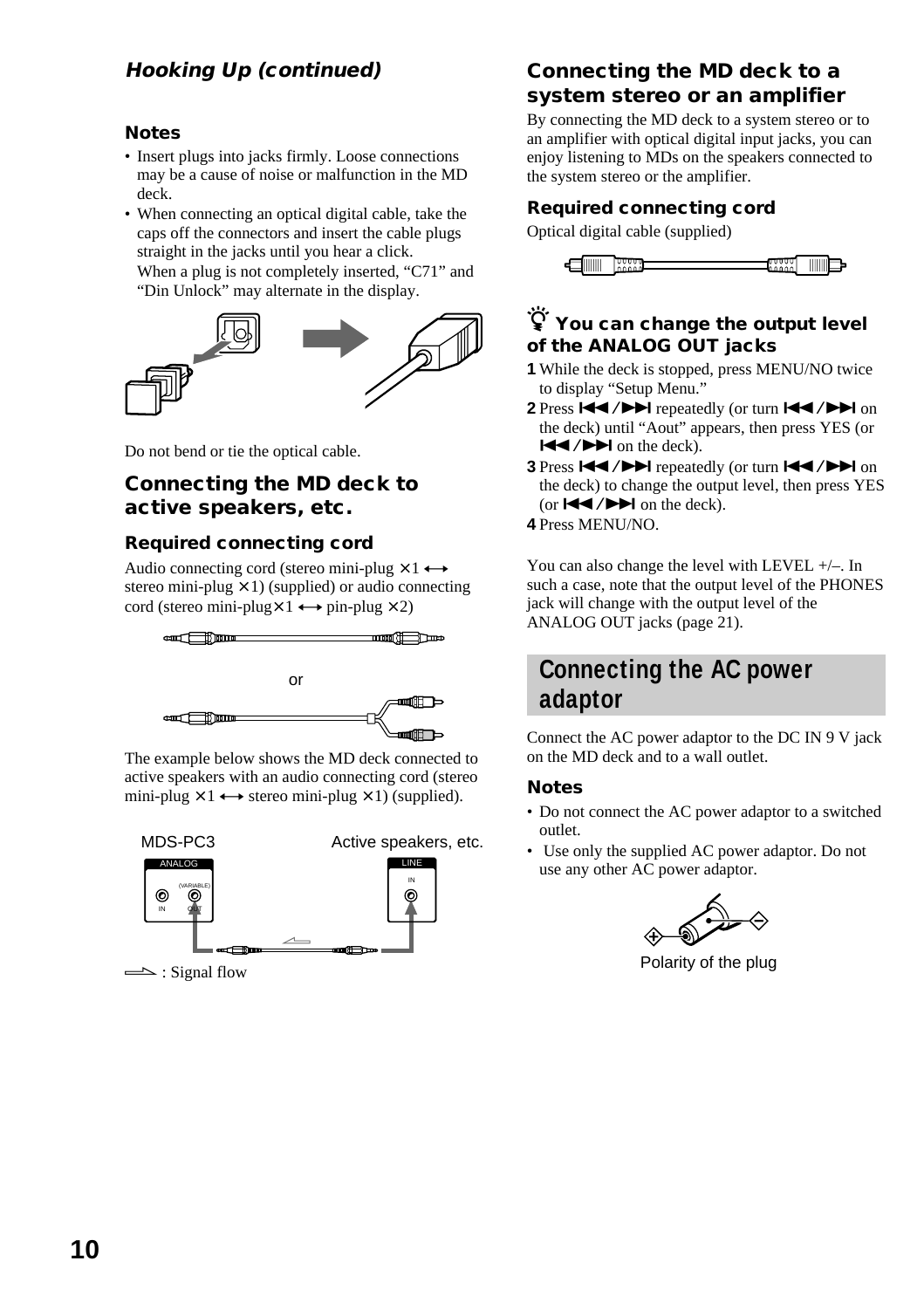#### **Hooking Up (continued)**

#### **Notes**

- Insert plugs into jacks firmly. Loose connections may be a cause of noise or malfunction in the MD deck.
- When connecting an optical digital cable, take the caps off the connectors and insert the cable plugs straight in the jacks until you hear a click. When a plug is not completely inserted, "C71" and "Din Unlock" may alternate in the display.



Do not bend or tie the optical cable.

#### **Connecting the MD deck to active speakers, etc.**

#### **Required connecting cord**

Audio connecting cord (stereo mini-plug  $\times$  1  $\leftrightarrow$ stereo mini-plug  $\times$  1) (supplied) or audio connecting cord (stereo mini-plug $\times$  1  $\leftrightarrow$  pin-plug  $\times$  2)



The example below shows the MD deck connected to active speakers with an audio connecting cord (stereo mini-plug  $\times$  1  $\leftrightarrow$  stereo mini-plug  $\times$  1) (supplied).



 $\implies$ : Signal flow

#### **Connecting the MD deck to a system stereo or an amplifier**

By connecting the MD deck to a system stereo or to an amplifier with optical digital input jacks, you can enjoy listening to MDs on the speakers connected to the system stereo or the amplifier.

#### **Required connecting cord**

Optical digital cable (supplied)



#### $\ddot{\mathbf{\hat{Y}}}$  You can change the output level **of the ANALOG OUT jacks**

- **1** While the deck is stopped, press MENU/NO twice to display "Setup Menu."
- 2 Press  $\left|\frac{1}{2}\right|$  **Press**  $\left|\frac{1}{2}\right|$  repeatedly (or turn  $\left|\frac{1}{2}\right|$  /**>** on the deck) until "Aout" appears, then press YES (or  $\blacktriangleright$   $\blacktriangleright$   $\blacktriangleright$  on the deck).
- **3** Press  $\left|\frac{1}{2}\right|$  **PH** repeatedly (or turn  $\left|\frac{1}{2}\right|$  **PH** on the deck) to change the output level, then press YES (or  $\blacktriangleright$   $\blacktriangleright$   $\blacktriangleright$   $\blacktriangleright$  on the deck).
- **4** Press MENU/NO.

You can also change the level with LEVEL +/–. In such a case, note that the output level of the PHONES jack will change with the output level of the ANALOG OUT jacks (page 21).

#### **Connecting the AC power adaptor**

Connect the AC power adaptor to the DC IN 9 V jack on the MD deck and to a wall outlet.

#### **Notes**

- Do not connect the AC power adaptor to a switched outlet.
- Use only the supplied AC power adaptor. Do not use any other AC power adaptor.



Polarity of the plug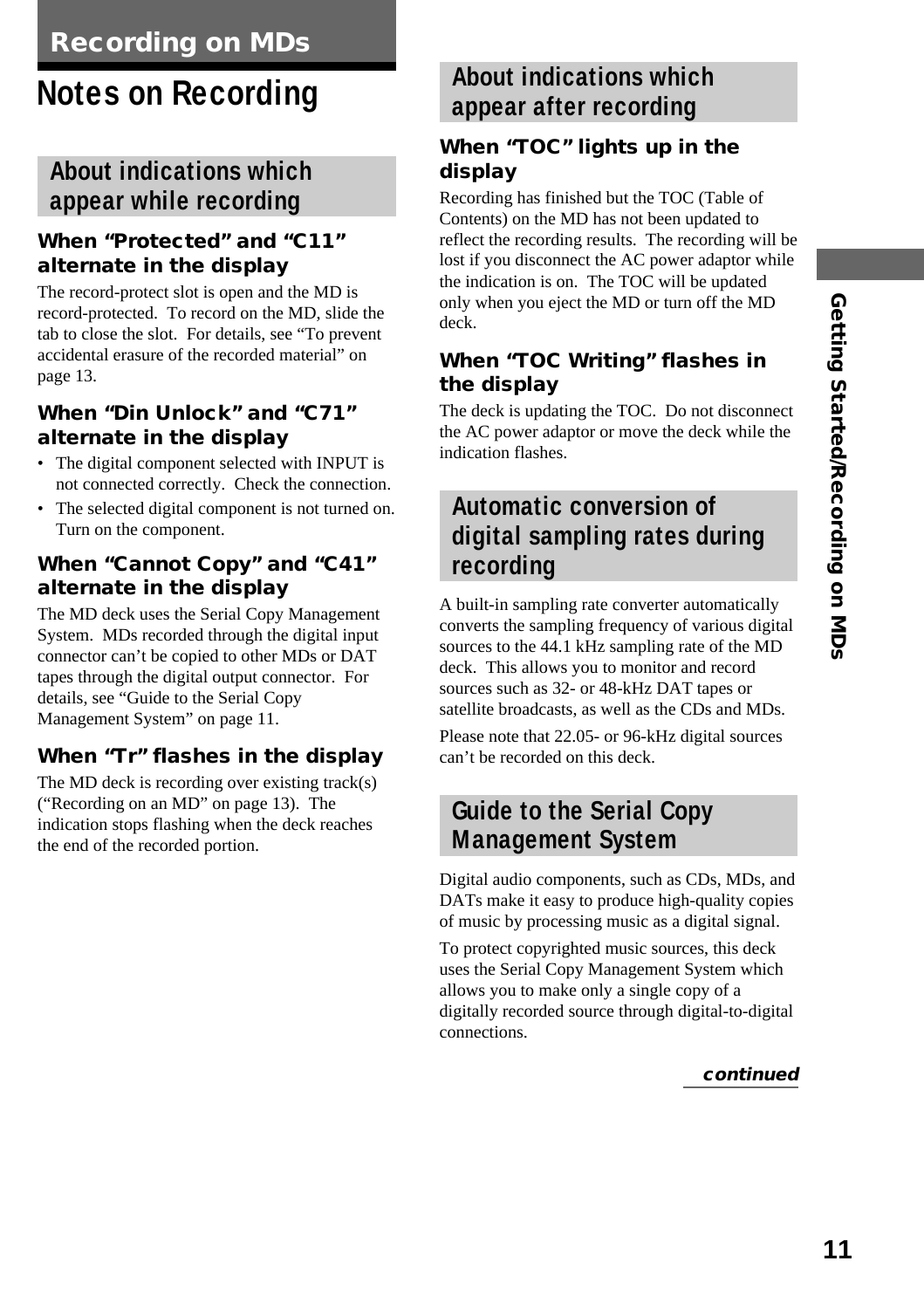# **Notes on Recording**

#### **About indications which appear while recording**

#### **When "Protected" and "C11" alternate in the display**

The record-protect slot is open and the MD is record-protected. To record on the MD, slide the tab to close the slot. For details, see "To prevent accidental erasure of the recorded material" on page 13.

#### **When "Din Unlock" and "C71" alternate in the display**

- The digital component selected with INPUT is not connected correctly. Check the connection.
- The selected digital component is not turned on. Turn on the component.

#### **When "Cannot Copy" and "C41" alternate in the display**

The MD deck uses the Serial Copy Management System. MDs recorded through the digital input connector can't be copied to other MDs or DAT tapes through the digital output connector. For details, see "Guide to the Serial Copy Management System" on page 11.

#### **When "Tr" flashes in the display**

The MD deck is recording over existing track(s) ("Recording on an MD" on page 13). The indication stops flashing when the deck reaches the end of the recorded portion.

#### **About indications which appear after recording**

#### **When "TOC" lights up in the display**

Recording has finished but the TOC (Table of Contents) on the MD has not been updated to reflect the recording results. The recording will be lost if you disconnect the AC power adaptor while the indication is on. The TOC will be updated only when you eject the MD or turn off the MD deck.

#### **When "TOC Writing" flashes in the display**

The deck is updating the TOC. Do not disconnect the AC power adaptor or move the deck while the indication flashes.

#### **Automatic conversion of digital sampling rates during recording**

A built-in sampling rate converter automatically converts the sampling frequency of various digital sources to the 44.1 kHz sampling rate of the MD deck. This allows you to monitor and record sources such as 32- or 48-kHz DAT tapes or satellite broadcasts, as well as the CDs and MDs. Please note that 22.05- or 96-kHz digital sources can't be recorded on this deck.

#### **Guide to the Serial Copy Management System**

Digital audio components, such as CDs, MDs, and DATs make it easy to produce high-quality copies of music by processing music as a digital signal.

To protect copyrighted music sources, this deck uses the Serial Copy Management System which allows you to make only a single copy of a digitally recorded source through digital-to-digital connections.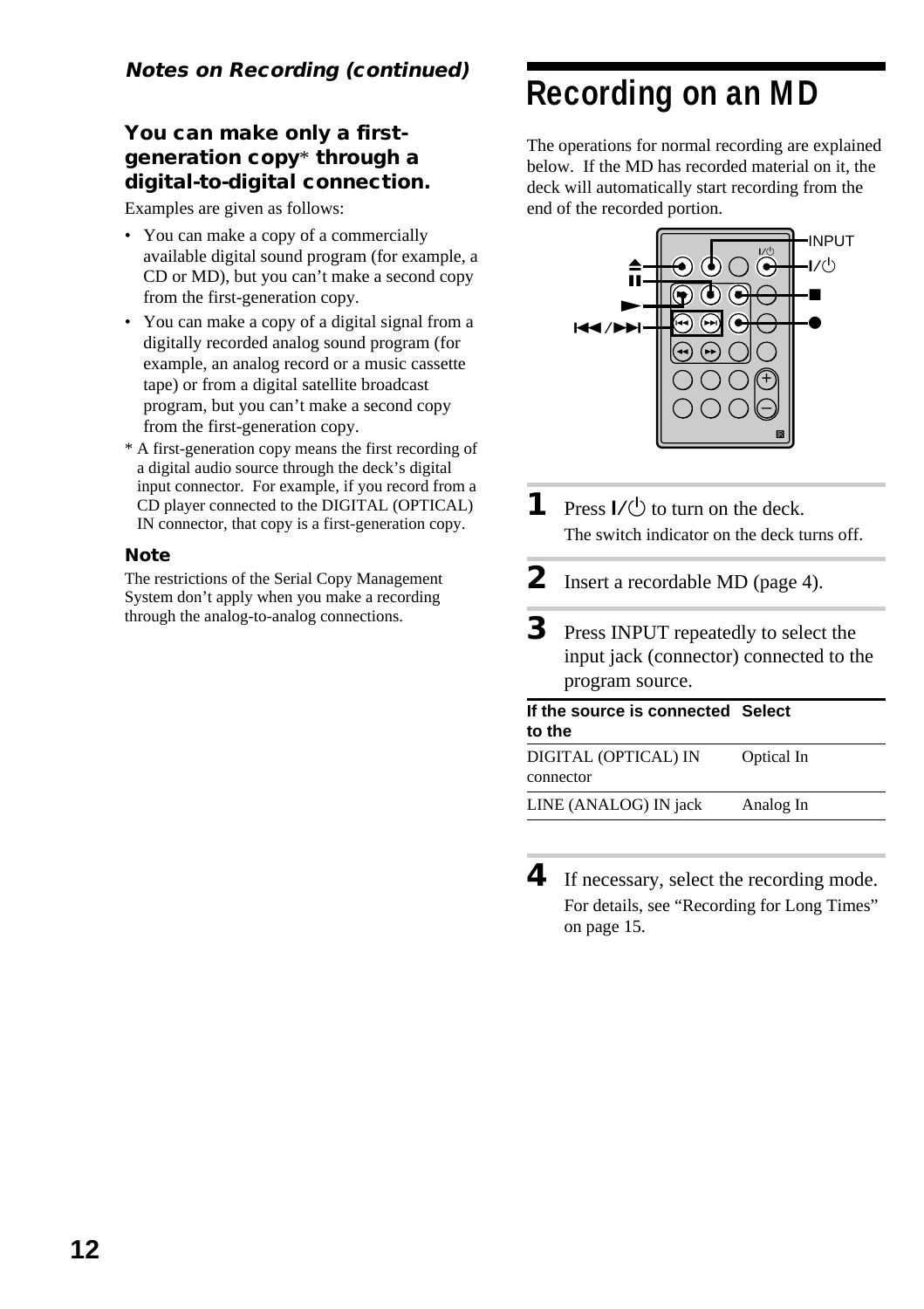#### **You can make only a firstgeneration copy**\* **through a digital-to-digital connection.**

Examples are given as follows:

- You can make a copy of a commercially available digital sound program (for example, a CD or MD), but you can't make a second copy from the first-generation copy.
- You can make a copy of a digital signal from a digitally recorded analog sound program (for example, an analog record or a music cassette tape) or from a digital satellite broadcast program, but you can't make a second copy from the first-generation copy.
- \* A first-generation copy means the first recording of a digital audio source through the deck's digital input connector. For example, if you record from a CD player connected to the DIGITAL (OPTICAL) IN connector, that copy is a first-generation copy.

#### **Note**

The restrictions of the Serial Copy Management System don't apply when you make a recording through the analog-to-analog connections.

## **Recording on an MD**

The operations for normal recording are explained below. If the MD has recorded material on it, the deck will automatically start recording from the end of the recorded portion.



- **1** Press  $I/\bigcirc$  to turn on the deck. The switch indicator on the deck turns off.
- **2** Insert a recordable MD (page 4).
- **3** Press INPUT repeatedly to select the input jack (connector) connected to the program source.

| If the source is connected Select |            |  |
|-----------------------------------|------------|--|
| to the                            |            |  |
| DIGITAL (OPTICAL) IN<br>connector | Optical In |  |
| LINE (ANALOG) IN jack             | Analog In  |  |

**4** If necessary, select the recording mode. For details, see "Recording for Long Times" on page 15.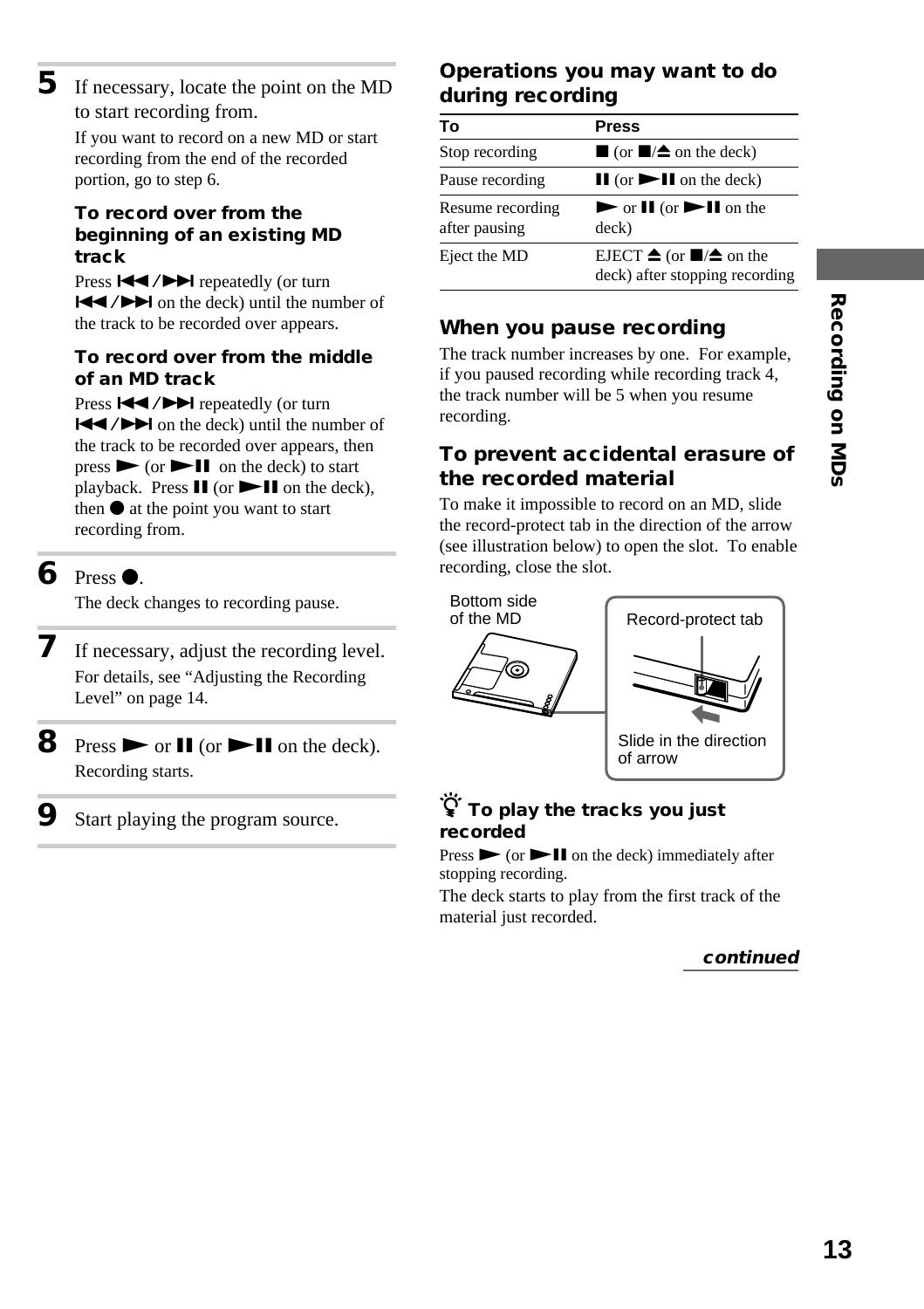**5** If necessary, locate the point on the MD to start recording from.

> If you want to record on a new MD or start recording from the end of the recorded portion, go to step 6.

#### **To record over from the beginning of an existing MD track**

Press  $\blacktriangleright\blacktriangleleft$  / $\blacktriangleright\blacktriangleright\blacktriangleright\blacktriangleright$  repeatedly (or turn  $\blacktriangleleft$  / $\blacktriangleright$  on the deck) until the number of the track to be recorded over appears.

#### **To record over from the middle of an MD track**

Press  $\blacktriangleright$  / $\blacktriangleright$  repeatedly (or turn  $\blacktriangleleft$  / $\blacktriangleright$  on the deck) until the number of the track to be recorded over appears, then  $pres \rightarrow (or \rightarrow II)$  on the deck) to start playback. Press  $\mathbf{II}$  (or  $\blacktriangleright \mathbf{II}$  on the deck), then  $\bullet$  at the point you want to start recording from.

#### $6$  Press  $\bullet$ .

The deck changes to recording pause.

- **7** If necessary, adjust the recording level. For details, see "Adjusting the Recording Level" on page 14.
- **8** Press  $\triangleright$  or **II** (or  $\triangleright$  **II** on the deck). Recording starts.
	- Start playing the program source.

#### **Operations you may want to do during recording**

| То                                | <b>Press</b>                                                                              |
|-----------------------------------|-------------------------------------------------------------------------------------------|
| Stop recording                    | $\Box$ (or $\Box/\Diamond$ on the deck)                                                   |
| Pause recording                   | $\mathbf{II}$ (or $\mathbf{III}$ on the deck)                                             |
| Resume recording<br>after pausing | $\triangleright$ or $\blacksquare$ (or $\triangleright$ $\blacksquare$ ) on the<br>deck)  |
| Eject the MD                      | EJECT $\triangleq$ (or $\blacksquare/\triangleq$ on the<br>deck) after stopping recording |

#### **When you pause recording**

The track number increases by one. For example, if you paused recording while recording track 4, the track number will be 5 when you resume recording.

#### **To prevent accidental erasure of the recorded material**

To make it impossible to record on an MD, slide the record-protect tab in the direction of the arrow (see illustration below) to open the slot. To enable recording, close the slot.





Slide in the direction of arrow

#### z **To play the tracks you just recorded**

Press  $\triangleright$  (or  $\triangleright$  II on the deck) immediately after stopping recording.

The deck starts to play from the first track of the material just recorded.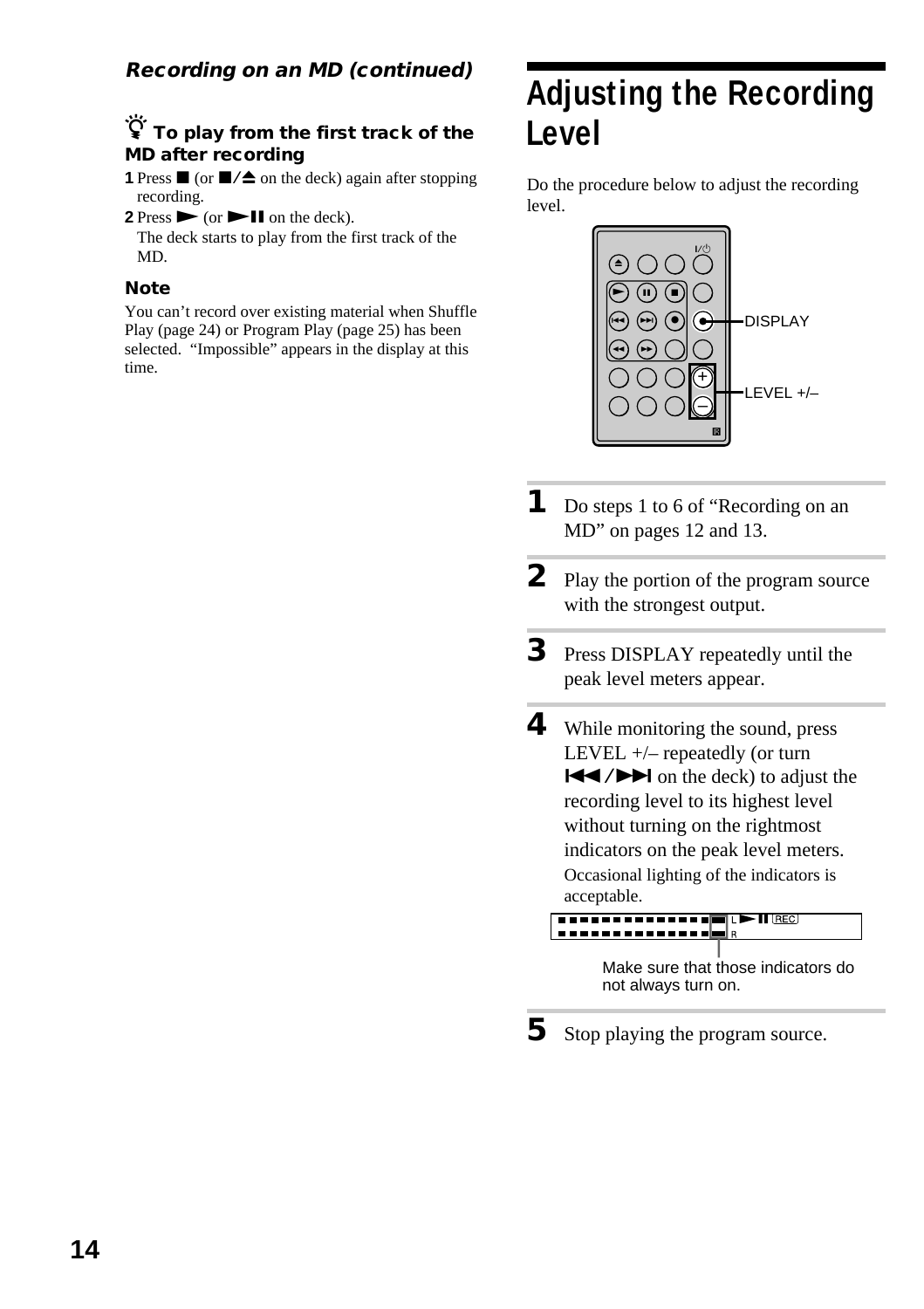#### **Recording on an MD (continued)**

#### z **To play from the first track of the MD after recording**

**1** Press  $\blacksquare$  (or  $\blacksquare$ / $\spadesuit$  on the deck) again after stopping recording.

**2** Press  $\triangleright$  (or  $\triangleright$  **II** on the deck).

The deck starts to play from the first track of the MD.

#### **Note**

You can't record over existing material when Shuffle Play (page 24) or Program Play (page 25) has been selected. "Impossible" appears in the display at this time.

# **Adjusting the Recording Level**

Do the procedure below to adjust the recording level.



- **1** Do steps 1 to 6 of "Recording on an MD" on pages 12 and 13.
- **2** Play the portion of the program source with the strongest output.
- **3** Press DISPLAY repeatedly until the peak level meters appear.
- **4** While monitoring the sound, press LEVEL +/– repeatedly (or turn  $\blacktriangleleft$  / $\blacktriangleright$  on the deck) to adjust the recording level to its highest level without turning on the rightmost indicators on the peak level meters.

Occasional lighting of the indicators is acceptable.

#### <u>--------------</u>

Make sure that those indicators do not always turn on.

**5** Stop playing the program source.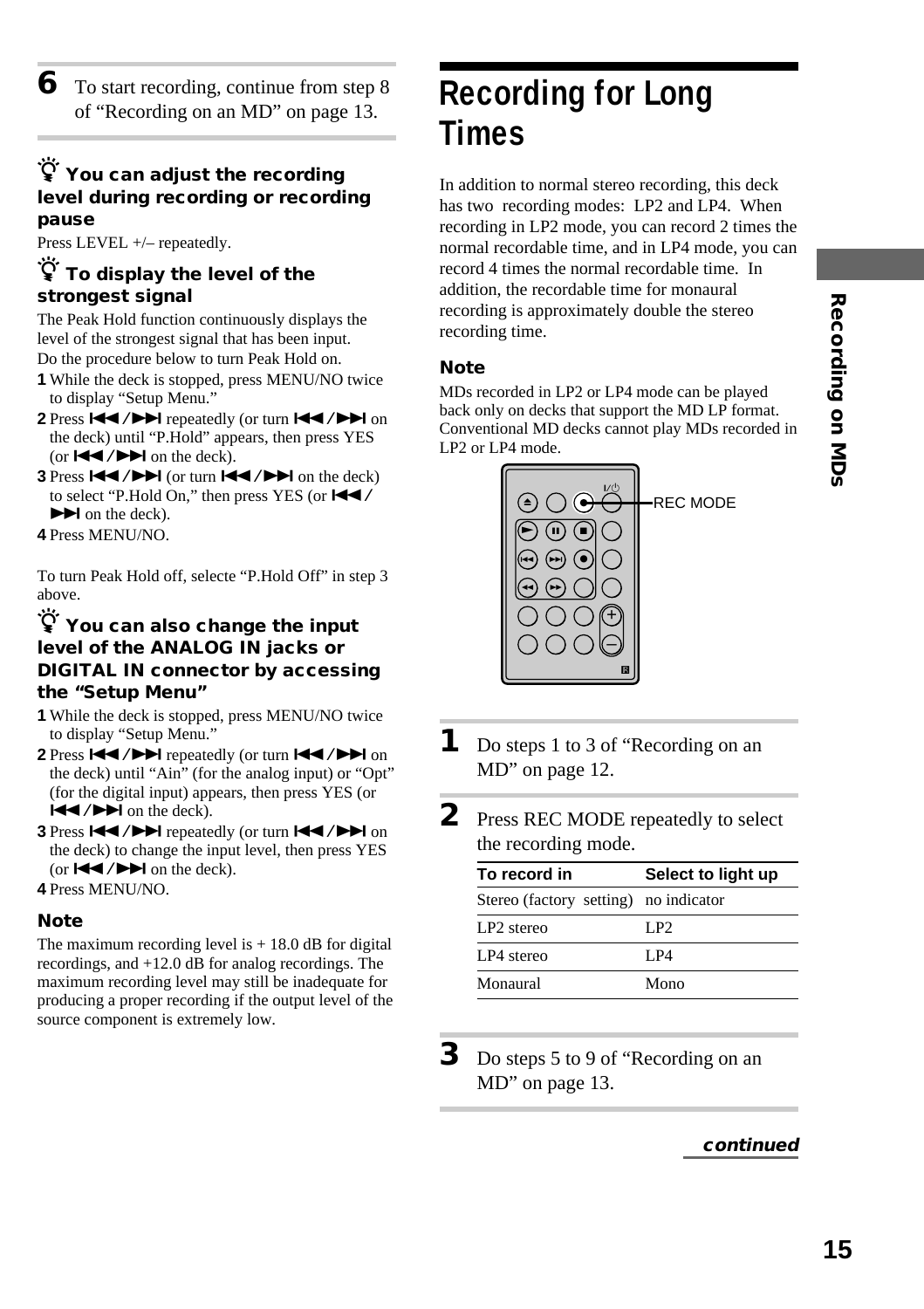Recording on MDs **15Recording on MDs**

#### $\dddot{S}$  You can adjust the recording **level during recording or recording pause**

Press LEVEL +/– repeatedly.

#### **To display the level of the strongest signal**

The Peak Hold function continuously displays the level of the strongest signal that has been input. Do the procedure below to turn Peak Hold on.

- **1** While the deck is stopped, press MENU/NO twice to display "Setup Menu."
- **2** Press  $\left| \frac{4}{4} \right|$  **PH** repeatedly (or turn  $\left| \frac{4}{4} \right|$   $\left| \right|$  on the deck) until "P.Hold" appears, then press YES (or  $\blacktriangleright$   $\blacktriangleright$   $\blacktriangleright$  on the deck).
- **3** Press  $\left|\frac{4}{4}\right\rangle$   $\left|\right\rangle$  (or turn  $\left|\frac{4}{4}\right\rangle$   $\left|\right\rangle$  on the deck) to select "P.Hold On," then press YES (or  $\blacktriangleleft \blacktriangleleft$  $\blacktriangleright$  on the deck).
- **4** Press MENU/NO.

To turn Peak Hold off, selecte "P.Hold Off" in step 3 above.

#### z **You can also change the input level of the ANALOG IN jacks or DIGITAL IN connector by accessing the "Setup Menu"**

- **1** While the deck is stopped, press MENU/NO twice to display "Setup Menu."
- 2 Press  $\left|\frac{4}{4}\right\rangle$  **PH** repeatedly (or turn  $\left|\frac{4}{4}\right\rangle$  **PH** on the deck) until "Ain" (for the analog input) or "Opt" (for the digital input) appears, then press YES (or  $H = / H$  on the deck).
- **3** Press  $\left|\frac{4}{4}\right\rangle$  **P** repeatedly (or turn  $\left|\frac{4}{4}\right\rangle$  **P** on the deck) to change the input level, then press YES (or  $\blacktriangleleft$  / $\blacktriangleright$  on the deck).
- **4** Press MENU/NO.

#### **Note**

The maximum recording level is  $+18.0$  dB for digital recordings, and +12.0 dB for analog recordings. The maximum recording level may still be inadequate for producing a proper recording if the output level of the source component is extremely low.

# **Recording for Long Times**

In addition to normal stereo recording, this deck has two recording modes: LP2 and LP4. When recording in LP2 mode, you can record 2 times the normal recordable time, and in LP4 mode, you can record 4 times the normal recordable time. In addition, the recordable time for monaural recording is approximately double the stereo recording time.

#### **Note**

MDs recorded in LP2 or LP4 mode can be played back only on decks that support the MD LP format. Conventional MD decks cannot play MDs recorded in LP2 or LP4 mode.



- **1** Do steps 1 to 3 of "Recording on an MD" on page 12.
- **2** Press REC MODE repeatedly to select the recording mode.

| To record in                          | Select to light up |
|---------------------------------------|--------------------|
| Stereo (factory setting) no indicator |                    |
| LP <sub>2</sub> stereo                | LP2                |
| LP4 stereo                            | I P4               |
| Monaural                              | Mono               |

**3** Do steps 5 to 9 of "Recording on an MD" on page 13.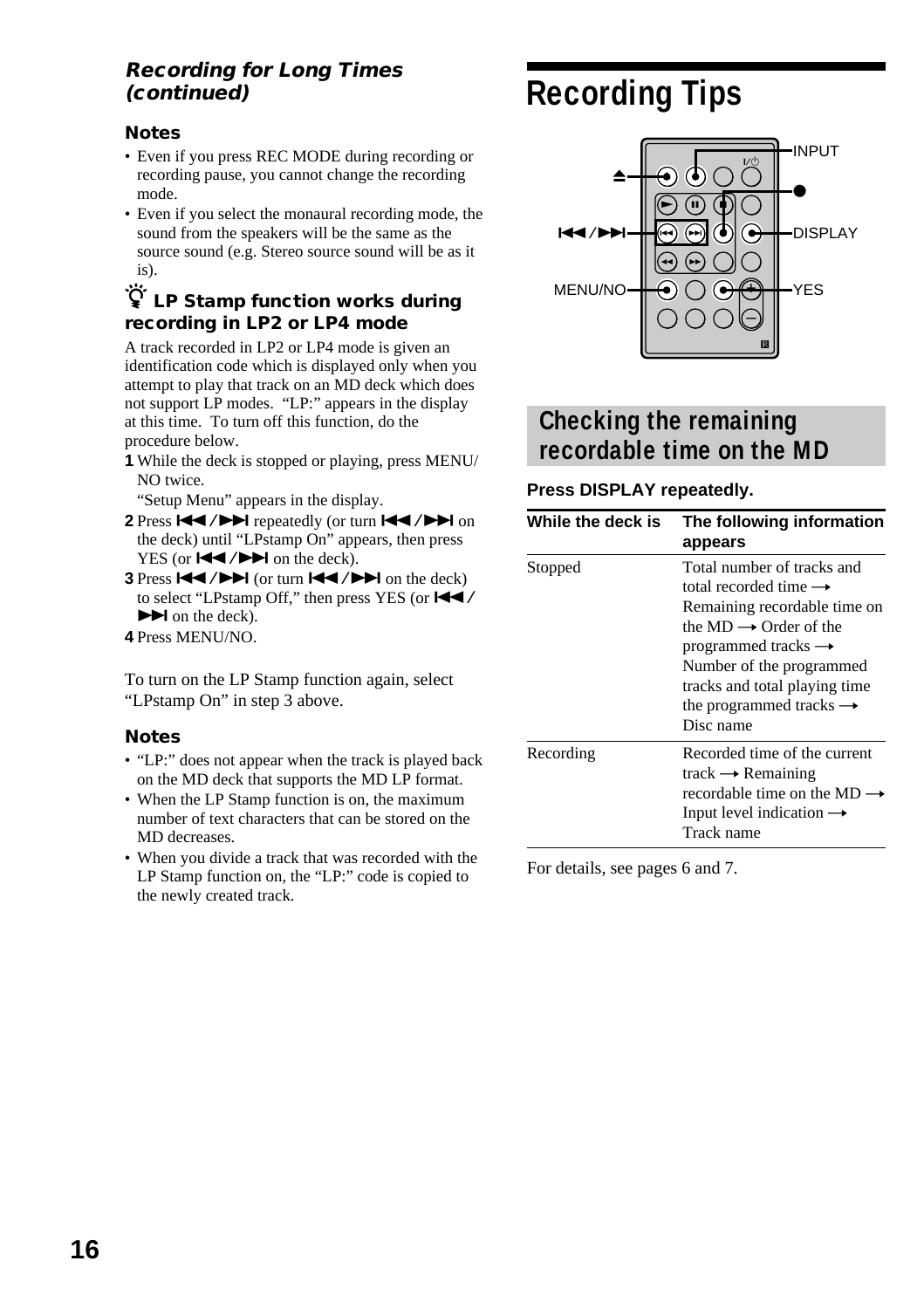#### **Recording for Long Times (continued)**

#### **Notes**

- Even if you press REC MODE during recording or recording pause, you cannot change the recording mode.
- Even if you select the monaural recording mode, the sound from the speakers will be the same as the source sound (e.g. Stereo source sound will be as it is).

#### z **LP Stamp function works during recording in LP2 or LP4 mode**

A track recorded in LP2 or LP4 mode is given an identification code which is displayed only when you attempt to play that track on an MD deck which does not support LP modes. "LP:" appears in the display at this time. To turn off this function, do the procedure below.

**1** While the deck is stopped or playing, press MENU/ NO twice.

"Setup Menu" appears in the display.

- 2 Press  $\overrightarrow{144}$  / $\rightarrow$  **F** repeatedly (or turn  $\overrightarrow{144}$  / $\rightarrow$   $\rightarrow$  on the deck) until "LPstamp On" appears, then press YES (or  $\blacktriangleleft$  / $\blacktriangleright$   $\blacktriangleright$  on the deck).
- **3** Press  $\left|\frac{4}{4}\right|$  / $\left|\frac{1}{2}\right|$  (or turn  $\left|\frac{4}{4}\right|$  / $\left|\frac{1}{2}\right|$  on the deck) to select "LPstamp Off," then press YES (or  $\blacktriangleleft \blacktriangleleft$  /  $\blacktriangleright$  on the deck).
- **4** Press MENU/NO.

To turn on the LP Stamp function again, select "LPstamp On" in step 3 above.

#### **Notes**

- "LP:" does not appear when the track is played back on the MD deck that supports the MD LP format.
- When the LP Stamp function is on, the maximum number of text characters that can be stored on the MD decreases.
- When you divide a track that was recorded with the LP Stamp function on, the "LP:" code is copied to the newly created track.

# **Recording Tips**



#### **Checking the remaining recordable time on the MD**

#### **Press DISPLAY repeatedly.**

| While the deck is | The following information<br>appears                                                                                                                                                                                                                                                     |
|-------------------|------------------------------------------------------------------------------------------------------------------------------------------------------------------------------------------------------------------------------------------------------------------------------------------|
| Stopped           | Total number of tracks and<br>total recorded time $\rightarrow$<br>Remaining recordable time on<br>the $MD \rightarrow Order$ of the<br>programmed tracks $\rightarrow$<br>Number of the programmed<br>tracks and total playing time<br>the programmed tracks $\rightarrow$<br>Disc name |
| Recording         | Recorded time of the current<br>track $\rightarrow$ Remaining<br>recordable time on the MD<br>Input level indication $\rightarrow$<br>Track name                                                                                                                                         |

For details, see pages 6 and 7.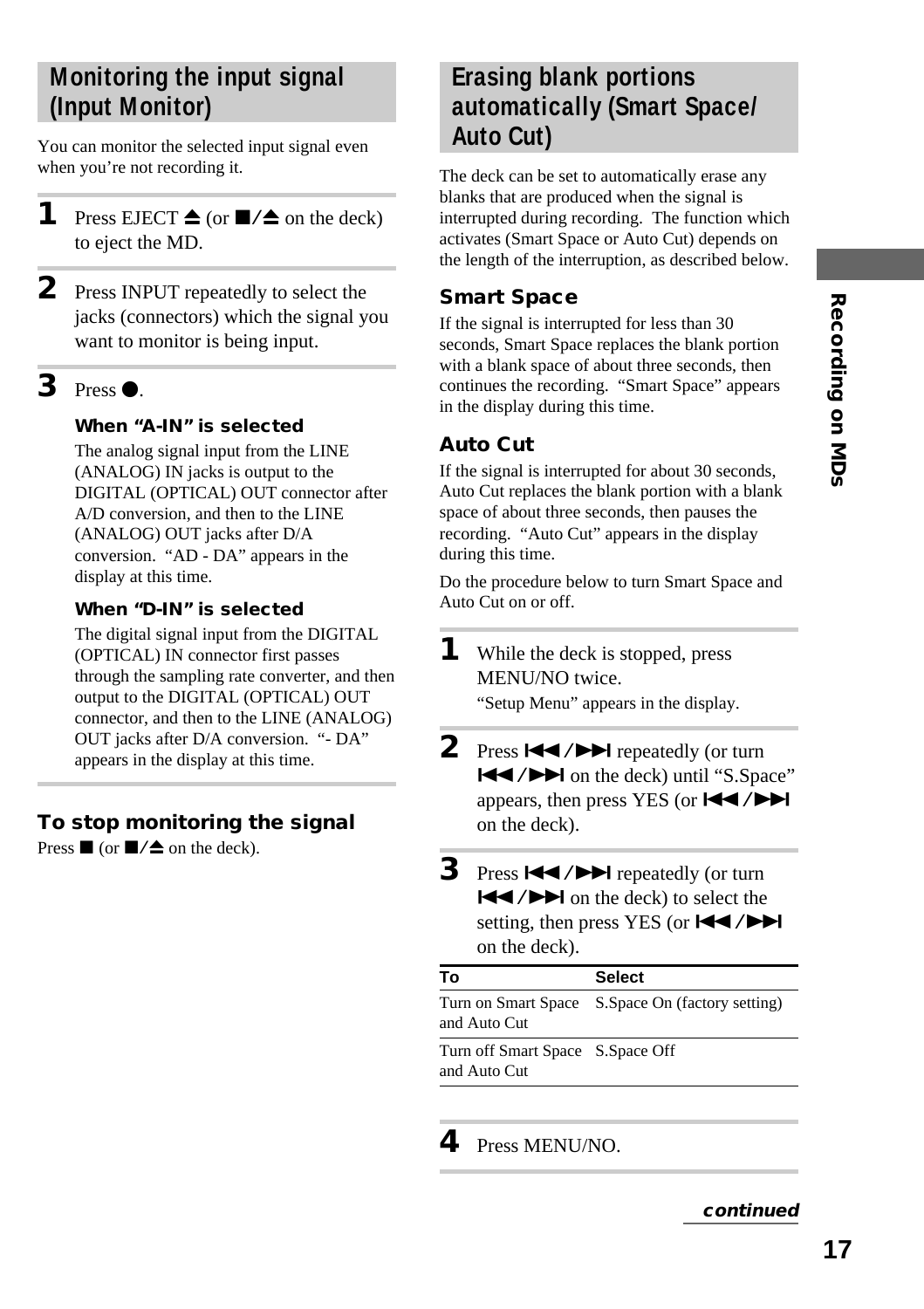# Recording on MDs **17Recording on MDs**

#### **Monitoring the input signal (Input Monitor)**

You can monitor the selected input signal even when you're not recording it.

- **1** Press EJECT  $\triangle$  (or  $\blacksquare/\triangle$  on the deck) to eject the MD.
- **2** Press INPUT repeatedly to select the jacks (connectors) which the signal you want to monitor is being input.

#### $3$  Press  $\bullet$ .

#### **When "A-IN" is selected**

The analog signal input from the LINE (ANALOG) IN jacks is output to the DIGITAL (OPTICAL) OUT connector after A/D conversion, and then to the LINE (ANALOG) OUT jacks after D/A conversion. "AD - DA" appears in the display at this time.

#### **When "D-IN" is selected**

The digital signal input from the DIGITAL (OPTICAL) IN connector first passes through the sampling rate converter, and then output to the DIGITAL (OPTICAL) OUT connector, and then to the LINE (ANALOG) OUT jacks after D/A conversion. "- DA" appears in the display at this time.

#### **To stop monitoring the signal**

Press  $\blacksquare$  (or  $\blacksquare/\triangle$  on the deck).

#### **Erasing blank portions automatically (Smart Space/ Auto Cut)**

The deck can be set to automatically erase any blanks that are produced when the signal is interrupted during recording. The function which activates (Smart Space or Auto Cut) depends on the length of the interruption, as described below.

#### **Smart Space**

If the signal is interrupted for less than 30 seconds, Smart Space replaces the blank portion with a blank space of about three seconds, then continues the recording. "Smart Space" appears in the display during this time.

#### **Auto Cut**

If the signal is interrupted for about 30 seconds, Auto Cut replaces the blank portion with a blank space of about three seconds, then pauses the recording. "Auto Cut" appears in the display during this time.

Do the procedure below to turn Smart Space and Auto Cut on or off.

- **1** While the deck is stopped, press MENU/NO twice. "Setup Menu" appears in the display.
	-
- 2 Press  $\blacktriangleleft$  / $\blacktriangleright$  repeatedly (or turn  $\blacktriangleleft$  / $\blacktriangleright$  on the deck) until "S.Space" appears, then press YES (or  $\blacktriangleleft$ / $\blacktriangleright$ ) on the deck).
- **3** Press  $\leftarrow$  / $\rightarrow$  repeatedly (or turn  $|\blacktriangleleft$  / $\rightharpoonup$  on the deck) to select the setting, then press YES (or  $H$  /> on the deck).

| Т٥                                               | <b>Select</b>                                    |
|--------------------------------------------------|--------------------------------------------------|
| and Auto Cut                                     | Turn on Smart Space S.Space On (factory setting) |
| Turn off Smart Space S.Space Off<br>and Auto Cut |                                                  |

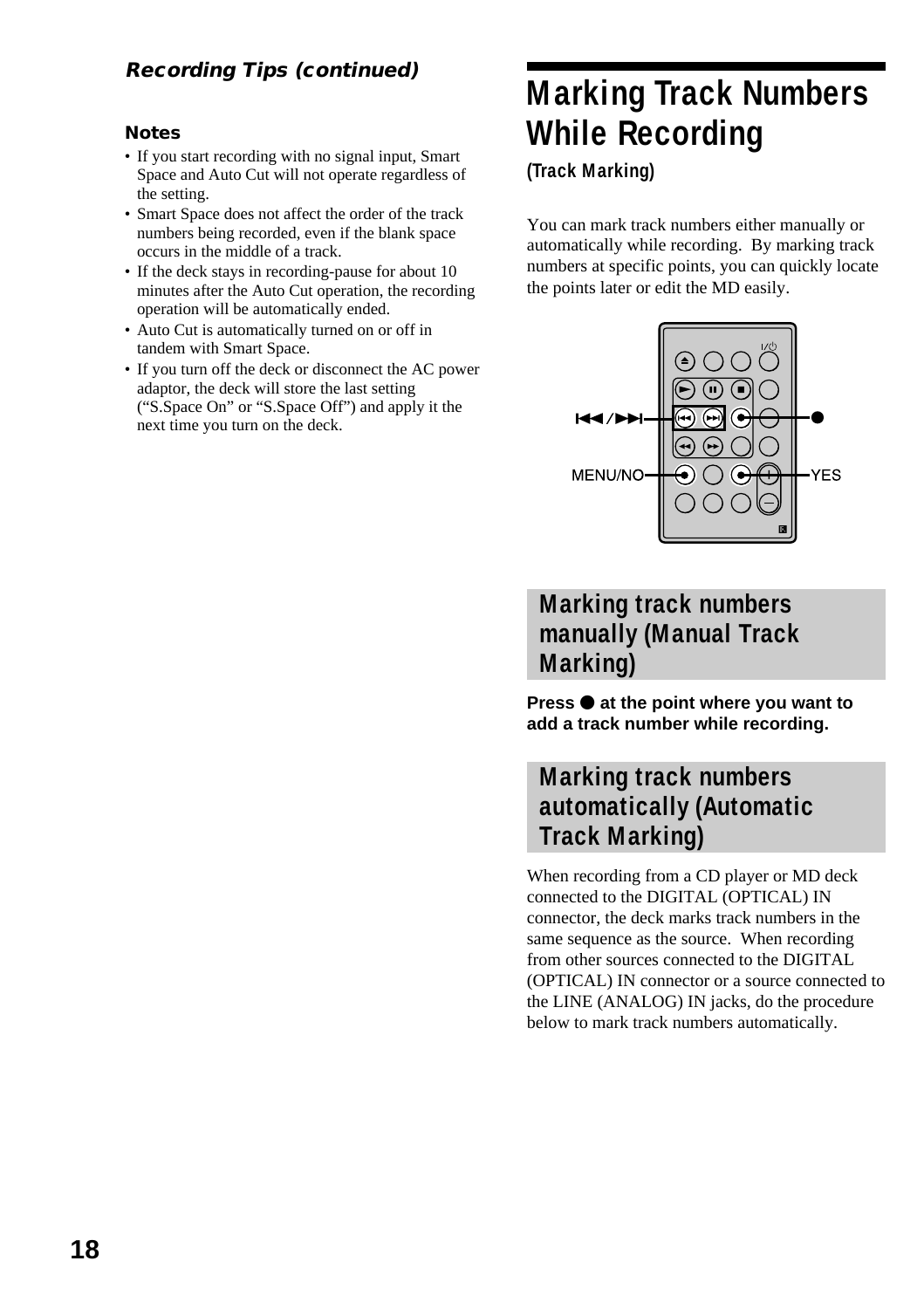#### **Notes**

- If you start recording with no signal input, Smart Space and Auto Cut will not operate regardless of the setting.
- Smart Space does not affect the order of the track numbers being recorded, even if the blank space occurs in the middle of a track.
- If the deck stays in recording-pause for about 10 minutes after the Auto Cut operation, the recording operation will be automatically ended.
- Auto Cut is automatically turned on or off in tandem with Smart Space.
- If you turn off the deck or disconnect the AC power adaptor, the deck will store the last setting ("S.Space On" or "S.Space Off") and apply it the next time you turn on the deck.

# **Marking Track Numbers While Recording**

**(Track Marking)**

You can mark track numbers either manually or automatically while recording. By marking track numbers at specific points, you can quickly locate the points later or edit the MD easily.



#### **Marking track numbers manually (Manual Track Marking)**

**Press**  $\bullet$  **at the point where you want to add a track number while recording.**

#### **Marking track numbers automatically (Automatic Track Marking)**

When recording from a CD player or MD deck connected to the DIGITAL (OPTICAL) IN connector, the deck marks track numbers in the same sequence as the source. When recording from other sources connected to the DIGITAL (OPTICAL) IN connector or a source connected to the LINE (ANALOG) IN jacks, do the procedure below to mark track numbers automatically.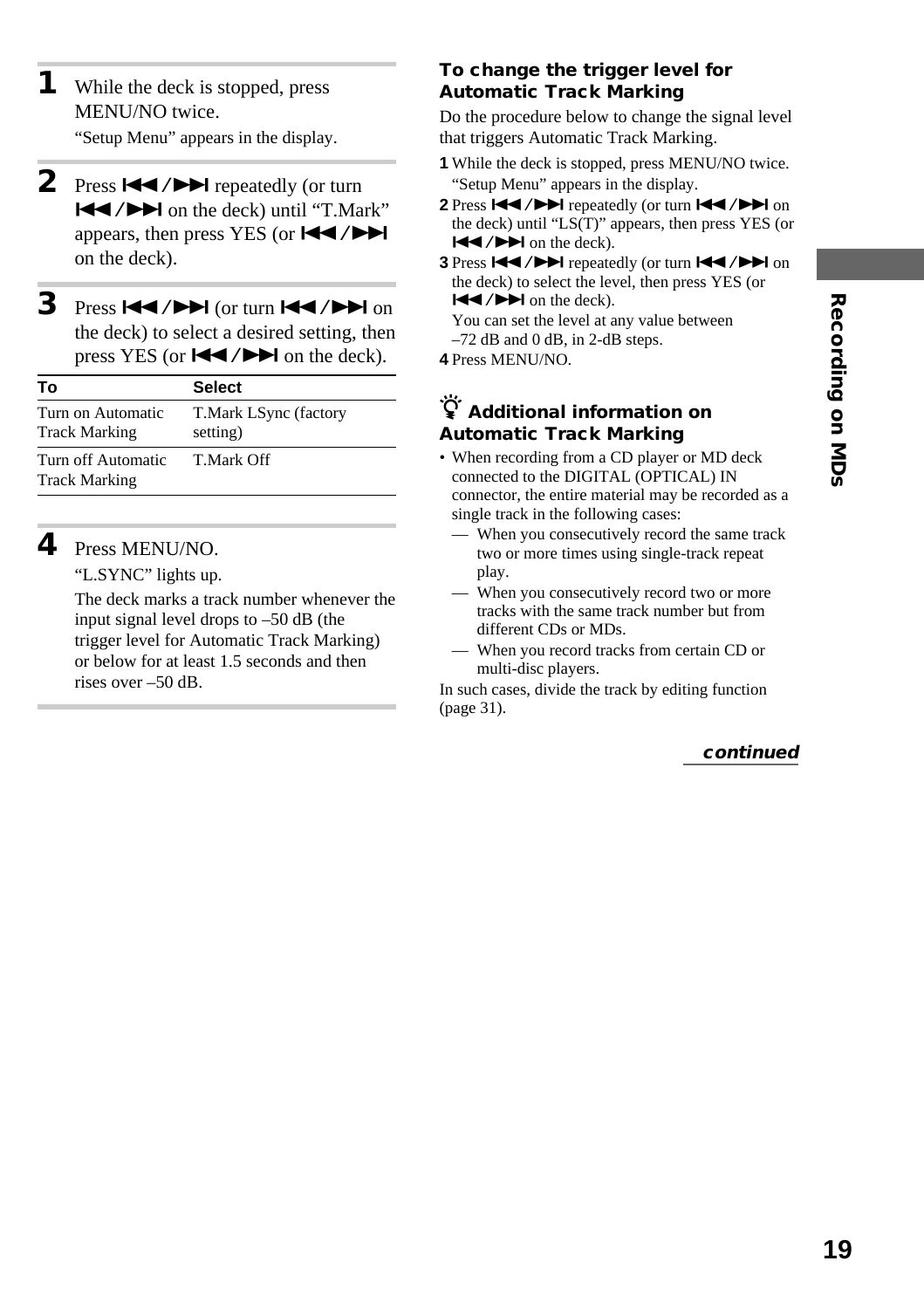- **1** While the deck is stopped, press MENU/NO twice. "Setup Menu" appears in the display.
- 2 Press  $\blacktriangleright\blacktriangleleft$  / $\blacktriangleright\blacktriangleright\blacktriangleright$  repeatedly (or turn  $\blacktriangleleft$  / $\blacktriangleright$  on the deck) until "T.Mark" appears, then press YES (or  $\blacktriangleleft \blacktriangleleft \blacktriangleleft \blacktriangleright \blacktriangleright \blacktriangleright$ on the deck).
- **3** Press  $\left| \leftarrow \right|$  />  $\left| \left( \text{or turn } \left| \leftarrow \right| \right) \right|$  on the deck) to select a desired setting, then press YES (or  $\blacktriangleleft \diagup \blacktriangleright \blacktriangleright$  on the deck).

| Т٥                                         | <b>Select</b>                     |
|--------------------------------------------|-----------------------------------|
| Turn on Automatic<br><b>Track Marking</b>  | T.Mark LSync (factory<br>setting) |
| Turn off Automatic<br><b>Track Marking</b> | T Mark Off                        |

#### **4** Press MENU/NO.

"L.SYNC" lights up.

The deck marks a track number whenever the input signal level drops to –50 dB (the trigger level for Automatic Track Marking) or below for at least 1.5 seconds and then rises over –50 dB.

#### **To change the trigger level for Automatic Track Marking**

Do the procedure below to change the signal level that triggers Automatic Track Marking.

- **1** While the deck is stopped, press MENU/NO twice. "Setup Menu" appears in the display.
- 2 Press  $\blacktriangleleft$  / $\blacktriangleright$  repeatedly (or turn  $\blacktriangleleft$  / $\blacktriangleright$   $\blacktriangleright$  on the deck) until "LS(T)" appears, then press YES (or  $\blacktriangleright$   $\blacktriangleright$   $\blacktriangleright$  on the deck).
- **3** Press  $\left|\frac{4}{4}\right\rangle$  **>** repeatedly (or turn  $\left|\frac{4}{4}\right\rangle$   $\left|\right\rangle$  on the deck) to select the level, then press YES (or  $H = / H$  on the deck).

You can set the level at any value between –72 dB and 0 dB, in 2-dB steps.

**4** Press MENU/NO.

#### z **Additional information on Automatic Track Marking**

- When recording from a CD player or MD deck connected to the DIGITAL (OPTICAL) IN connector, the entire material may be recorded as a single track in the following cases:
	- When you consecutively record the same track two or more times using single-track repeat play.
	- When you consecutively record two or more tracks with the same track number but from different CDs or MDs.
	- When you record tracks from certain CD or multi-disc players.

In such cases, divide the track by editing function (page 31).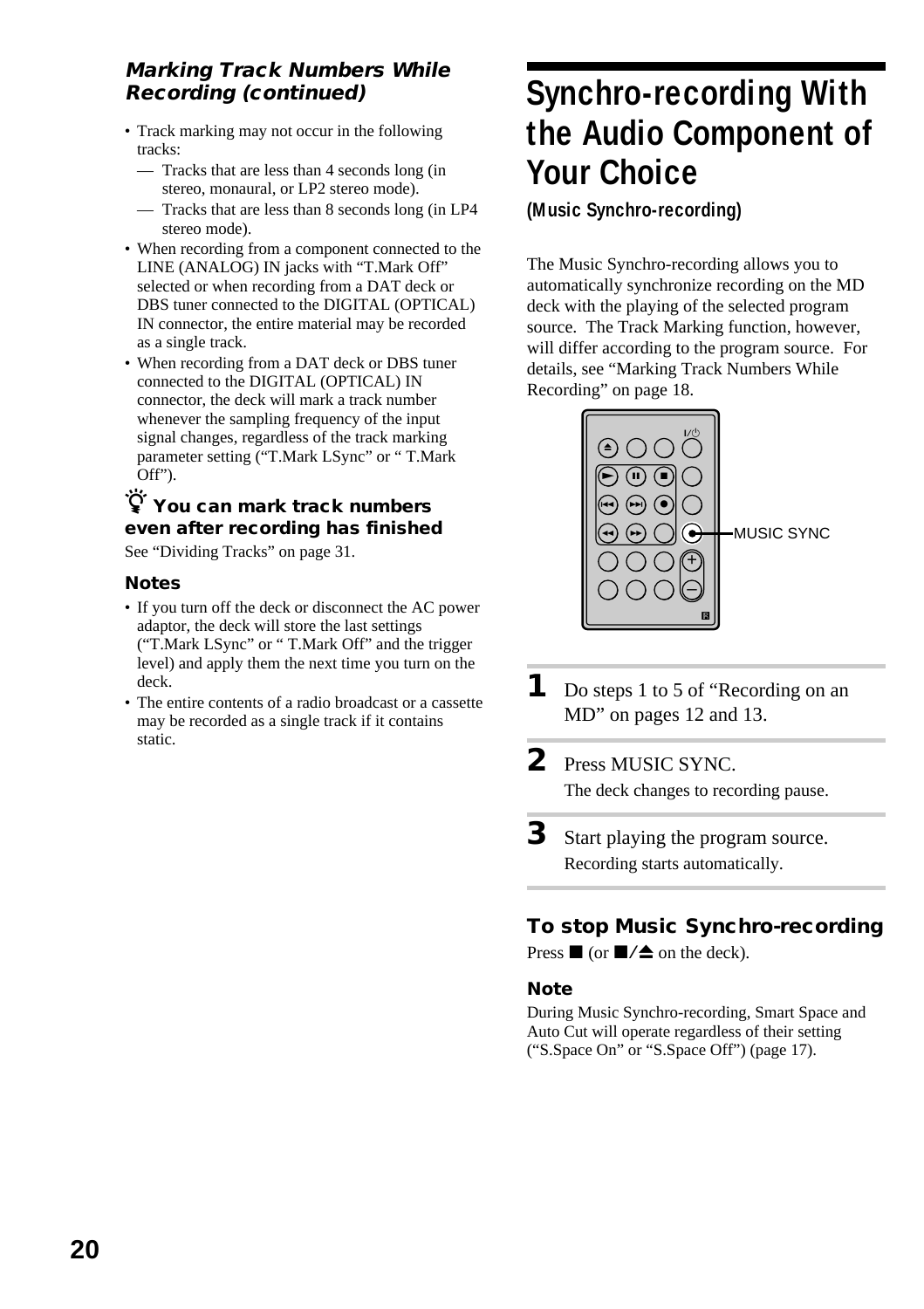#### **Marking Track Numbers While Recording (continued)**

- Track marking may not occur in the following tracks:
	- Tracks that are less than 4 seconds long (in stereo, monaural, or LP2 stereo mode).
	- Tracks that are less than 8 seconds long (in LP4 stereo mode).
- When recording from a component connected to the LINE (ANALOG) IN jacks with "T.Mark Off" selected or when recording from a DAT deck or DBS tuner connected to the DIGITAL (OPTICAL) IN connector, the entire material may be recorded as a single track.
- When recording from a DAT deck or DBS tuner connected to the DIGITAL (OPTICAL) IN connector, the deck will mark a track number whenever the sampling frequency of the input signal changes, regardless of the track marking parameter setting ("T.Mark LSync" or " T.Mark Off").

#### $\widetilde{P}$  You can mark track numbers **even after recording has finished**

See "Dividing Tracks" on page 31.

#### **Notes**

- If you turn off the deck or disconnect the AC power adaptor, the deck will store the last settings ("T.Mark LSync" or " T.Mark Off" and the trigger level) and apply them the next time you turn on the deck.
- The entire contents of a radio broadcast or a cassette may be recorded as a single track if it contains static.

# **Synchro-recording With the Audio Component of Your Choice**

#### **(Music Synchro-recording)**

The Music Synchro-recording allows you to automatically synchronize recording on the MD deck with the playing of the selected program source. The Track Marking function, however, will differ according to the program source. For details, see "Marking Track Numbers While Recording" on page 18.



- **1** Do steps 1 to 5 of "Recording on an MD" on pages 12 and 13.
- **2** Press MUSIC SYNC. The deck changes to recording pause.
- **3** Start playing the program source. Recording starts automatically.

#### **To stop Music Synchro-recording**

Press  $\blacksquare$  (or  $\blacksquare/\blacktriangle$  on the deck).

#### **Note**

During Music Synchro-recording, Smart Space and Auto Cut will operate regardless of their setting ("S.Space On" or "S.Space Off") (page 17).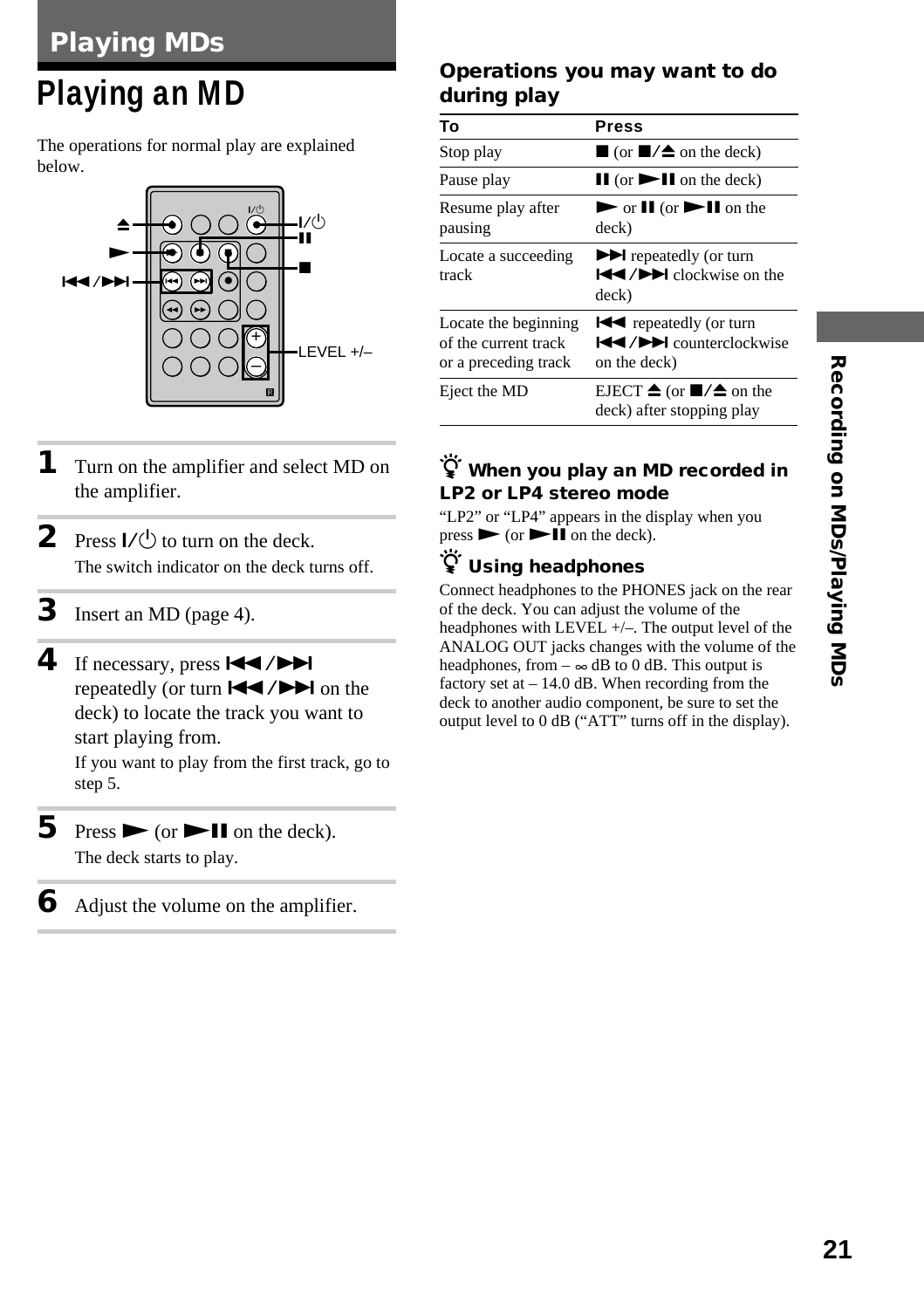# **Playing an MD**

The operations for normal play are explained below.



- **1** Turn on the amplifier and select MD on the amplifier.
- **2** Press  $I/(1)$  to turn on the deck. The switch indicator on the deck turns off.
- **3** Insert an MD (page 4).
- $4$  If necessary, press  $\overline{\mathsf{H}}$  / $\blacktriangleright$ repeatedly (or turn  $\left| \right| \left| \right| \left| \right|$  on the deck) to locate the track you want to start playing from. If you want to play from the first track, go to step 5.
- **5** Press  $\triangleright$  (or  $\triangleright$  **II** on the deck). The deck starts to play.
- **6** Adjust the volume on the amplifier.

#### **Operations you may want to do during play**

| То                                                                   | <b>Press</b>                                                                                                        |
|----------------------------------------------------------------------|---------------------------------------------------------------------------------------------------------------------|
| Stop play                                                            | $\Box$ (or $\Box/\Box$ on the deck)                                                                                 |
| Pause play                                                           | $\mathbf{II}$ (or $\mathbf{III}$ on the deck)                                                                       |
| Resume play after<br>pausing                                         | $\triangleright$ or $\blacksquare$ (or $\triangleright$ II on the<br>deck)                                          |
| Locate a succeeding<br>track                                         | $\blacktriangleright$ repeatedly (or turn<br>$\blacktriangleleft$ / $\blacktriangleright$ clockwise on the<br>deck) |
| Locate the beginning<br>of the current track<br>or a preceding track | <b>EXA</b> repeatedly (or turn<br><b>EXAMPLE</b> counterclockwise<br>on the deck)                                   |
| Eject the MD                                                         | EJECT $\triangleq$ (or $\blacksquare/\triangleq$ on the<br>deck) after stopping play                                |

#### z **When you play an MD recorded in LP2 or LP4 stereo mode**

"LP2" or "LP4" appears in the display when you  $pres \rightarrow (or \rightarrow \blacksquare$  on the deck).

#### z **Using headphones**

Connect headphones to the PHONES jack on the rear of the deck. You can adjust the volume of the headphones with LEVEL +/–. The output level of the ANALOG OUT jacks changes with the volume of the headphones, from  $-\infty$  dB to 0 dB. This output is factory set at – 14.0 dB. When recording from the deck to another audio component, be sure to set the output level to 0 dB ("ATT" turns off in the display).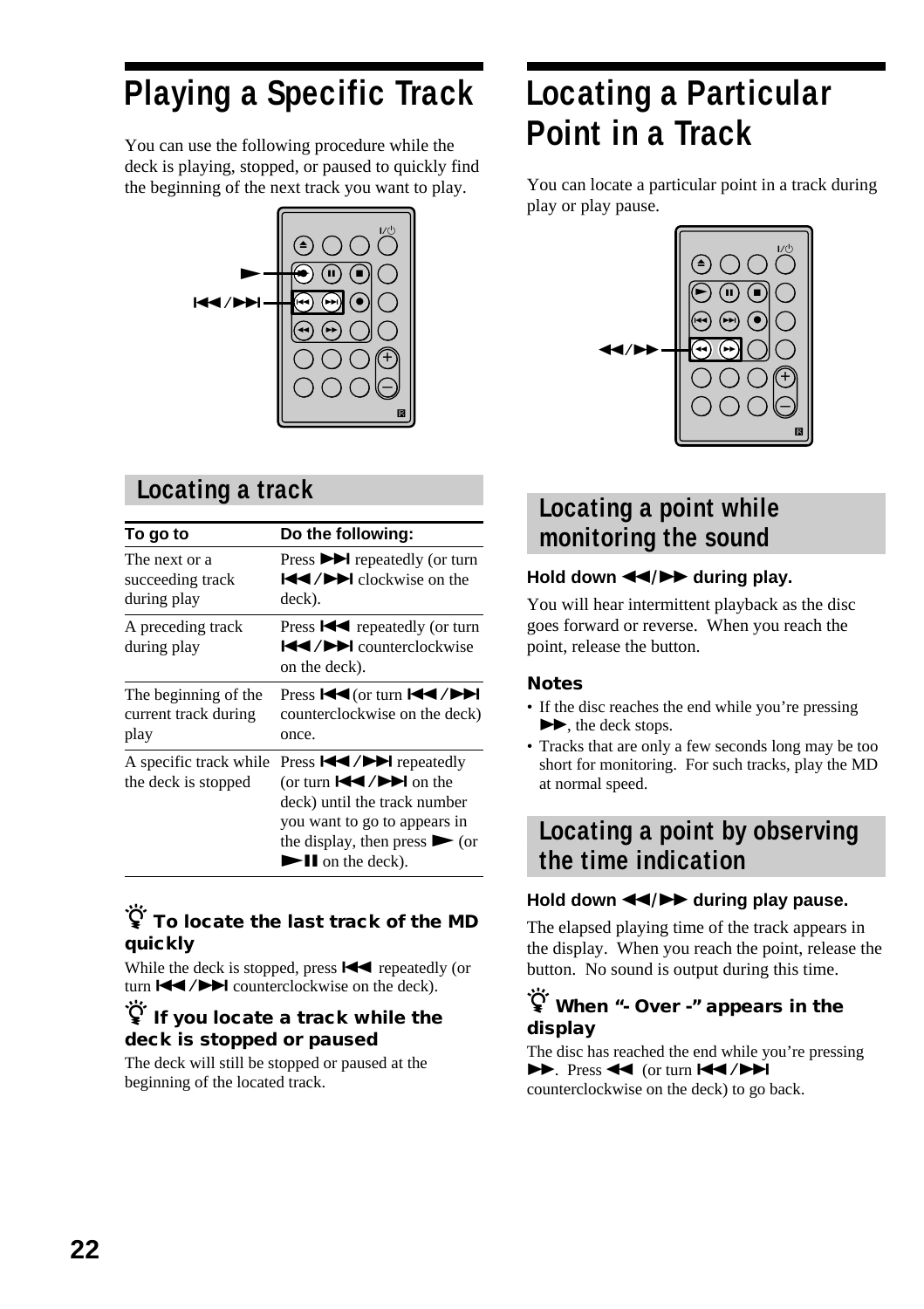# **Playing a Specific Track**

You can use the following procedure while the deck is playing, stopped, or paused to quickly find the beginning of the next track you want to play.



#### **Locating a track**

| To go to                                             | Do the following:                                                                                                                                                                                                    |
|------------------------------------------------------|----------------------------------------------------------------------------------------------------------------------------------------------------------------------------------------------------------------------|
| The next or a<br>succeeding track<br>during play     | Press $\blacktriangleright$ repeatedly (or turn<br>$\blacktriangleleft$ / $\blacktriangleright$ clockwise on the<br>deck).                                                                                           |
| A preceding track<br>during play                     | Press $\blacktriangleleft$ repeatedly (or turn<br><b>EXAMPLE</b> counterclockwise<br>on the deck).                                                                                                                   |
| The beginning of the<br>current track during<br>play | Press $\text{H}(or turn \text{H}(1))$<br>counterclockwise on the deck)<br>once.                                                                                                                                      |
| A specific track while<br>the deck is stopped        | (or turn $\left \frac{4}{4}\right $ $\left \right $ on the<br>deck) until the track number<br>you want to go to appears in<br>the display, then press $\triangleright$ (or<br>$\blacktriangleright$ II on the deck). |

#### $\widetilde{\mathbf{Q}}$  To locate the last track of the MD **quickly**

While the deck is stopped, press  $\blacktriangleleft$  repeatedly (or turn  $\blacktriangleright\blacktriangleleft$  / $\blacktriangleright\blacktriangleright\blacktriangleright$  counterclockwise on the deck).

#### $\widetilde{P}$  If you locate a track while the **deck is stopped or paused**

The deck will still be stopped or paused at the beginning of the located track.

# **Locating a Particular Point in a Track**

You can locate a particular point in a track during play or play pause.



#### **Locating a point while monitoring the sound**

#### Hold down  $\blacktriangleleft$ / $\blacktriangleright$  during play.

You will hear intermittent playback as the disc goes forward or reverse. When you reach the point, release the button.

#### **Notes**

- If the disc reaches the end while you're pressing  $\blacktriangleright$ , the deck stops.
- Tracks that are only a few seconds long may be too short for monitoring. For such tracks, play the MD at normal speed.

#### **Locating a point by observing the time indication**

#### Hold down  $\blacktriangleleft$ / $\blacktriangleright$  during play pause.

The elapsed playing time of the track appears in the display. When you reach the point, release the button. No sound is output during this time.

#### $\widetilde{\mathcal{G}}$  When "- Over -" appears in the **display**

The disc has reached the end while you're pressing  $\blacktriangleright$  Press 44 (or turn  $\blacktriangleright$  4/ $\blacktriangleright$ ) counterclockwise on the deck) to go back.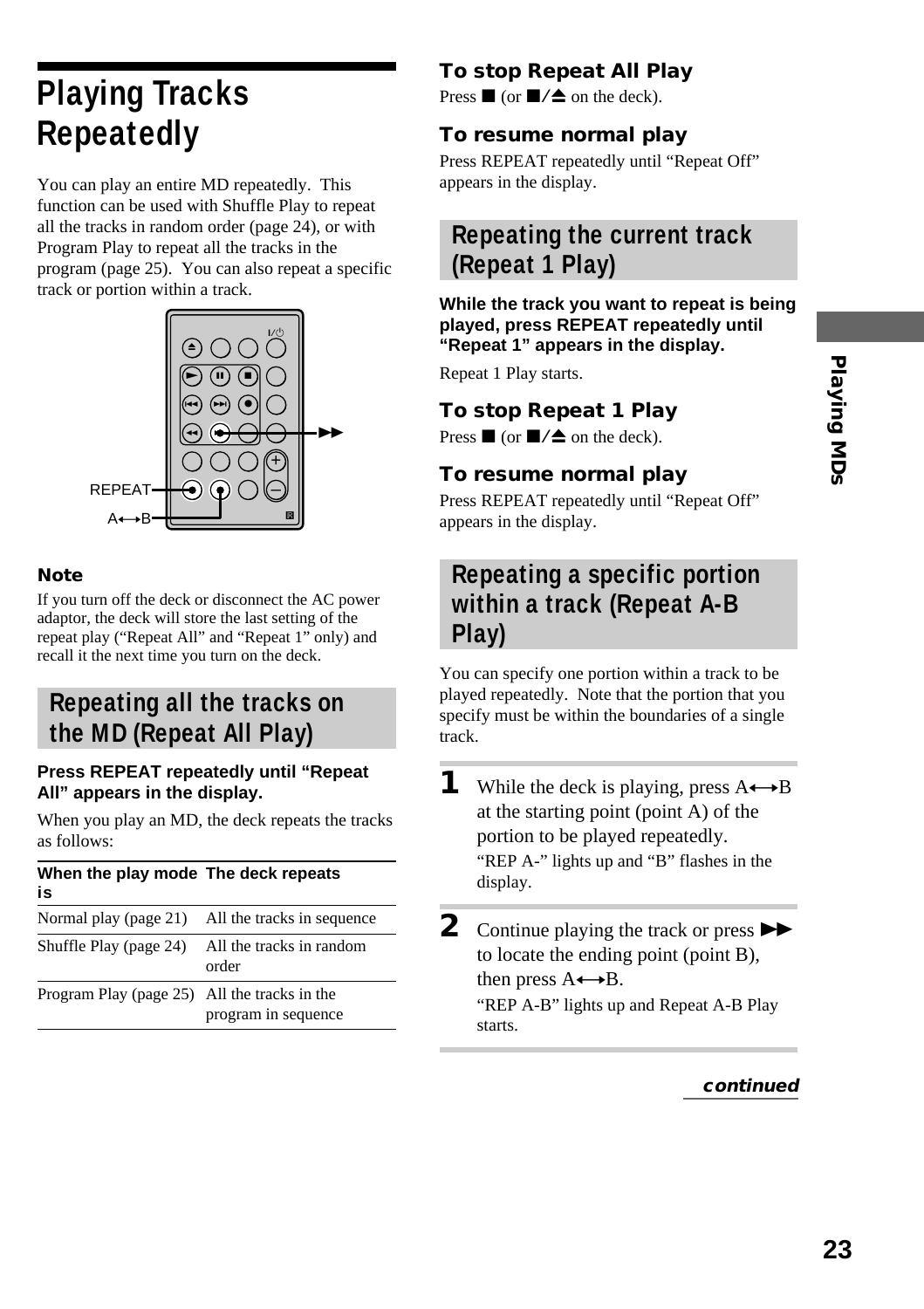# Playing MDs **23Playing MDs**

# **Playing Tracks Repeatedly**

You can play an entire MD repeatedly. This function can be used with Shuffle Play to repeat all the tracks in random order (page 24), or with Program Play to repeat all the tracks in the program (page 25). You can also repeat a specific track or portion within a track.



#### **Note**

If you turn off the deck or disconnect the AC power adaptor, the deck will store the last setting of the repeat play ("Repeat All" and "Repeat 1" only) and recall it the next time you turn on the deck.

#### **Repeating all the tracks on the MD (Repeat All Play)**

#### **Press REPEAT repeatedly until "Repeat All" appears in the display.**

When you play an MD, the deck repeats the tracks as follows:

#### **When the play mode The deck repeats is**

| Normal play (page 21)                        | All the tracks in sequence        |
|----------------------------------------------|-----------------------------------|
| Shuffle Play (page 24)                       | All the tracks in random<br>order |
| Program Play (page 25) All the tracks in the | program in sequence               |

#### **To stop Repeat All Play**

Press  $\blacksquare$  (or  $\blacksquare/\blacktriangle$  on the deck).

#### **To resume normal play**

Press REPEAT repeatedly until "Repeat Off" appears in the display.

#### **Repeating the current track (Repeat 1 Play)**

#### **While the track you want to repeat is being played, press REPEAT repeatedly until "Repeat 1" appears in the display.**

Repeat 1 Play starts.

#### **To stop Repeat 1 Play**

Press  $\blacksquare$  (or  $\blacksquare/\spadesuit$  on the deck).

#### **To resume normal play**

Press REPEAT repeatedly until "Repeat Off" appears in the display.

#### **Repeating a specific portion within a track (Repeat A-B Play)**

You can specify one portion within a track to be played repeatedly. Note that the portion that you specify must be within the boundaries of a single track.

"REP A-B" lights up and Repeat A-B Play starts.

**<sup>1</sup>** While the deck is playing, press  $A \rightarrow B$ at the starting point (point A) of the portion to be played repeatedly. "REP A-" lights up and "B" flashes in the display.

**<sup>2</sup>** Continue playing the track or press  $\blacktriangleright\blacktriangleright$ to locate the ending point (point B), then press  $A \rightarrow B$ .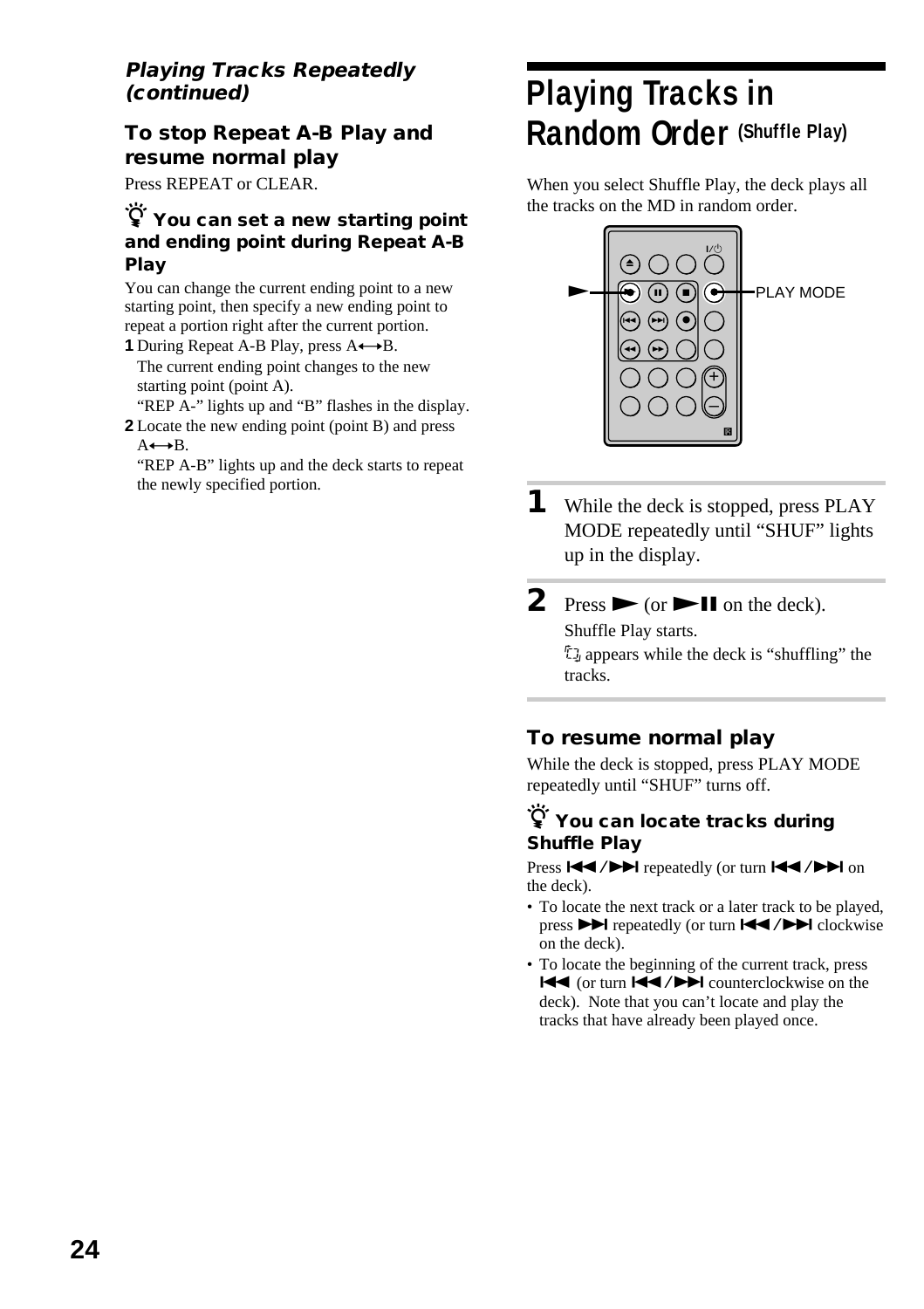#### **Playing Tracks Repeatedly (continued)**

#### **To stop Repeat A-B Play and resume normal play**

Press REPEAT or CLEAR.

#### z **You can set a new starting point and ending point during Repeat A-B Play**

You can change the current ending point to a new starting point, then specify a new ending point to repeat a portion right after the current portion.

**1** During Repeat A-B Play, press A $\leftrightarrow$ B. The current ending point changes to the new starting point (point A).

"REP A-" lights up and "B" flashes in the display. **2** Locate the new ending point (point B) and press  $A \rightarrow B$ .

"REP A-B" lights up and the deck starts to repeat the newly specified portion.

## **Playing Tracks in Random Order (Shuffle Play)**

When you select Shuffle Play, the deck plays all the tracks on the MD in random order.



**1** While the deck is stopped, press PLAY MODE repeatedly until "SHUF" lights up in the display.

### **2** Press  $\triangleright$  (or  $\triangleright$  **II** on the deck).

Shuffle Play starts.

; appears while the deck is "shuffling" the tracks.

#### **To resume normal play**

While the deck is stopped, press PLAY MODE repeatedly until "SHUF" turns off.

#### z **You can locate tracks during Shuffle Play**

Press  $\left|\frac{1}{2}\right|$  repeatedly (or turn  $\left|\frac{1}{2}\right|$  />> on the deck).

- To locate the next track or a later track to be played, press  $\blacktriangleright$  repeatedly (or turn  $\blacktriangleright$   $\blacktriangleright$   $\blacktriangleright$  clockwise on the deck).
- To locate the beginning of the current track, press  $\overline{\text{H}}$  (or turn  $\overline{\text{H}}$  />  $\overline{\text{H}}$  counterclockwise on the deck). Note that you can't locate and play the tracks that have already been played once.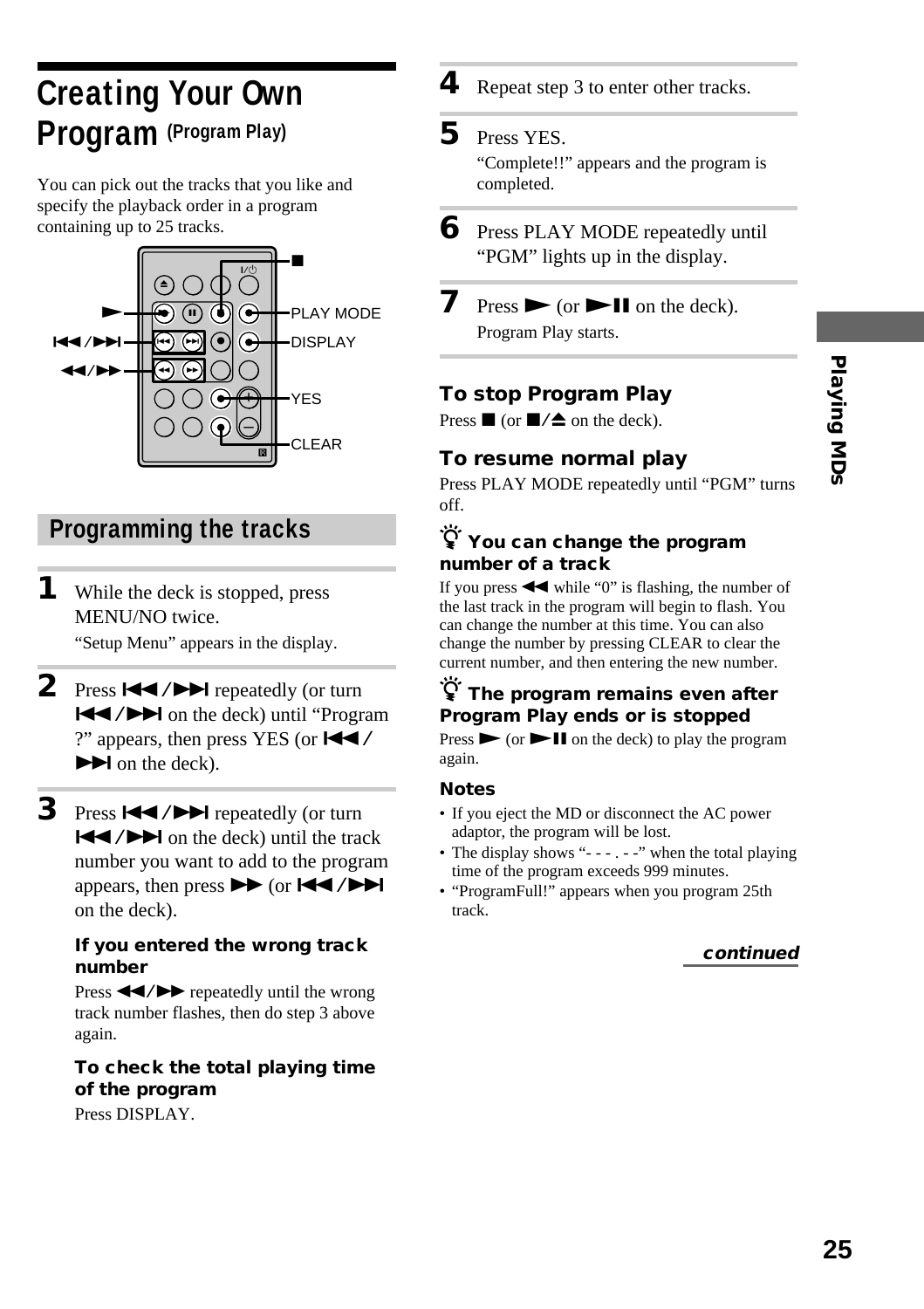# Playing MDs **25Playing MDs**

# **Creating Your Own Program (Program Play)**

You can pick out the tracks that you like and specify the playback order in a program containing up to 25 tracks.



#### **Programming the tracks**

- **1** While the deck is stopped, press MENU/NO twice. "Setup Menu" appears in the display.
- 2 Press  $\blacktriangleright\blacktriangleleft$  / $\blacktriangleright\blacktriangleright\blacktriangleright$  repeatedly (or turn ./> on the deck) until "Program ?" appears, then press YES (or  $\blacktriangleleft \blacktriangleleft$  /  $\blacktriangleright$  on the deck).
- **3** Press  $\leftarrow$  / $\rightarrow$  repeatedly (or turn  $\blacktriangleleft$  / $\blacktriangleright$  on the deck) until the track number you want to add to the program appears, then press  $\blacktriangleright$  (or  $\blacktriangleright$   $\blacktriangleright$   $\blacktriangleright$ ) on the deck).

#### **If you entered the wrong track number**

Press  $\blacktriangleleft$  / $\blacktriangleright$  repeatedly until the wrong track number flashes, then do step 3 above again.

#### **To check the total playing time of the program**

Press DISPLAY.

**4** Repeat step 3 to enter other tracks.

#### **5** Press YES.

"Complete!!" appears and the program is completed.

- **6** Press PLAY MODE repeatedly until "PGM" lights up in the display.
- **7** Press  $\triangleright$  (or  $\triangleright$  **II** on the deck). Program Play starts.

#### **To stop Program Play**

Press  $\blacksquare$  (or  $\blacksquare/\spadesuit$  on the deck).

#### **To resume normal play**

Press PLAY MODE repeatedly until "PGM" turns off.

#### z **You can change the program number of a track**

If you press  $\blacktriangleleft$  while "0" is flashing, the number of the last track in the program will begin to flash. You can change the number at this time. You can also change the number by pressing CLEAR to clear the current number, and then entering the new number.

#### z **The program remains even after Program Play ends or is stopped**

Press  $\triangleright$  (or  $\triangleright$  II on the deck) to play the program again.

#### **Notes**

- If you eject the MD or disconnect the AC power adaptor, the program will be lost.
- The display shows "- - . -" when the total playing time of the program exceeds 999 minutes.
- "ProgramFull!" appears when you program 25th track.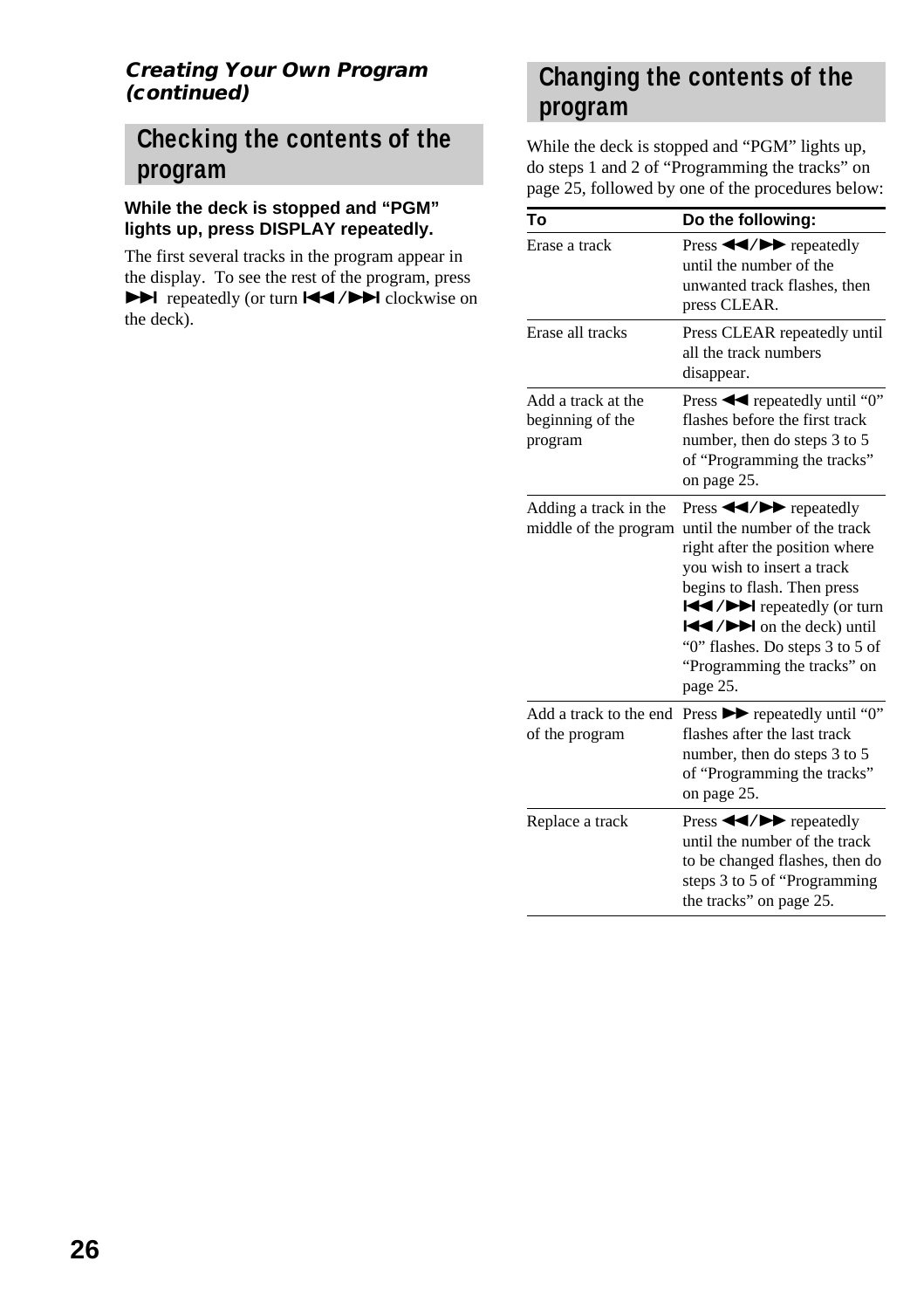#### **Creating Your Own Program (continued)**

#### **Checking the contents of the program**

#### **While the deck is stopped and "PGM" lights up, press DISPLAY repeatedly.**

The first several tracks in the program appear in the display. To see the rest of the program, press  $\blacktriangleright$  repeatedly (or turn  $\blacktriangleright$  / $\blacktriangleright$  clockwise on the deck).

#### **Changing the contents of the program**

While the deck is stopped and "PGM" lights up, do steps 1 and 2 of "Programming the tracks" on page 25, followed by one of the procedures below:

| To                                                | Do the following:                                                                                                                                                                                                                                                                                                                                                       |
|---------------------------------------------------|-------------------------------------------------------------------------------------------------------------------------------------------------------------------------------------------------------------------------------------------------------------------------------------------------------------------------------------------------------------------------|
| Erase a track                                     | Press < <b>&gt;&gt;</b> repeatedly<br>until the number of the<br>unwanted track flashes, then<br>press CLEAR.                                                                                                                                                                                                                                                           |
| Erase all tracks                                  | Press CLEAR repeatedly until<br>all the track numbers<br>disappear.                                                                                                                                                                                                                                                                                                     |
| Add a track at the<br>beginning of the<br>program | flashes before the first track<br>number, then do steps 3 to 5<br>of "Programming the tracks"<br>on page 25.                                                                                                                                                                                                                                                            |
| Adding a track in the<br>middle of the program    | Press $\blacktriangleleft$ / $\blacktriangleright$ repeatedly<br>until the number of the track<br>right after the position where<br>you wish to insert a track<br>begins to flash. Then press<br><b>EXAMPLE</b> repeatedly (or turn<br>$\left \frac{1}{2}$ / $\right $ on the deck) until<br>"0" flashes. Do steps 3 to 5 of<br>"Programming the tracks" on<br>page 25. |
| Add a track to the end<br>of the program          | Press $\blacktriangleright$ repeatedly until "0"<br>flashes after the last track<br>number, then do steps 3 to 5<br>of "Programming the tracks"<br>on page 25.                                                                                                                                                                                                          |
| Replace a track                                   | Press $\blacktriangleleft$ / $\blacktriangleright$ repeatedly<br>until the number of the track<br>to be changed flashes, then do<br>steps 3 to 5 of "Programming<br>the tracks" on page 25.                                                                                                                                                                             |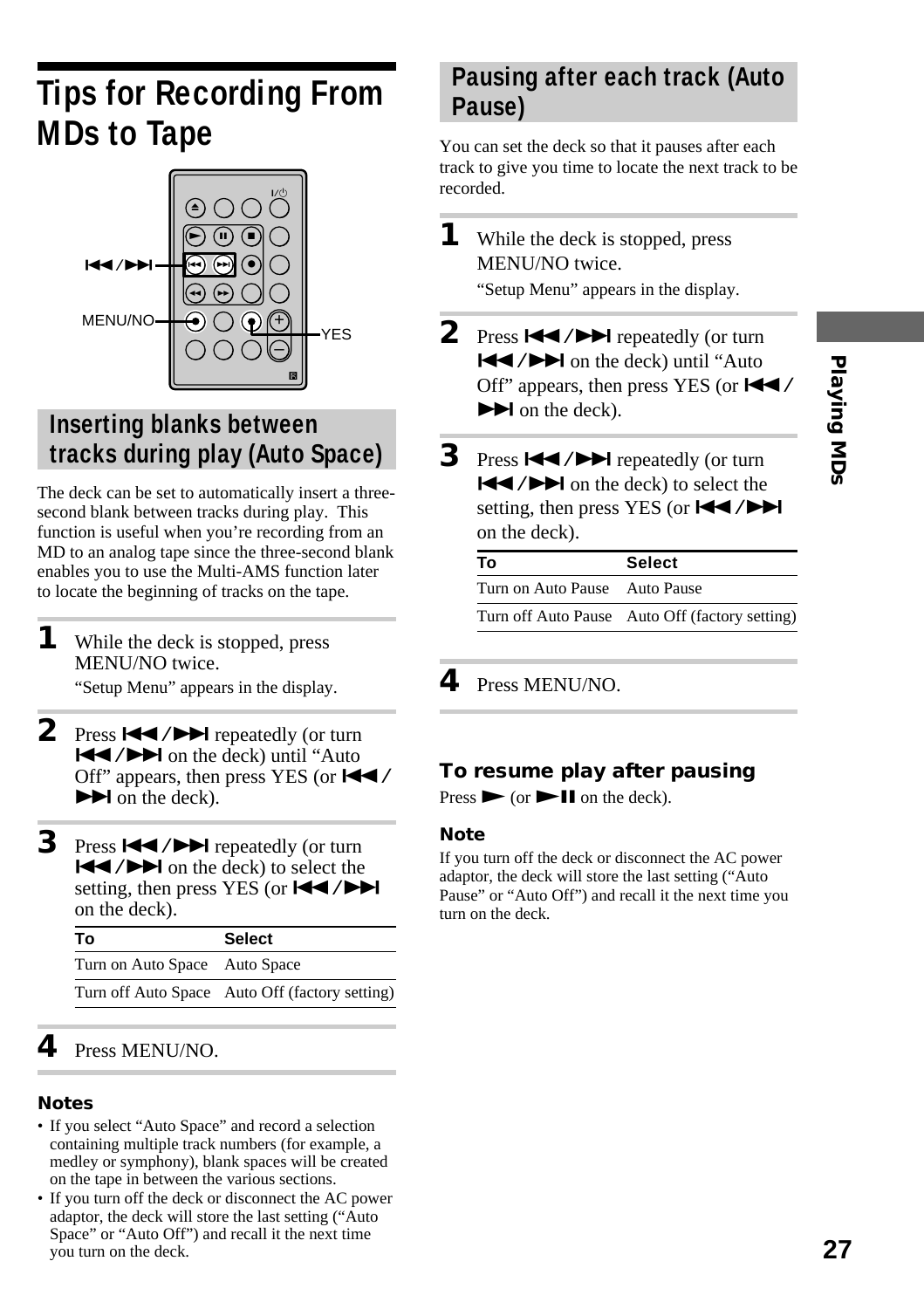# **Tips for Recording From MDs to Tape**



#### **Inserting blanks between tracks during play (Auto Space)**

The deck can be set to automatically insert a threesecond blank between tracks during play. This function is useful when you're recording from an MD to an analog tape since the three-second blank enables you to use the Multi-AMS function later to locate the beginning of tracks on the tape.

- **1** While the deck is stopped, press MENU/NO twice. "Setup Menu" appears in the display.
- 2 Press  $\blacktriangleright\blacktriangleleft$  / $\blacktriangleright\blacktriangleright\blacktriangleright$  repeatedly (or turn ./> on the deck) until "Auto Off" appears, then press YES (or  $\blacktriangleleft$  /  $\blacktriangleright$  on the deck).
- **3** Press  $\left| \right|$  **/>>** repeatedly (or turn  $|\blacktriangleleft$  / $\rightharpoonup$  on the deck) to select the setting, then press YES (or  $\left|\frac{1}{2}\right|$ on the deck).

| Т٥                            | <b>Select</b>                                  |
|-------------------------------|------------------------------------------------|
| Turn on Auto Space Auto Space |                                                |
|                               | Turn off Auto Space Auto Off (factory setting) |

#### **4** Press MENU/NO.

#### **Notes**

- If you select "Auto Space" and record a selection containing multiple track numbers (for example, a medley or symphony), blank spaces will be created on the tape in between the various sections.
- If you turn off the deck or disconnect the AC power adaptor, the deck will store the last setting ("Auto Space" or "Auto Off") and recall it the next time you turn on the deck.

#### **Pausing after each track (Auto Pause)**

You can set the deck so that it pauses after each track to give you time to locate the next track to be recorded.

**1** While the deck is stopped, press MENU/NO twice.

"Setup Menu" appears in the display.

- **2** Press  $\leftarrow$  / $\rightarrow$  repeatedly (or turn  $|\blacktriangleleft$  / $\rightharpoonup$  on the deck) until "Auto Off" appears, then press YES (or  $\blacktriangleleft \blacktriangleleft$  $\blacktriangleright$  on the deck).
- **3** Press  $\leftarrow$  / $\rightarrow$  repeatedly (or turn  $|\blacktriangleleft$  / $\rightharpoonup$  on the deck) to select the setting, then press YES (or  $\blacktriangleleft \blacktriangleleft \blacktriangleleft \blacktriangleright \blacktriangleright \blacktriangleleft \blacktriangleleft \blacktriangleleft \blacktriangleright \blacktriangleright \blacktriangleright \blacktriangleleft \blacktriangleleft \blacktriangleleft \blacktriangleleft \blacktriangleright \blacktriangleright \blacktriangleright \blacktriangleleft \blacktriangleleft \blacktriangleleft \blacktriangleleft \blacktriangleright \blacktriangleright \blacktriangleright \blacktriangleright \blacktriangleleft \blacktriangleleft \blacktriangleleft \blacktriangleleft \blacktriangleleft \blacktriangleright \blacktriangleright \blacktriangleright \blacktriangleright \blacktriangleleft \blacktriangleleft \blacktriangleleft \blacktriangleleft \blacktriangleleft \blacktriangleleft \blacktriangleleft \blacktriangleleft \blacktriangleleft$ on the deck).

| Т٥                            | <b>Select</b>                                  |
|-------------------------------|------------------------------------------------|
| Turn on Auto Pause Auto Pause |                                                |
|                               | Turn off Auto Pause Auto Off (factory setting) |

**4** Press MENU/NO.

#### **To resume play after pausing**

Press  $\triangleright$  (or  $\triangleright$  II on the deck).

#### **Note**

If you turn off the deck or disconnect the AC power adaptor, the deck will store the last setting ("Auto Pause" or "Auto Off") and recall it the next time you turn on the deck.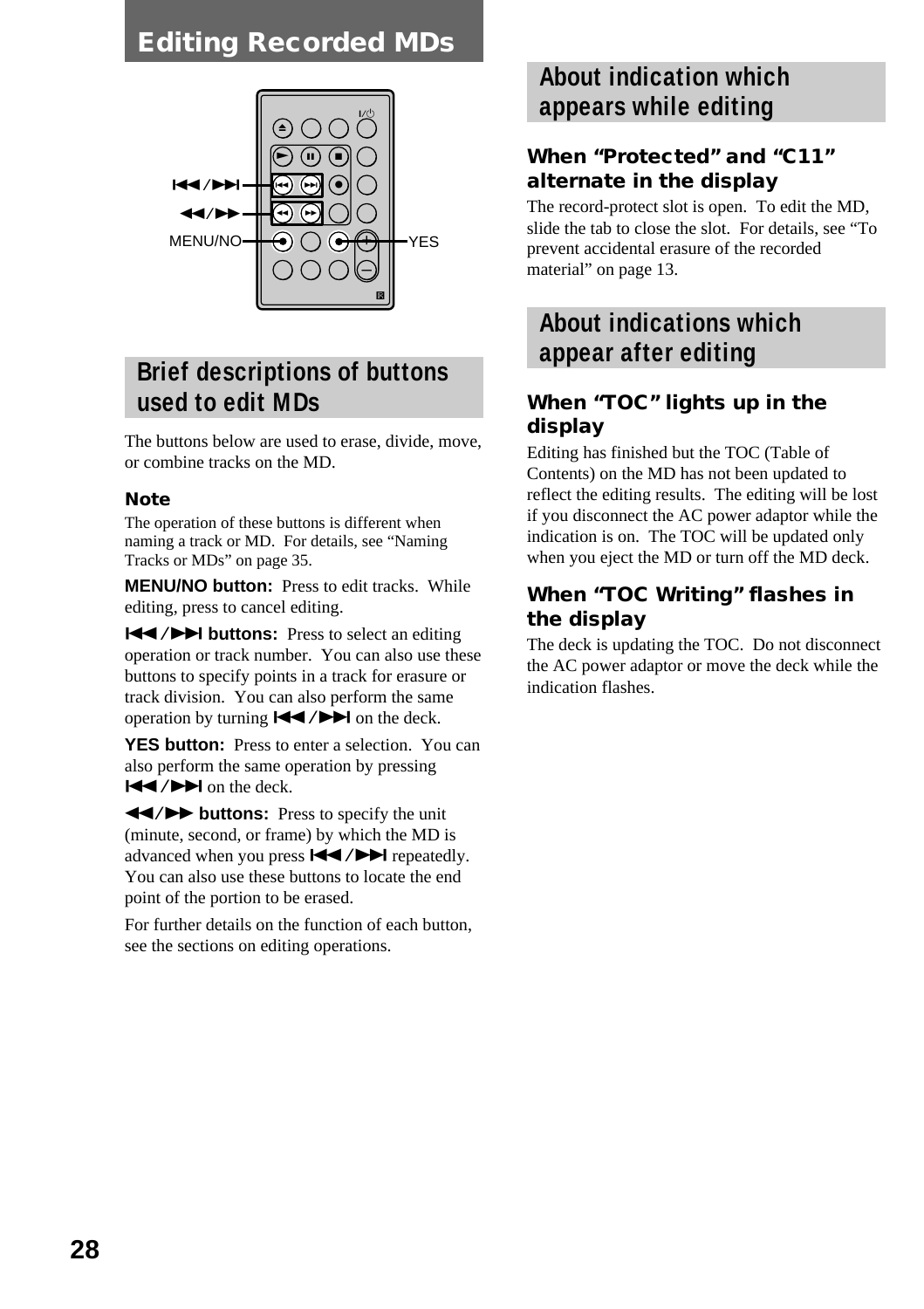#### **Editing Recorded MDs**



#### **Brief descriptions of buttons used to edit MDs**

The buttons below are used to erase, divide, move, or combine tracks on the MD.

#### **Note**

The operation of these buttons is different when naming a track or MD. For details, see "Naming Tracks or MDs" on page 35.

**MENU/NO button:** Press to edit tracks. While editing, press to cancel editing.

**144/DE buttons:** Press to select an editing operation or track number. You can also use these buttons to specify points in a track for erasure or track division. You can also perform the same operation by turning  $\blacktriangleright \blacktriangleright$  on the deck.

**YES button:** Press to enter a selection. You can also perform the same operation by pressing  $|\blacktriangleleft$  / $\rightharpoonup$  on the deck.

 $\leftarrow$  **/>>** buttons: Press to specify the unit (minute, second, or frame) by which the MD is advanced when you press  $\blacktriangleleft$  / $\blacktriangleright$  repeatedly. You can also use these buttons to locate the end point of the portion to be erased.

For further details on the function of each button, see the sections on editing operations.

#### **About indication which appears while editing**

#### **When "Protected" and "C11" alternate in the display**

The record-protect slot is open. To edit the MD, slide the tab to close the slot. For details, see "To prevent accidental erasure of the recorded material" on page 13.

#### **About indications which appear after editing**

#### **When "TOC" lights up in the display**

Editing has finished but the TOC (Table of Contents) on the MD has not been updated to reflect the editing results. The editing will be lost if you disconnect the AC power adaptor while the indication is on. The TOC will be updated only when you eject the MD or turn off the MD deck.

#### **When "TOC Writing" flashes in the display**

The deck is updating the TOC. Do not disconnect the AC power adaptor or move the deck while the indication flashes.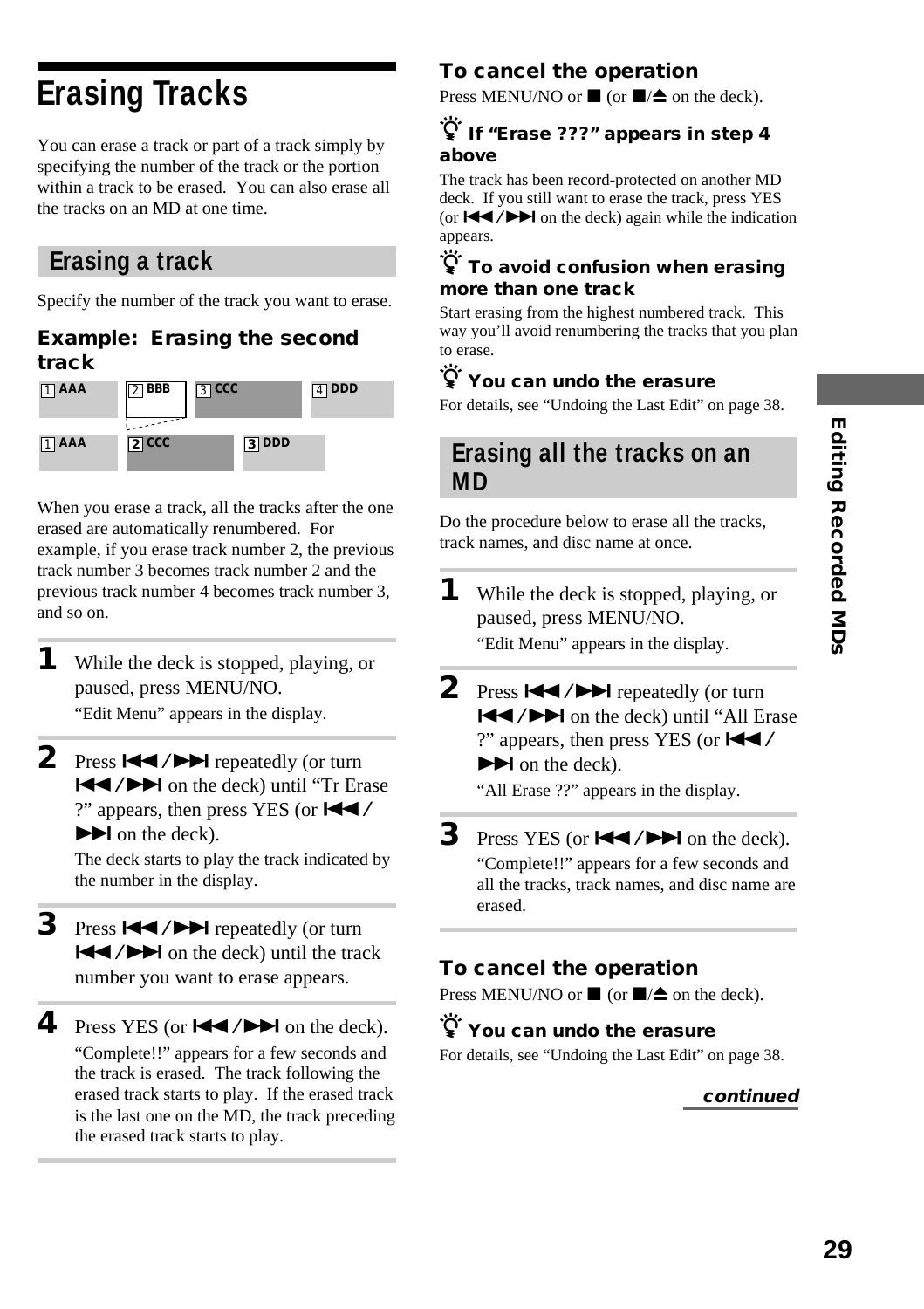# **Erasing Tracks**

You can erase a track or part of a track simply by specifying the number of the track or the portion within a track to be erased. You can also erase all the tracks on an MD at one time.

#### **Erasing a track**

Specify the number of the track you want to erase.

#### **Example: Erasing the second track**



When you erase a track, all the tracks after the one erased are automatically renumbered. For example, if you erase track number 2, the previous track number 3 becomes track number 2 and the previous track number 4 becomes track number 3, and so on.

- **1** While the deck is stopped, playing, or paused, press MENU/NO. "Edit Menu" appears in the display.
- 2 Press  $\blacktriangleright\blacktriangleleft$  / $\blacktriangleright\blacktriangleright\blacktriangleright$  repeatedly (or turn **ISSUED:** On the deck) until "Tr Erase ?" appears, then press YES (or  $\blacktriangleleft \blacktriangleleft$  /  $\blacktriangleright$  on the deck).

The deck starts to play the track indicated by the number in the display.

- **3** Press  $\leftarrow$  /> repeatedly (or turn  $\blacktriangleright$   $\blacktriangleright$  on the deck) until the track number you want to erase appears.
- **4** Press YES (or  $\blacktriangleleft \land \blacktriangleright \blacktriangleright \blacktriangleleft$  on the deck). "Complete!!" appears for a few seconds and the track is erased. The track following the erased track starts to play. If the erased track is the last one on the MD, the track preceding the erased track starts to play.

#### **To cancel the operation**

Press MENU/NO or  $\blacksquare$  (or  $\blacksquare/\spadesuit$  on the deck).

#### $\widetilde{\mathcal{G}}$  If "Erase ???" appears in step 4 **above**

The track has been record-protected on another MD deck. If you still want to erase the track, press YES (or  $\left| \right|$  / $\blacktriangleright$  on the deck) again while the indication appears.

#### z **To avoid confusion when erasing more than one track**

Start erasing from the highest numbered track. This way you'll avoid renumbering the tracks that you plan to erase.

#### $\ddot{\mathsf{Q}}$  You can undo the erasure

For details, see "Undoing the Last Edit" on page 38.

#### **Erasing all the tracks on an MD**

Do the procedure below to erase all the tracks, track names, and disc name at once.

- **1** While the deck is stopped, playing, or paused, press MENU/NO. "Edit Menu" appears in the display.
- **2** Press  $\blacktriangleright\blacktriangleleft$  / $\blacktriangleright\blacktriangleright\blacktriangleright$  repeatedly (or turn  $\blacktriangleleft$  / $\blacktriangleright$  on the deck) until "All Erase ?" appears, then press YES (or  $\blacktriangleleft \blacktriangleleft$  /  $\blacktriangleright$  on the deck).

"All Erase ??" appears in the display.

#### **3** Press YES (or  $\blacktriangleleft \land \blacktriangleright \blacktriangleright \blacktriangleleft$  on the deck).

"Complete!!" appears for a few seconds and all the tracks, track names, and disc name are erased.

#### **To cancel the operation**

Press MENU/NO or  $\blacksquare$  (or  $\blacksquare/\spadesuit$  on the deck).

#### z **You can undo the erasure**

For details, see "Undoing the Last Edit" on page 38.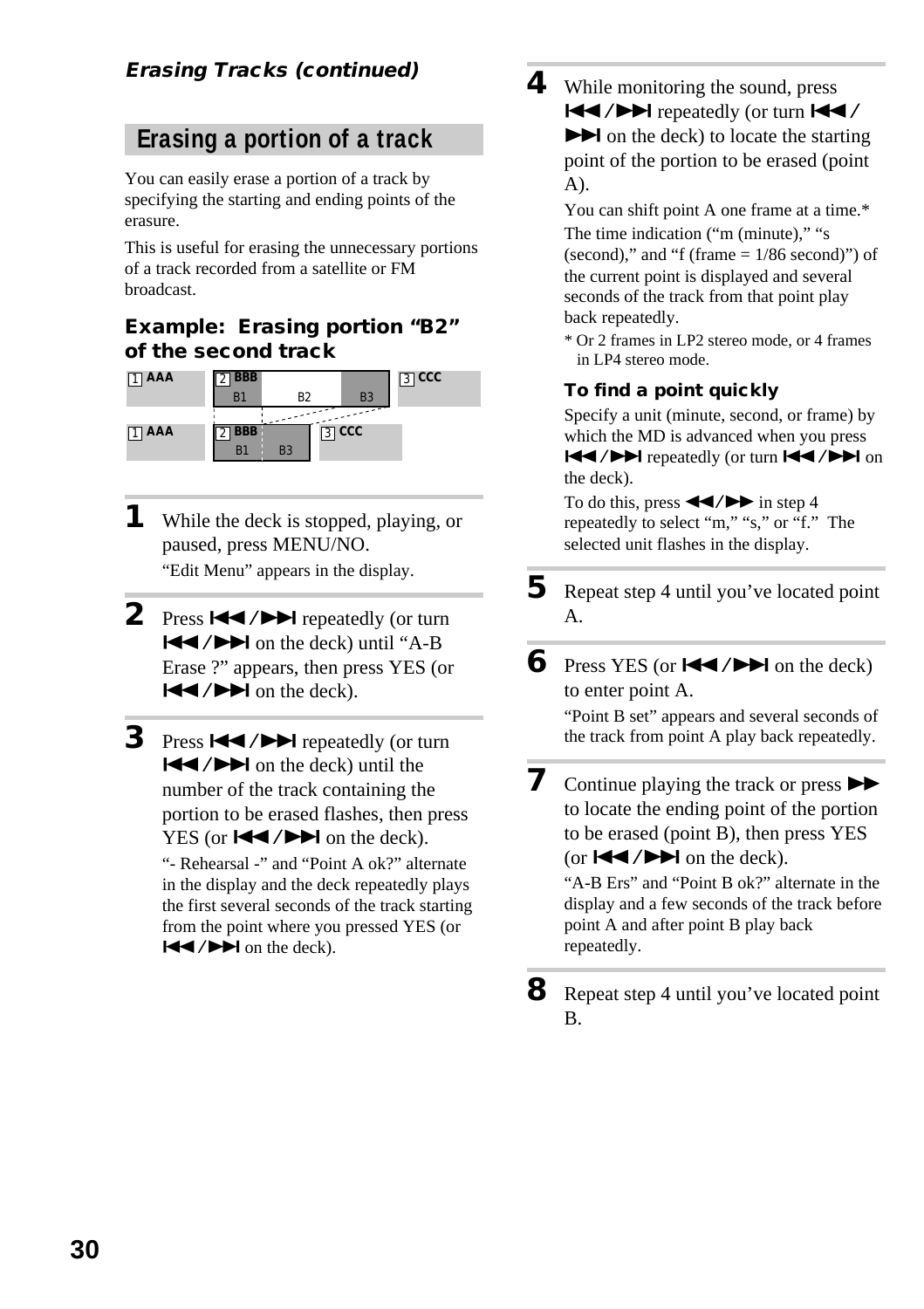#### **Erasing Tracks (continued)**

#### **Erasing a portion of a track**

You can easily erase a portion of a track by specifying the starting and ending points of the erasure.

This is useful for erasing the unnecessary portions of a track recorded from a satellite or FM broadcast.

#### **Example: Erasing portion "B2" of the second track**



- **1** While the deck is stopped, playing, or paused, press MENU/NO. "Edit Menu" appears in the display.
- **2** Press  $\blacktriangleright\blacktriangleleft$  / $\blacktriangleright\blacktriangleright\blacktriangleright$  repeatedly (or turn  $|\blacktriangleleft$  / $\rightharpoonup$  on the deck) until "A-B Erase ?" appears, then press YES (or  $|\blacktriangleleft$  / $\rightharpoonup$  on the deck).
- **3** Press  $\leftarrow$  / $\rightarrow$  repeatedly (or turn  $|\blacktriangleleft$  / $\rightharpoonup$  on the deck) until the number of the track containing the portion to be erased flashes, then press YES (or  $\blacktriangleleft$  / $\blacktriangleright$  on the deck). "- Rehearsal -" and "Point A ok?" alternate in the display and the deck repeatedly plays the first several seconds of the track starting from the point where you pressed YES (or  $|\blacktriangleleft$  / $\rightharpoonup$  on the deck).

**4** While monitoring the sound, press  $\blacktriangleright$   $\blacktriangleright$  repeatedly (or turn  $\blacktriangleright$  $\blacktriangleright$  on the deck) to locate the starting point of the portion to be erased (point A).

> You can shift point A one frame at a time.\* The time indication ("m (minute)," "s (second)," and "f (frame  $= 1/86$  second)") of

the current point is displayed and several seconds of the track from that point play back repeatedly.

\* Or 2 frames in LP2 stereo mode, or 4 frames in LP4 stereo mode.

#### **To find a point quickly**

Specify a unit (minute, second, or frame) by which the MD is advanced when you press  $\blacktriangleright$   $\blacktriangleright$  repeatedly (or turn  $\blacktriangleright$   $\blacktriangleright$   $\blacktriangleright$   $\blacktriangleright$  on the deck).

To do this, press  $\blacktriangleleft \blacktriangleleft \blacktriangleleft \blacktriangleright \blacktriangleright$  in step 4 repeatedly to select "m," "s," or "f." The selected unit flashes in the display.

- **5** Repeat step 4 until you've located point A.
- **6** Press YES (or  $\blacktriangleleft \blacktriangleleft \blacktriangleleft \blacktriangleright \blacktriangleright \blacktriangleleft$  on the deck) to enter point A.

"Point B set" appears and several seconds of the track from point A play back repeatedly.

**7** Continue playing the track or press  $\blacktriangleright$ to locate the ending point of the portion to be erased (point B), then press YES (or  $\blacktriangleleft$  / $\blacktriangleright$   $\blacktriangleright$  on the deck).

> "A-B Ers" and "Point B ok?" alternate in the display and a few seconds of the track before point A and after point B play back repeatedly.

**8** Repeat step 4 until you've located point B.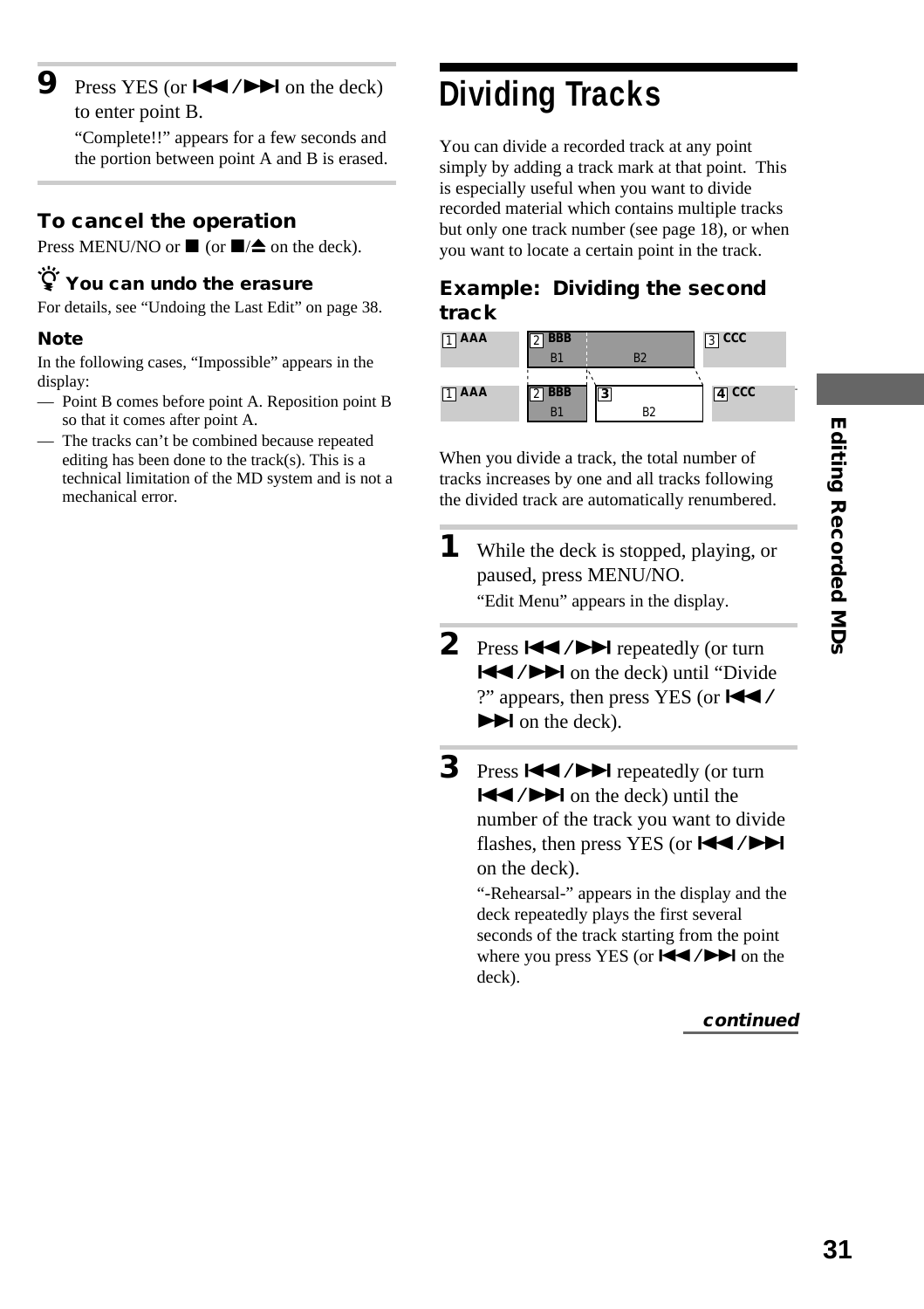**9** Press YES (or  $\blacktriangleleft$  / $\blacktriangleright$  on the deck) to enter point B.

> "Complete!!" appears for a few seconds and the portion between point A and B is erased.

#### **To cancel the operation**

Press MENU/NO or  $\blacksquare$  (or  $\blacksquare/\spadesuit$  on the deck).

#### z **You can undo the erasure**

For details, see "Undoing the Last Edit" on page 38.

#### **Note**

In the following cases, "Impossible" appears in the display:

- Point B comes before point A. Reposition point B so that it comes after point A.
- The tracks can't be combined because repeated editing has been done to the track(s). This is a technical limitation of the MD system and is not a mechanical error.

# **Dividing Tracks**

You can divide a recorded track at any point simply by adding a track mark at that point. This is especially useful when you want to divide recorded material which contains multiple tracks but only one track number (see page 18), or when you want to locate a certain point in the track.

#### **Example: Dividing the second track**

| $\Box$ AAA      | <b>BBB</b><br>B.                 | B <sub>2</sub>                            | $\boxed{3}$ CCC |  |
|-----------------|----------------------------------|-------------------------------------------|-----------------|--|
| $\boxed{1}$ AAA | $2$ <b>BBB</b><br>B <sup>*</sup> | $\overline{\mathbf{3}}$<br>R <sub>2</sub> | $\sqrt{4}$ CCC  |  |

When you divide a track, the total number of tracks increases by one and all tracks following the divided track are automatically renumbered.

- **1** While the deck is stopped, playing, or paused, press MENU/NO. "Edit Menu" appears in the display.
- **2** Press ./> repeatedly (or turn ./> on the deck) until "Divide ?" appears, then press YES (or  $\blacktriangleleft \blacktriangleleft$  /  $\blacktriangleright$  on the deck).
- **3** Press  $\leftarrow$  /> repeatedly (or turn  $|\blacktriangleleft$  / $\rightharpoonup$  on the deck) until the number of the track you want to divide flashes, then press YES (or  $\blacktriangleleft$ / $\blacktriangleright$ ) on the deck). "-Rehearsal-" appears in the display and the

deck repeatedly plays the first several seconds of the track starting from the point where you press YES (or  $\blacktriangleleft$  / $\blacktriangleright$  on the deck).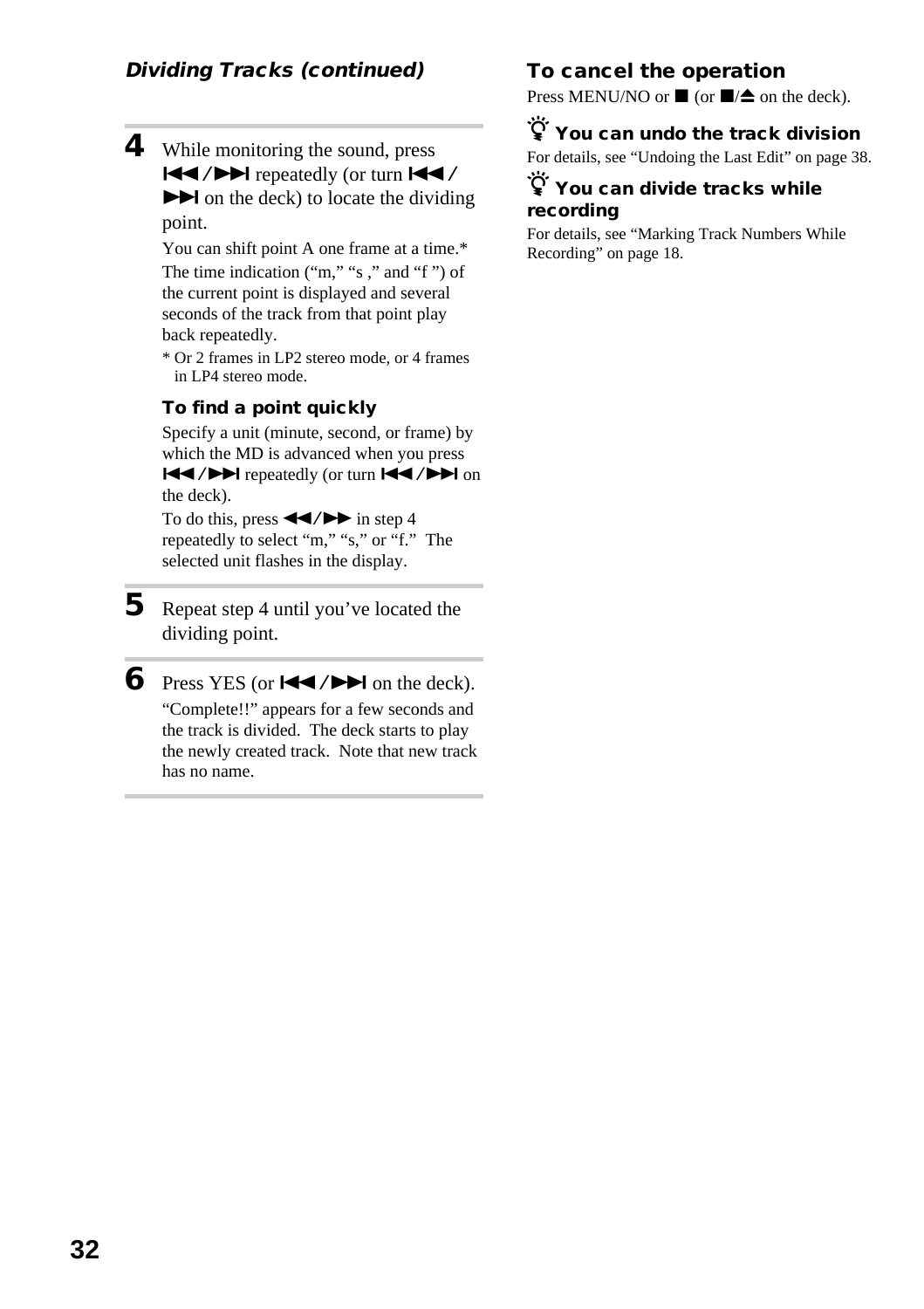**4** While monitoring the sound, press  $\blacktriangleleft$  / $\blacktriangleright$  repeatedly (or turn  $\blacktriangleleft\checkmark$  $\blacktriangleright$  on the deck) to locate the dividing point.

> You can shift point A one frame at a time.\* The time indication ("m," "s ," and "f ") of the current point is displayed and several seconds of the track from that point play back repeatedly.

> \* Or 2 frames in LP2 stereo mode, or 4 frames in LP4 stereo mode.

#### **To find a point quickly**

Specify a unit (minute, second, or frame) by which the MD is advanced when you press  $H = / H$  repeatedly (or turn  $H = / H$  on the deck).

To do this, press  $\blacktriangleleft$ / $\blacktriangleright$  in step 4 repeatedly to select "m," "s," or "f." The selected unit flashes in the display.

**5** Repeat step 4 until you've located the dividing point.

**6** Press YES (or  $\blacktriangleleft \land \blacktriangleright \blacktriangleright \blacktriangleleft$  on the deck). "Complete!!" appears for a few seconds and the track is divided. The deck starts to play the newly created track. Note that new track has no name.

#### **To cancel the operation**

Press MENU/NO or  $\blacksquare$  (or  $\blacksquare/\blacktriangle$  on the deck).

#### z **You can undo the track division**

For details, see "Undoing the Last Edit" on page 38.

#### z **You can divide tracks while recording**

For details, see "Marking Track Numbers While Recording" on page 18.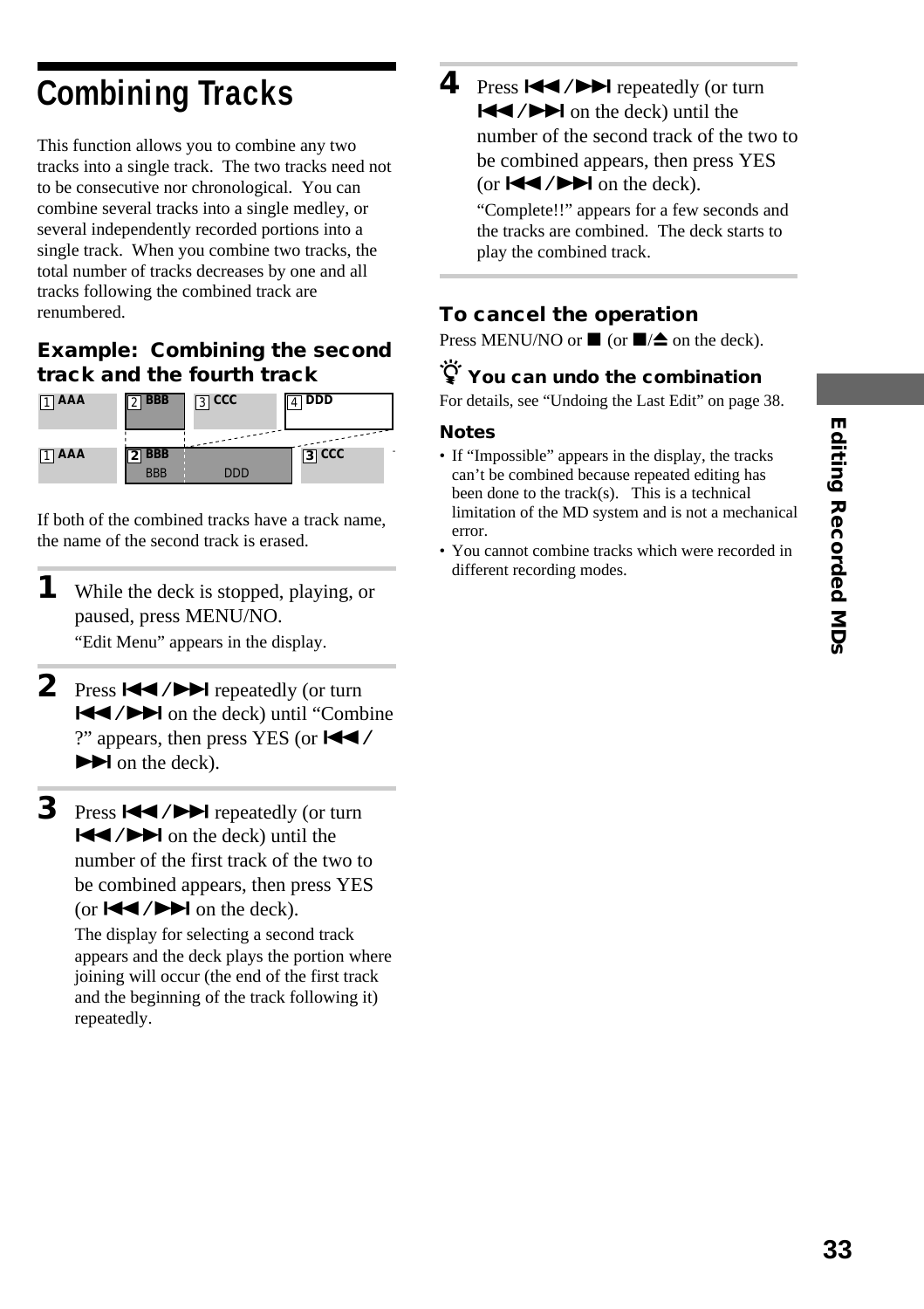# **Combining Tracks**

This function allows you to combine any two tracks into a single track. The two tracks need not to be consecutive nor chronological. You can combine several tracks into a single medley, or several independently recorded portions into a single track. When you combine two tracks, the total number of tracks decreases by one and all tracks following the combined track are renumbered.

#### **Example: Combining the second track and the fourth track**



If both of the combined tracks have a track name, the name of the second track is erased.

- **1** While the deck is stopped, playing, or paused, press MENU/NO. "Edit Menu" appears in the display.
- **2** Press ./> repeatedly (or turn  $|\blacktriangleleft$  / $\rightharpoonup$  on the deck) until "Combine" ?" appears, then press YES (or  $\blacktriangleleft \blacktriangleleft$  /  $\blacktriangleright$  on the deck).
- **3** Press  $\leftarrow$  / $\rightarrow$  repeatedly (or turn  $|\blacktriangleleft$  / $\rightharpoonup$  on the deck) until the number of the first track of the two to be combined appears, then press YES (or  $\blacktriangleleft$  / $\blacktriangleright$   $\blacktriangleright$  on the deck).

The display for selecting a second track appears and the deck plays the portion where joining will occur (the end of the first track and the beginning of the track following it) repeatedly.

**4** Press  $\blacktriangleright\blacktriangleleft$  / $\blacktriangleright\blacktriangleright\blacktriangleright$  repeatedly (or turn  $|\blacktriangleleft$  / $\rightharpoonup$  on the deck) until the number of the second track of the two to be combined appears, then press YES (or  $\blacktriangleleft$  / $\blacktriangleright$  on the deck).

"Complete!!" appears for a few seconds and the tracks are combined. The deck starts to play the combined track.

#### **To cancel the operation**

Press MENU/NO or  $\blacksquare$  (or  $\blacksquare/\spadesuit$  on the deck).

#### z **You can undo the combination**

For details, see "Undoing the Last Edit" on page 38.

#### **Notes**

- If "Impossible" appears in the display, the tracks can't be combined because repeated editing has been done to the track(s). This is a technical limitation of the MD system and is not a mechanical error.
- You cannot combine tracks which were recorded in different recording modes.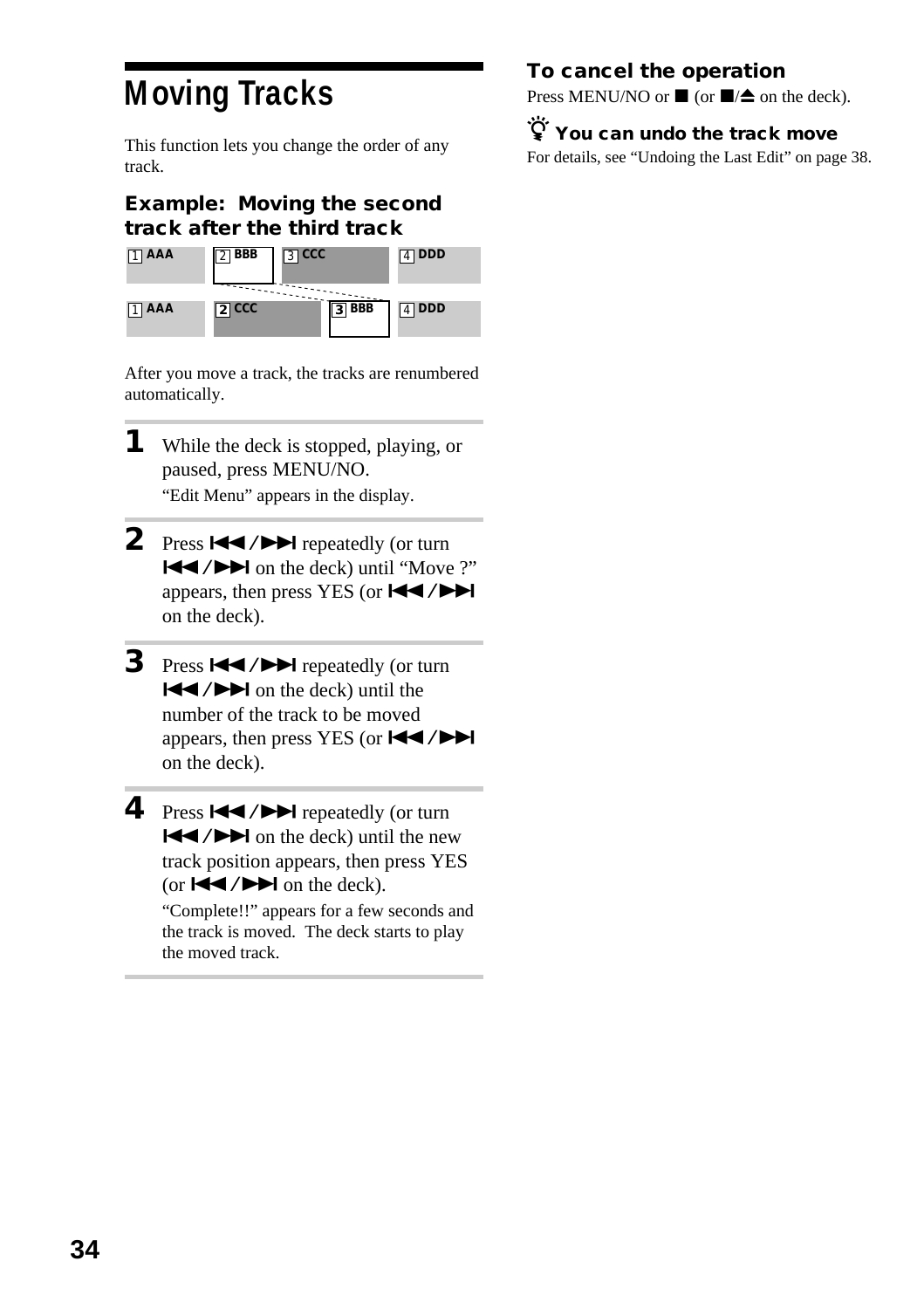# **Moving Tracks**

This function lets you change the order of any track.

#### **Example: Moving the second track after the third track**



After you move a track, the tracks are renumbered automatically.

- **1** While the deck is stopped, playing, or paused, press MENU/NO. "Edit Menu" appears in the display.
- **2** Press  $\blacktriangleright\blacktriangleleft$  / $\blacktriangleright\blacktriangleright\blacktriangleright$  repeatedly (or turn ./> on the deck) until "Move ?" appears, then press YES (or  $\blacktriangleleft \angle \blacktriangleright \blacktriangleright \blacktriangleleft$ on the deck).
- **3** Press  $\leftarrow$  / $\rightarrow$  repeatedly (or turn  $|\blacktriangleleft$  / $\rightharpoonup$  on the deck) until the number of the track to be moved appears, then press YES (or  $\blacktriangleleft \blacktriangleleft \blacktriangleleft \blacktriangleright \blacktriangleright \blacktriangleright$ on the deck).
- **4** Press  $\blacktriangleright\blacktriangleleft$  / $\blacktriangleright\blacktriangleright\blacktriangleright$  repeatedly (or turn  $\blacktriangleleft$  / $\blacktriangleright$  on the deck) until the new track position appears, then press YES (or  $\blacktriangleright\blacktriangleleft$  / $\blacktriangleright\blacktriangleright\blacktriangleright$  on the deck).

"Complete!!" appears for a few seconds and the track is moved. The deck starts to play the moved track.

#### **To cancel the operation**

Press MENU/NO or  $\blacksquare$  (or  $\blacksquare/\spadesuit$  on the deck).

z **You can undo the track move** For details, see "Undoing the Last Edit" on page 38.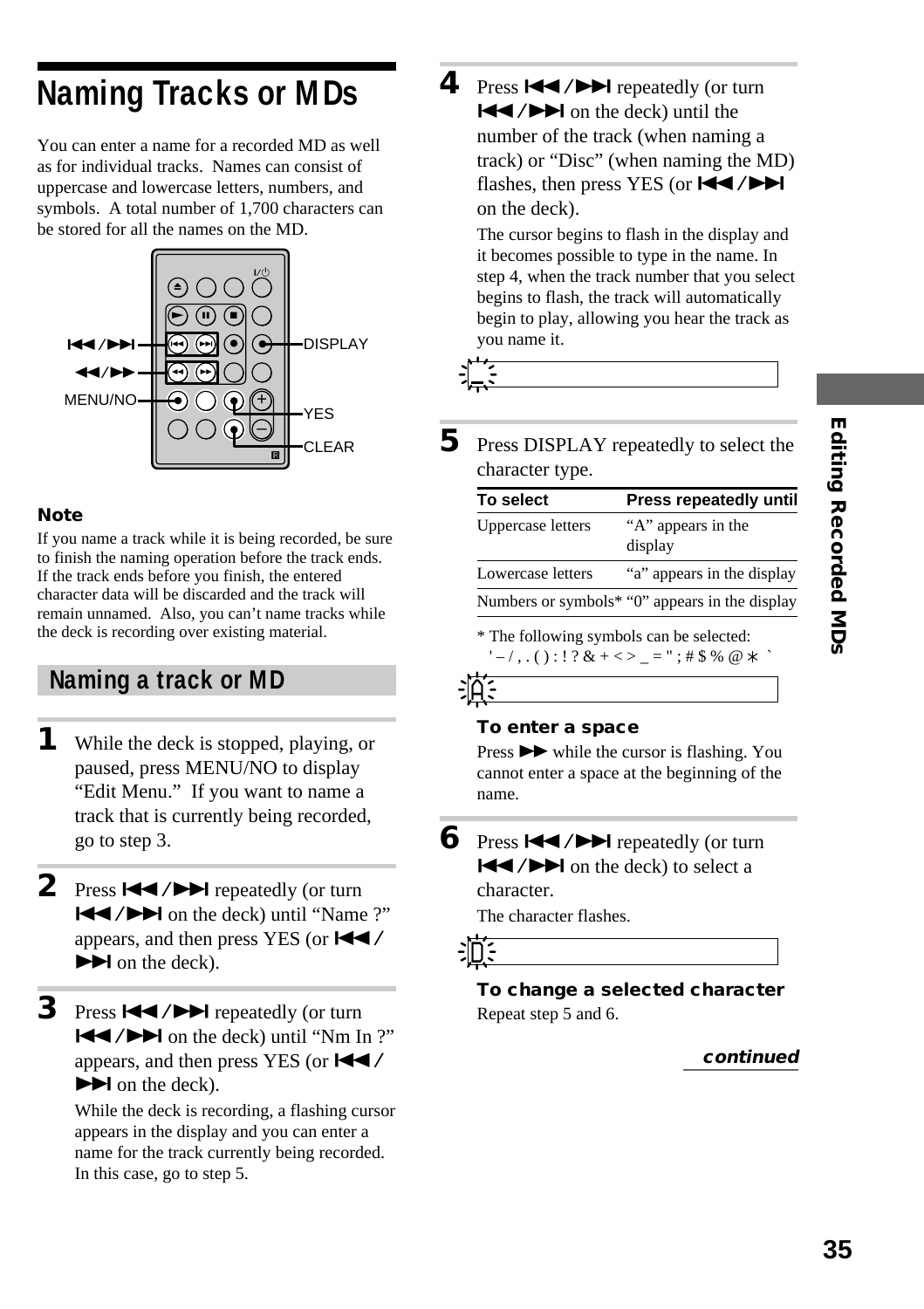# **Naming Tracks or MDs**

You can enter a name for a recorded MD as well as for individual tracks. Names can consist of uppercase and lowercase letters, numbers, and symbols. A total number of 1,700 characters can be stored for all the names on the MD.



#### **Note**

If you name a track while it is being recorded, be sure to finish the naming operation before the track ends. If the track ends before you finish, the entered character data will be discarded and the track will remain unnamed. Also, you can't name tracks while the deck is recording over existing material.

#### **Naming a track or MD**

- **1** While the deck is stopped, playing, or paused, press MENU/NO to display "Edit Menu." If you want to name a track that is currently being recorded, go to step 3.
- 2 Press  $\blacktriangleleft$  / $\blacktriangleright$  repeatedly (or turn **EXECUTE:** The deck) until "Name ?" appears, and then press YES (or  $\blacktriangleleft \blacktriangleleft$  /  $\blacktriangleright$  on the deck).
- **3** Press  $\leftarrow$  / $\rightarrow$  repeatedly (or turn  $\blacktriangleleft$  / $\blacktriangleright$  on the deck) until "Nm In ?" appears, and then press YES (or  $\blacktriangleleft \blacktriangleleft$  /  $\blacktriangleright$  on the deck).

While the deck is recording, a flashing cursor appears in the display and you can enter a name for the track currently being recorded. In this case, go to step 5.

**4** Press  $\left| \right|$  **/>>** repeatedly (or turn  $|\blacktriangleleft$  / $\rightharpoonup$  on the deck) until the number of the track (when naming a track) or "Disc" (when naming the MD) flashes, then press YES (or  $H$  />> on the deck).

The cursor begins to flash in the display and it becomes possible to type in the name. In step 4, when the track number that you select begins to flash, the track will automatically begin to play, allowing you hear the track as you name it.



**5** Press DISPLAY repeatedly to select the character type.

| Press repeatedly until                         |
|------------------------------------------------|
| "A" appears in the<br>display                  |
| "a" appears in the display                     |
| Numbers or symbols* "0" appears in the display |
|                                                |

\* The following symbols can be selected:  $' = /$ ,.():!? & + < > \_ = ";# \$ % @ \* `

#### *A*

*D*

#### **To enter a space**

Press  $\rightarrow \bullet$  while the cursor is flashing. You cannot enter a space at the beginning of the name.

**6** Press  $\blacktriangleleft$  / $\blacktriangleright$  repeatedly (or turn  $\blacktriangleleft$  / $\blacktriangleright$  on the deck) to select a character.

The character flashes.

**To change a selected character** Repeat step 5 and 6.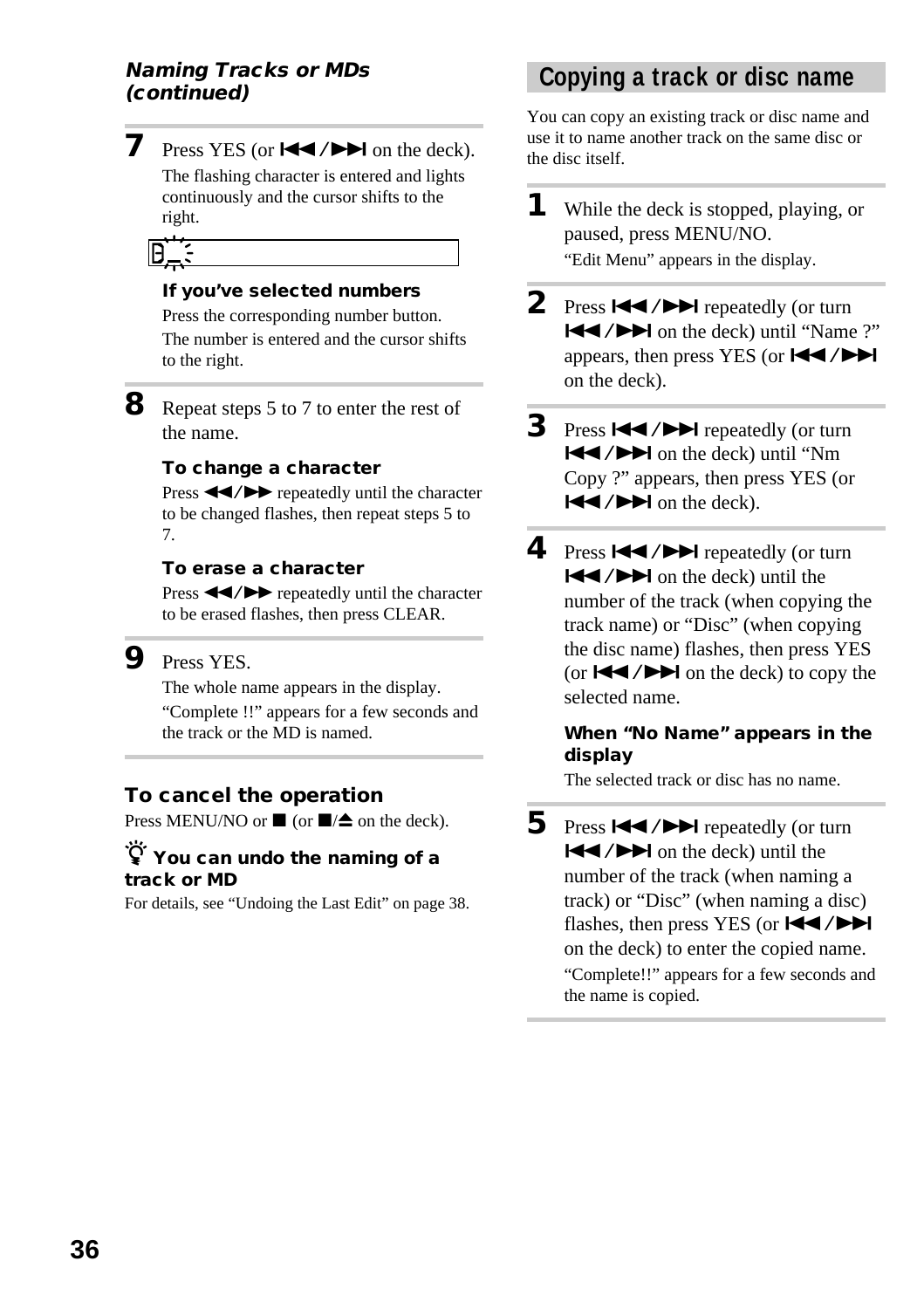# **Naming Tracks or MDs**

**7** Press YES (or  $\blacktriangleleft \blacktriangleleft \blacktriangleleft \blacktriangleright \blacktriangleright \blacktriangleleft$  on the deck).

The flashing character is entered and lights continuously and the cursor shifts to the right.

*D*

#### **If you've selected numbers**

Press the corresponding number button. The number is entered and the cursor shifts to the right.

**8** Repeat steps 5 to 7 to enter the rest of the name.

#### **To change a character**

Press  $\blacktriangleleft$  / $\blacktriangleright$  repeatedly until the character to be changed flashes, then repeat steps 5 to 7.

#### **To erase a character**

Press  $\blacktriangleleft$  / $\blacktriangleright$  repeatedly until the character to be erased flashes, then press CLEAR.

#### **9** Press YES.

The whole name appears in the display. "Complete !!" appears for a few seconds and the track or the MD is named.

#### **To cancel the operation**

Press MENU/NO or  $\blacksquare$  (or  $\blacksquare/\spadesuit$  on the deck).

#### z **You can undo the naming of a track or MD**

For details, see "Undoing the Last Edit" on page 38.

# **(continued) Copying a track or disc name**

You can copy an existing track or disc name and use it to name another track on the same disc or the disc itself.

**1** While the deck is stopped, playing, or paused, press MENU/NO. "Edit Menu" appears in the display.

- 2 Press  $\blacktriangleright\blacktriangleleft$  / $\blacktriangleright\blacktriangleright\blacktriangleright$  repeatedly (or turn **EXECUTE:** The deck) until "Name ?" appears, then press YES (or  $\blacktriangleleft \blacktriangleleft \blacktriangleleft \blacktriangleright \blacktriangleright \blacktriangleleft$ on the deck).
- **3** Press  $\leftarrow$  / $\rightarrow$  repeatedly (or turn  $\blacktriangleleft$  / $\blacktriangleright$  on the deck) until "Nm Copy ?" appears, then press YES (or  $\blacktriangleright$   $\blacktriangleright$   $\blacktriangleright$  on the deck).
- **4** Press  $\leftarrow$  /> repeatedly (or turn  $|\blacktriangleleft$  / $\rightharpoonup$  on the deck) until the number of the track (when copying the track name) or "Disc" (when copying the disc name) flashes, then press YES (or  $\blacktriangleleft$  / $\blacktriangleright$  on the deck) to copy the selected name.

#### **When "No Name" appears in the display**

The selected track or disc has no name.

**5** Press  $\blacktriangleright\blacktriangleleft$  / $\blacktriangleright\blacktriangleright\blacktriangleright$  repeatedly (or turn  $\blacktriangleleft$  / $\blacktriangleright$  on the deck) until the number of the track (when naming a track) or "Disc" (when naming a disc) flashes, then press YES (or  $H$  />> on the deck) to enter the copied name. "Complete!!" appears for a few seconds and the name is copied.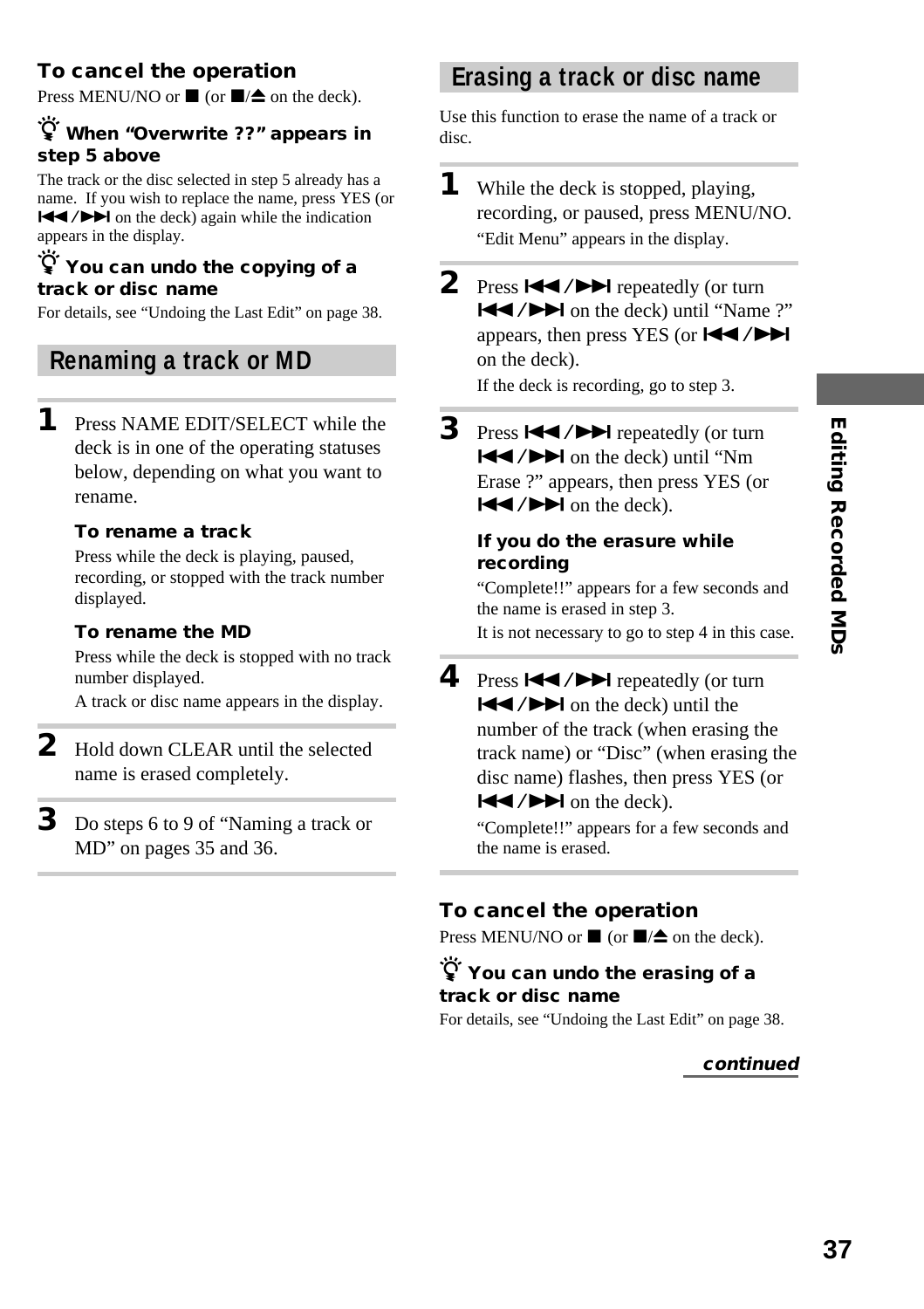# **Editing Recorded MDs 37Editing Recorded MDs**

#### **To cancel the operation**

Press MENU/NO or  $\blacksquare$  (or  $\blacksquare/\spadesuit$  on the deck).

#### z **When "Overwrite ??" appears in step 5 above**

The track or the disc selected in step 5 already has a name. If you wish to replace the name, press YES (or  $|\blacktriangleleft$  / $\rightharpoonup$  on the deck) again while the indication appears in the display.

#### z **You can undo the copying of a track or disc name**

For details, see "Undoing the Last Edit" on page 38.

#### **Renaming a track or MD**

**1** Press NAME EDIT/SELECT while the deck is in one of the operating statuses below, depending on what you want to rename.

#### **To rename a track**

Press while the deck is playing, paused, recording, or stopped with the track number displayed.

#### **To rename the MD**

Press while the deck is stopped with no track number displayed.

A track or disc name appears in the display.

- **2** Hold down CLEAR until the selected name is erased completely.
- **3** Do steps 6 to 9 of "Naming a track or MD" on pages 35 and 36.

#### **Erasing a track or disc name**

Use this function to erase the name of a track or disc.

- **1** While the deck is stopped, playing, recording, or paused, press MENU/NO. "Edit Menu" appears in the display.
- **2** Press  $\leftarrow$  / $\rightarrow$  repeatedly (or turn ./> on the deck) until "Name ?" appears, then press YES (or ./> on the deck).

If the deck is recording, go to step 3.

**3** Press  $\left| \bigcup_{n=1}^{\infty} \right|$  repeatedly (or turn  $|\blacktriangleleft$  / $\rightharpoonup$   $\blacktriangleright$  on the deck) until "Nm Erase ?" appears, then press YES (or  $\blacktriangleright$   $\blacktriangleright$   $\blacktriangleright$  on the deck).

#### **If you do the erasure while recording**

"Complete!!" appears for a few seconds and the name is erased in step 3. It is not necessary to go to step 4 in this case.

**4** Press  $\blacktriangleright\blacktriangleleft$  / $\blacktriangleright\blacktriangleright\blacktriangleright$  repeatedly (or turn  $|\blacktriangleleft$  / $\rightharpoonup$  on the deck) until the number of the track (when erasing the track name) or "Disc" (when erasing the disc name) flashes, then press YES (or  $|\blacktriangleleft$  / $\rightharpoonup$  on the deck).

> "Complete!!" appears for a few seconds and the name is erased.

#### **To cancel the operation**

Press MENU/NO or  $\blacksquare$  (or  $\blacksquare/\spadesuit$  on the deck).

#### z **You can undo the erasing of a track or disc name**

For details, see "Undoing the Last Edit" on page 38.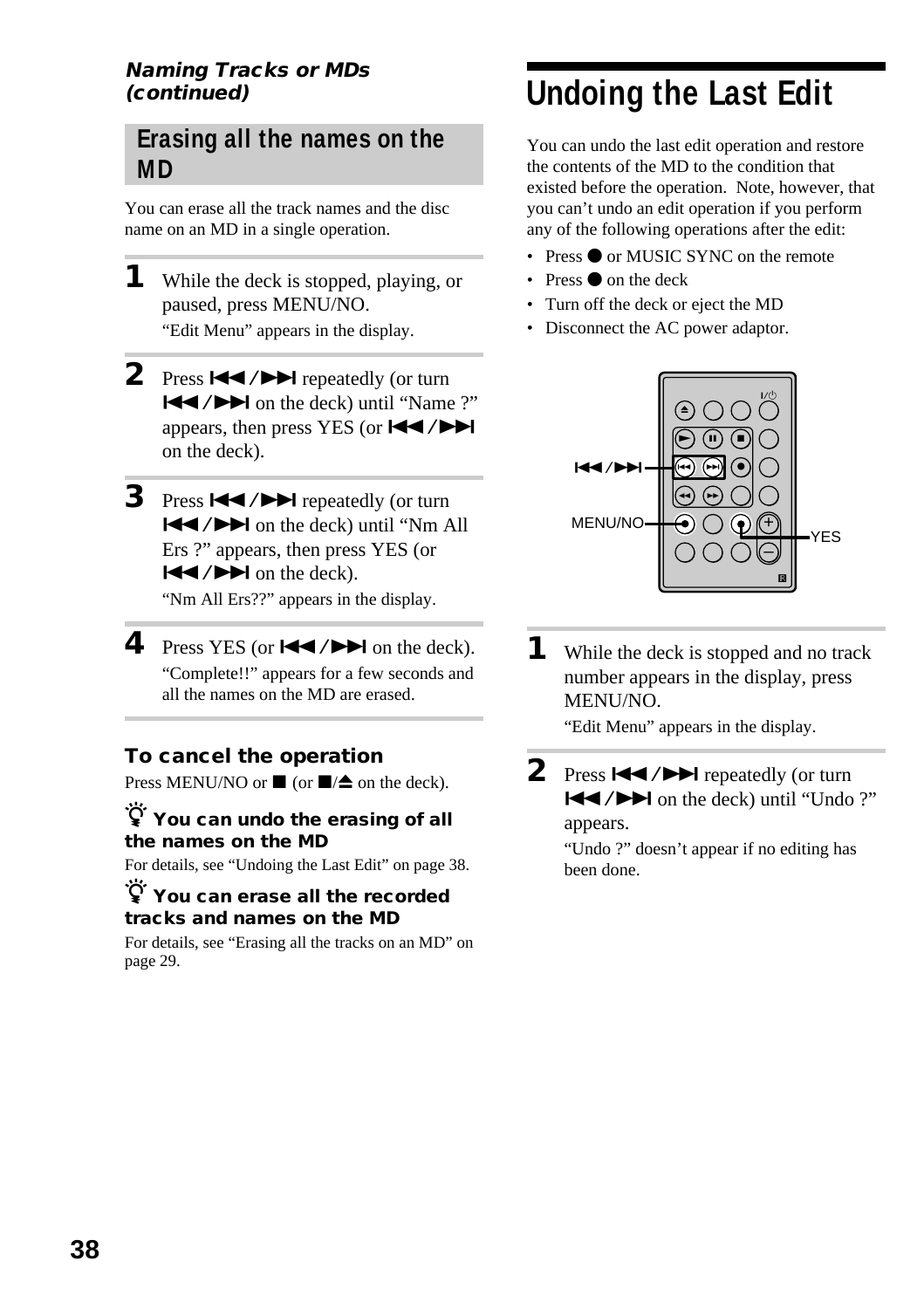#### **Naming Tracks or MDs (continued)**

#### **Erasing all the names on the MD**

You can erase all the track names and the disc name on an MD in a single operation.

**1** While the deck is stopped, playing, or paused, press MENU/NO. "Edit Menu" appears in the display.

- 2 Press  $\blacktriangleright\blacktriangleleft$  / $\blacktriangleright\blacktriangleright\blacktriangleright$  repeatedly (or turn **EXECUTE:** The deck) until "Name ?" appears, then press YES (or  $H$  /> on the deck).
- **3** Press  $\left| \bigcup_{n=1}^{\infty} \right|$  repeatedly (or turn  $\blacktriangleleft$  / $\blacktriangleright$  on the deck) until "Nm All Ers ?" appears, then press YES (or  $\blacktriangleright$   $\blacktriangleright$   $\blacktriangleright$  on the deck). "Nm All Ers??" appears in the display.

**4** Press YES (or  $\blacktriangleleft \land \blacktriangleright \blacktriangleright \blacktriangleleft$  on the deck). "Complete!!" appears for a few seconds and all the names on the MD are erased.

#### **To cancel the operation**

Press MENU/NO or  $\blacksquare$  (or  $\blacksquare/\spadesuit$  on the deck).

#### $\widetilde{Q}$  You can undo the erasing of all **the names on the MD**

For details, see "Undoing the Last Edit" on page 38.

#### $\dddot{\mathbf{V}}$  You can erase all the recorded **tracks and names on the MD**

For details, see "Erasing all the tracks on an MD" on page 29.

# **Undoing the Last Edit**

You can undo the last edit operation and restore the contents of the MD to the condition that existed before the operation. Note, however, that you can't undo an edit operation if you perform any of the following operations after the edit:

- Press  $\bullet$  or MUSIC SYNC on the remote
- **Press**  $\bullet$  on the deck
- Turn off the deck or eject the MD
- Disconnect the AC power adaptor.



**1** While the deck is stopped and no track number appears in the display, press MENU/NO.

"Edit Menu" appears in the display.

**2** Press  $\blacktriangleright\blacktriangleleft$  / $\blacktriangleright\blacktriangleright\blacktriangleright$  repeatedly (or turn ./> on the deck) until "Undo ?" appears.

> "Undo ?" doesn't appear if no editing has been done.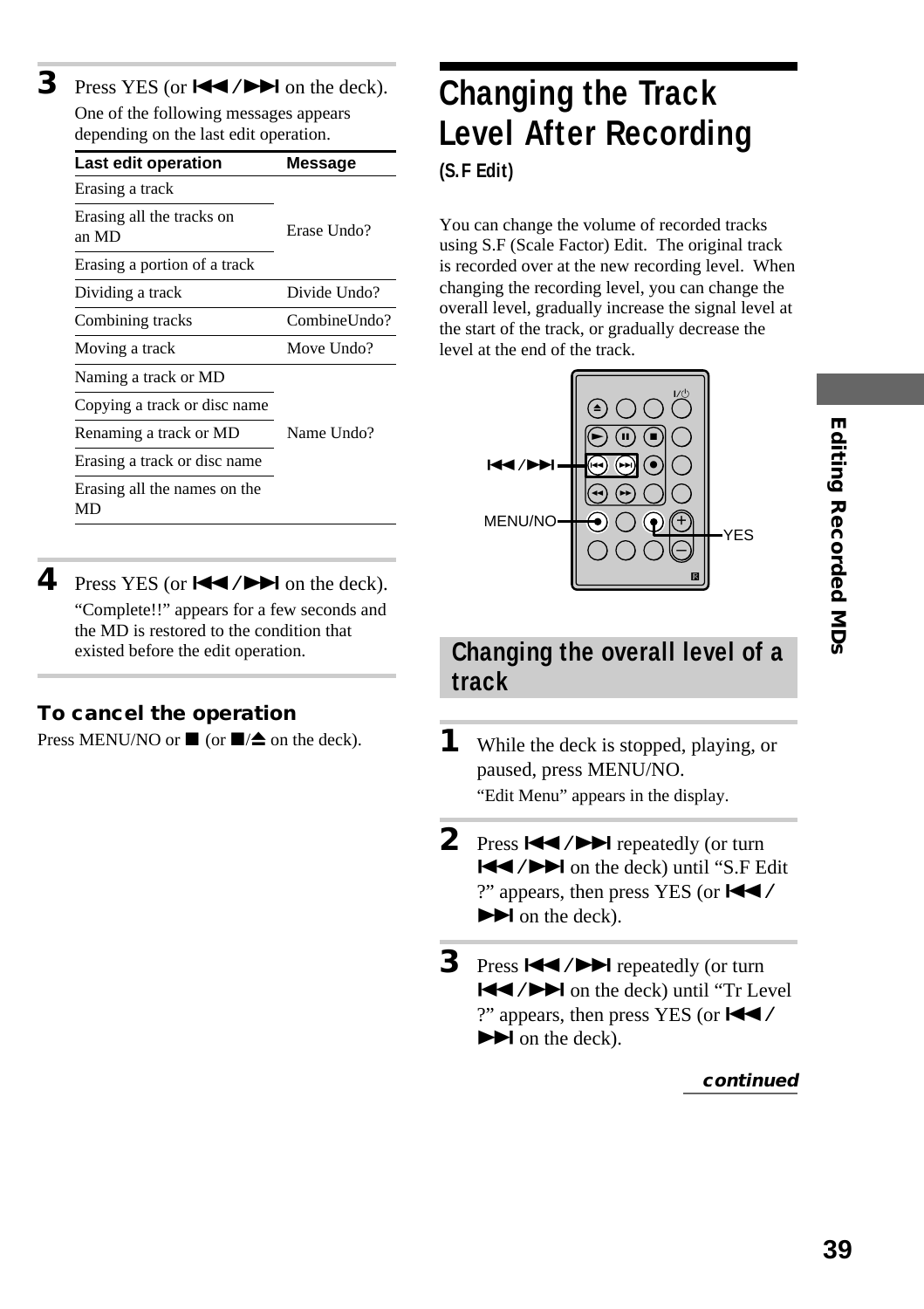**3** Press YES (or  $\blacktriangleleft \land \blacktriangleright \blacktriangleright \blacktriangleleft$  on the deck). One of the following messages appears depending on the last edit operation.

| Last edit operation                | Message      |
|------------------------------------|--------------|
| Erasing a track                    |              |
| Erasing all the tracks on<br>an MD | Erase Undo?  |
| Erasing a portion of a track       |              |
| Dividing a track                   | Divide Undo? |
| Combining tracks                   | CombineUndo? |
| Moving a track                     | Move Undo?   |
| Naming a track or MD               |              |
| Copying a track or disc name       |              |
| Renaming a track or MD             | Name Undo?   |
| Erasing a track or disc name       |              |
| Erasing all the names on the<br>MD |              |

**4** Press YES (or  $\blacktriangleleft \land \blacktriangleright \blacktriangleright \blacktriangleleft$  on the deck). "Complete!!" appears for a few seconds and the MD is restored to the condition that existed before the edit operation.

#### **To cancel the operation**

Press MENU/NO or  $\blacksquare$  (or  $\blacksquare/\spadesuit$  on the deck).

# **Changing the Track Level After Recording (S.F Edit)**

You can change the volume of recorded tracks using S.F (Scale Factor) Edit. The original track is recorded over at the new recording level. When changing the recording level, you can change the overall level, gradually increase the signal level at the start of the track, or gradually decrease the level at the end of the track.



# **39Editing Recorded MDs Editing Recorded MDs**

#### **Changing the overall level of a track**

- **1** While the deck is stopped, playing, or paused, press MENU/NO. "Edit Menu" appears in the display.
- **2** Press  $\blacktriangleright\blacktriangleleft$  / $\blacktriangleright\blacktriangleright\blacktriangleright$  repeatedly (or turn  $\blacktriangleleft$  / $\blacktriangleright$  on the deck) until "S.F Edit ?" appears, then press YES (or  $\blacktriangleleft \blacktriangleleft$  /  $\blacktriangleright$  on the deck).
- **3** Press  $\blacktriangleright\blacktriangleleft$  / $\blacktriangleright\blacktriangleright\blacktriangleright$  repeatedly (or turn  $\blacktriangleleft$  / $\blacktriangleright$  on the deck) until "Tr Level ?" appears, then press YES (or  $\blacktriangleleft \blacktriangleleft$  /  $\blacktriangleright$  on the deck).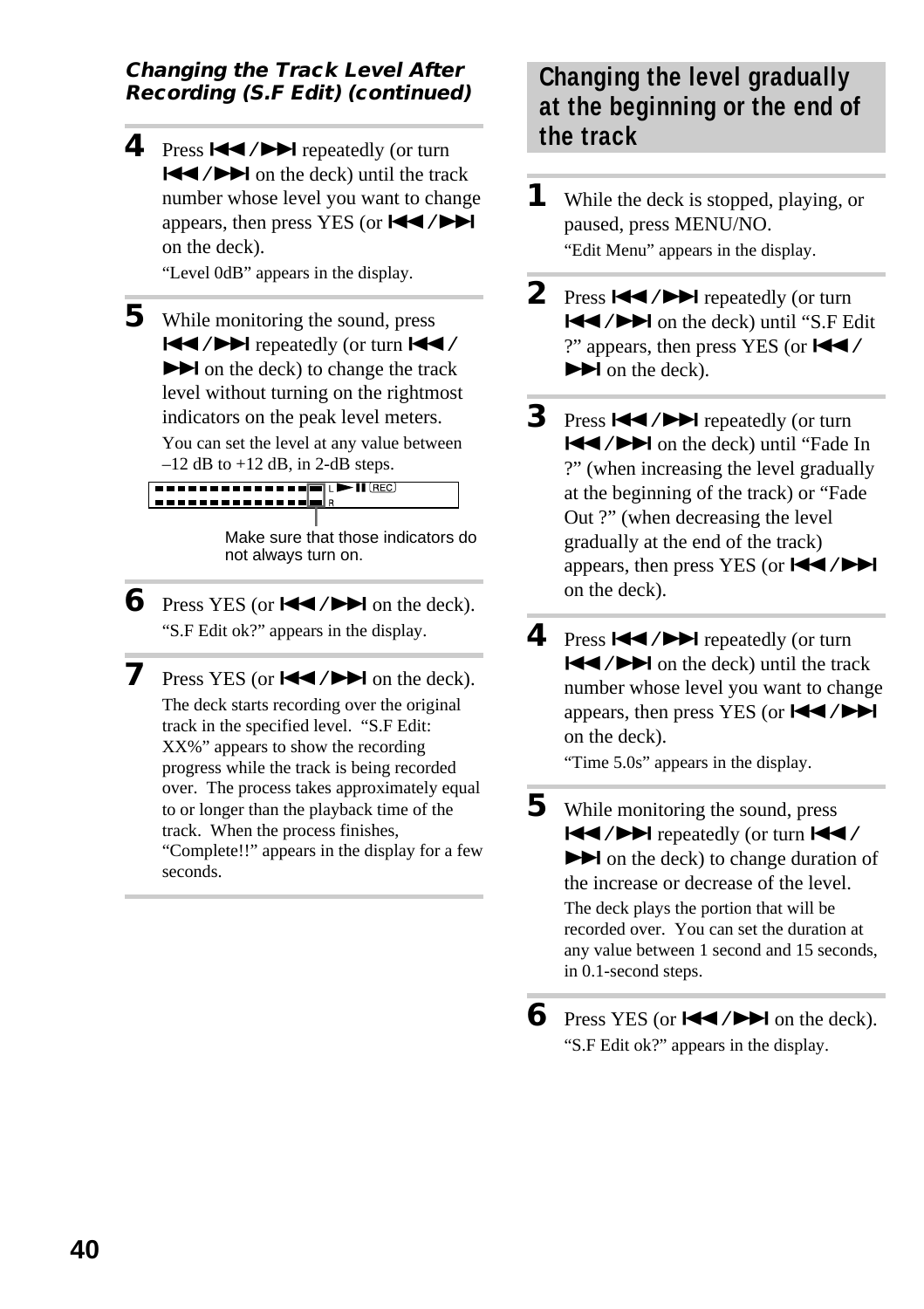#### **Changing the Track Level After Recording (S.F Edit) (continued)**

**4** Press  $\left| \right|$  **/>** repeatedly (or turn  $\blacktriangleleft$  / $\blacktriangleright$  on the deck) until the track number whose level you want to change appears, then press YES (or  $\blacktriangleleft \blacktriangleleft \blacktriangleleft \blacktriangleright \blacktriangleright \blacktriangleright$ on the deck).

"Level 0dB" appears in the display.

**5** While monitoring the sound, press  $\blacktriangleleft$  / $\blacktriangleright$  repeatedly (or turn  $\blacktriangleleft\blacktriangleleft$  /  $\blacktriangleright$  on the deck) to change the track level without turning on the rightmost indicators on the peak level meters.

You can set the level at any value between  $-12$  dB to  $+12$  dB, in 2-dB steps.

**THE REPORT OF A SHIP ( ) DEC** ( ) <u>La se e e e e e e e e e elegi s</u>

> Make sure that those indicators do not always turn on.

**6** Press YES (or  $\blacktriangleleft \blacktriangleleft \blacktriangleleft \blacktriangleright \blacktriangleright \blacktriangleleft$  on the deck). "S.F Edit ok?" appears in the display.

**7** Press YES (or  $\blacktriangleleft \blacktriangleleft \blacktriangleleft \blacktriangleright \blacktriangleright \blacktriangleleft$  on the deck). The deck starts recording over the original track in the specified level. "S.F Edit: XX%" appears to show the recording progress while the track is being recorded over. The process takes approximately equal to or longer than the playback time of the track. When the process finishes, "Complete!!" appears in the display for a few seconds.

#### **Changing the level gradually at the beginning or the end of the track**

- **1** While the deck is stopped, playing, or paused, press MENU/NO. "Edit Menu" appears in the display.
- 2 Press  $\blacktriangleright\blacktriangleleft$  / $\blacktriangleright\blacktriangleright\blacktriangleright$  repeatedly (or turn ./> on the deck) until "S.F Edit ?" appears, then press YES (or  $\blacktriangleleft \blacktriangleleft$  /  $\blacktriangleright$  on the deck).
- **3** Press  $\leftarrow$  / $\rightarrow$  repeatedly (or turn  $\blacktriangleleft$  / $\blacktriangleright$  on the deck) until "Fade In ?" (when increasing the level gradually at the beginning of the track) or "Fade Out ?" (when decreasing the level gradually at the end of the track) appears, then press YES (or  $\blacktriangleleft \blacktriangleleft \blacktriangleleft \blacktriangleright \blacktriangleright \blacktriangleleft$ on the deck).
- **4** Press  $\blacktriangleleft$  / $\blacktriangleright$  repeatedly (or turn  $\blacktriangleleft$  / $\blacktriangleright$  on the deck) until the track number whose level you want to change appears, then press YES (or  $\blacktriangleleft$  / $\blacktriangleright$ ) on the deck).

"Time 5.0s" appears in the display.

**5** While monitoring the sound, press ./> repeatedly (or turn ./  $\blacktriangleright$  on the deck) to change duration of the increase or decrease of the level.

> The deck plays the portion that will be recorded over. You can set the duration at any value between 1 second and 15 seconds, in 0.1-second steps.

**6** Press YES (or  $\blacktriangleleft \land \blacktriangleright \blacktriangleright \blacktriangleleft$  on the deck). "S.F Edit ok?" appears in the display.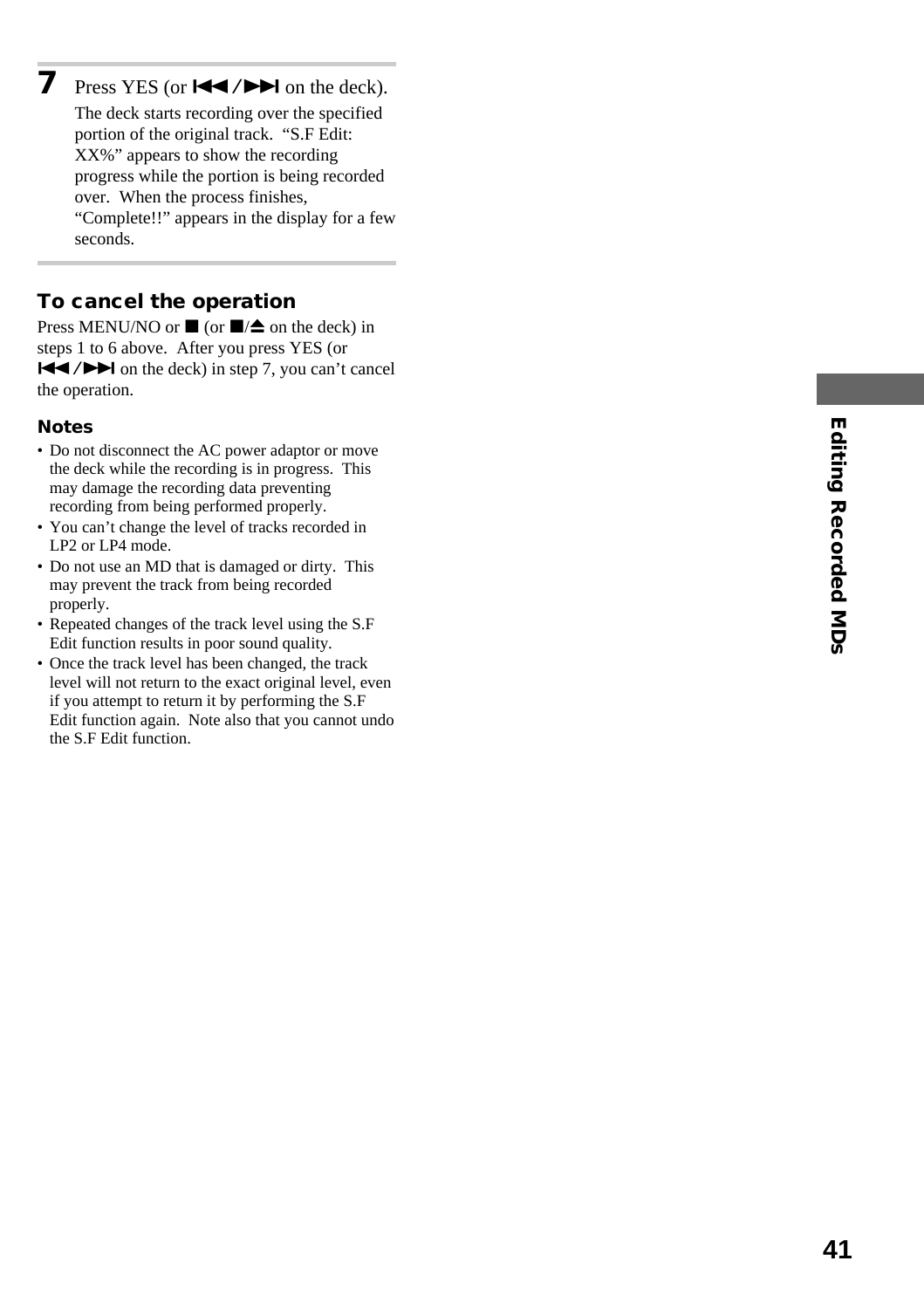**7** Press YES (or  $\blacktriangleleft \blacktriangleleft \blacktriangleleft \blacktriangleright \blacktriangleright \blacktriangleleft$  on the deck). The deck starts recording over the specified portion of the original track. "S.F Edit: XX%" appears to show the recording progress while the portion is being recorded over. When the process finishes, "Complete!!" appears in the display for a few seconds.

#### **To cancel the operation**

Press MENU/NO or  $\blacksquare$  (or  $\blacksquare/\spadesuit$  on the deck) in steps 1 to 6 above. After you press YES (or  $\blacktriangleleft$  / $\blacktriangleright$  on the deck) in step 7, you can't cancel the operation.

#### **Notes**

- Do not disconnect the AC power adaptor or move the deck while the recording is in progress. This may damage the recording data preventing recording from being performed properly.
- You can't change the level of tracks recorded in LP2 or LP4 mode.
- Do not use an MD that is damaged or dirty. This may prevent the track from being recorded properly.
- Repeated changes of the track level using the S.F Edit function results in poor sound quality.
- Once the track level has been changed, the track level will not return to the exact original level, even if you attempt to return it by performing the S.F Edit function again. Note also that you cannot undo the S.F Edit function.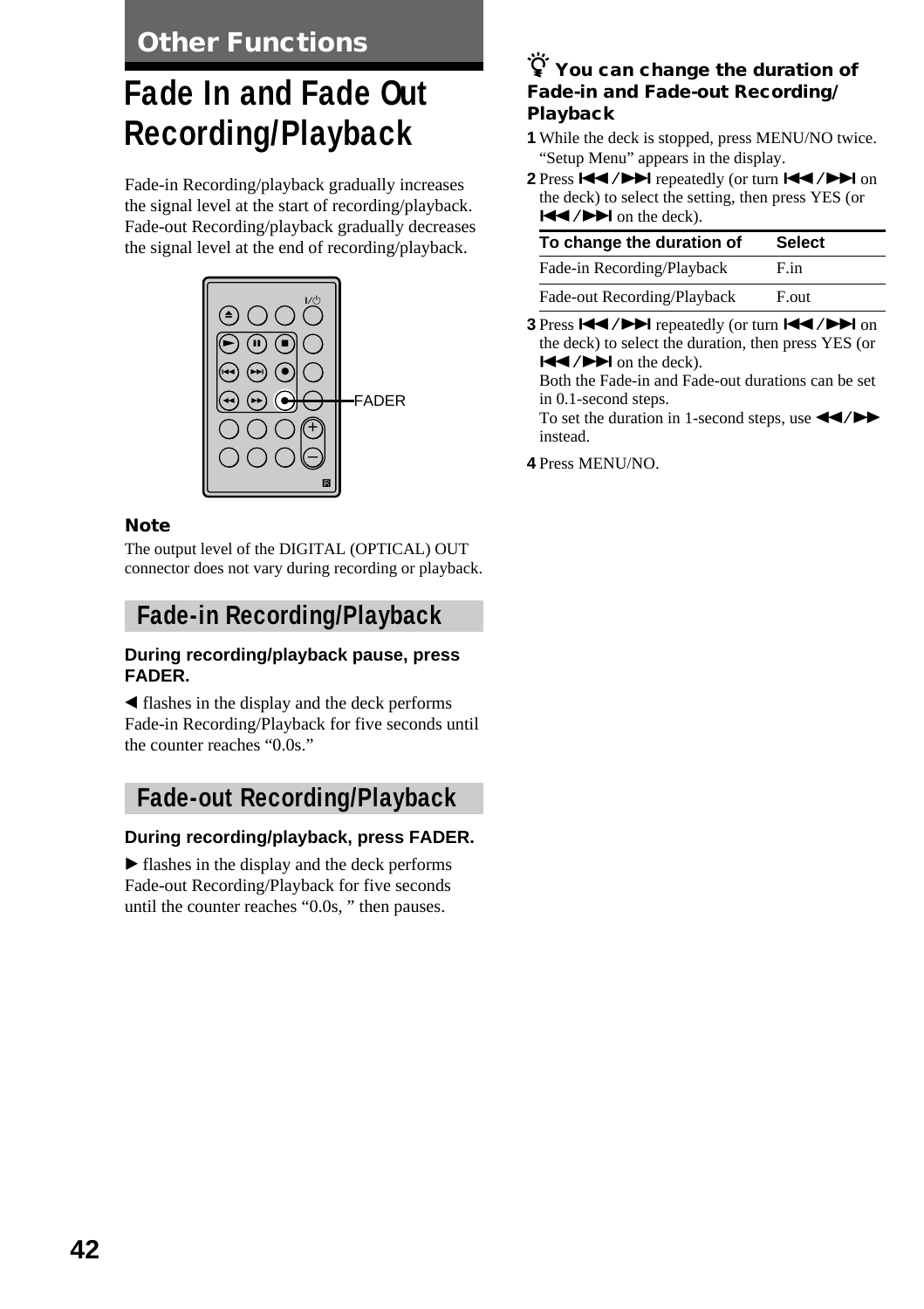**Other Functions**

# **Fade In and Fade Out Recording/Playback**

Fade-in Recording/playback gradually increases the signal level at the start of recording/playback. Fade-out Recording/playback gradually decreases the signal level at the end of recording/playback.



#### **Note**

The output level of the DIGITAL (OPTICAL) OUT connector does not vary during recording or playback.

#### **Fade-in Recording/Playback**

#### **During recording/playback pause, press FADER.**

b flashes in the display and the deck performs Fade-in Recording/Playback for five seconds until the counter reaches "0.0s."

#### **Fade-out Recording/Playback**

#### **During recording/playback, press FADER.**

 $\blacktriangleright$  flashes in the display and the deck performs Fade-out Recording/Playback for five seconds until the counter reaches "0.0s, " then pauses.

#### z **You can change the duration of Fade-in and Fade-out Recording/ Playback**

- **1** While the deck is stopped, press MENU/NO twice. "Setup Menu" appears in the display.
- 2 Press  $\blacktriangleleft \blacktriangleleft \blacktriangleleft \blacktriangleright \blacktriangleright \blacktriangleright \blacktriangleright \blacktriangleright \blacktriangleright \blacktriangleleft$  on the deck) to select the setting, then press YES (or  $H = \sqrt{P}$  on the deck).

| To change the duration of   | <b>Select</b> |
|-----------------------------|---------------|
| Fade-in Recording/Playback  | F.in          |
| Fade-out Recording/Playback | F.out         |

**3** Press  $\left| \left( \left| \left( \bullet \right) \right| \right) \right|$  repeatedly (or turn  $\left| \left( \left| \left( \bullet \right) \right| \right) \right|$  on the deck) to select the duration, then press YES (or  $|\blacktriangleleft$  / $\rightharpoonup$   $\rightharpoonup$  on the deck).

Both the Fade-in and Fade-out durations can be set in 0.1-second steps.

To set the duration in 1-second steps, use  $\blacktriangleleft$ instead.

**4** Press MENU/NO.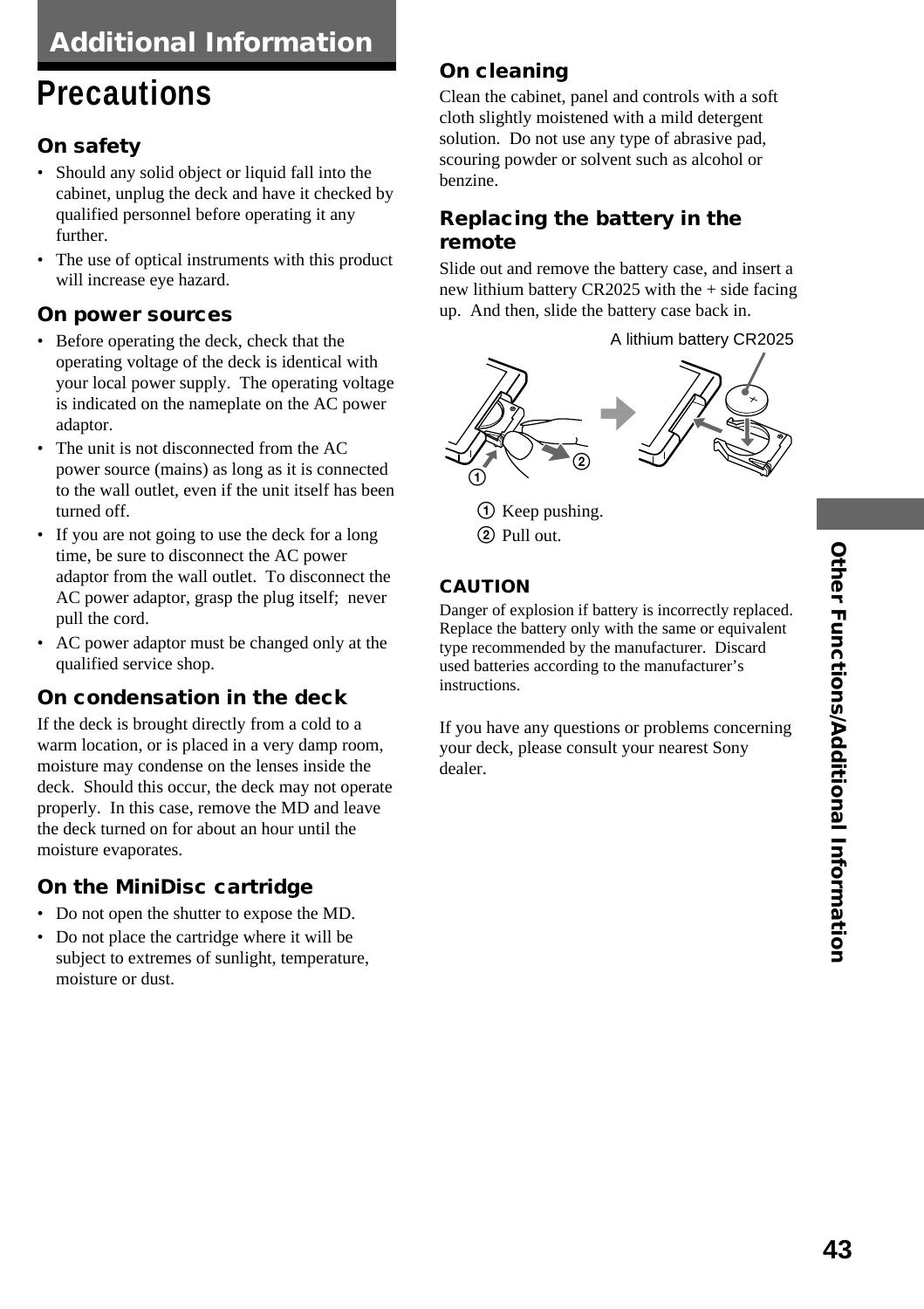# **Precautions**

#### **On safety**

- Should any solid object or liquid fall into the cabinet, unplug the deck and have it checked by qualified personnel before operating it any further.
- The use of optical instruments with this product will increase eye hazard.

#### **On power sources**

- Before operating the deck, check that the operating voltage of the deck is identical with your local power supply. The operating voltage is indicated on the nameplate on the AC power adaptor.
- The unit is not disconnected from the AC power source (mains) as long as it is connected to the wall outlet, even if the unit itself has been turned off.
- If you are not going to use the deck for a long time, be sure to disconnect the AC power adaptor from the wall outlet. To disconnect the AC power adaptor, grasp the plug itself; never pull the cord.
- AC power adaptor must be changed only at the qualified service shop.

#### **On condensation in the deck**

If the deck is brought directly from a cold to a warm location, or is placed in a very damp room, moisture may condense on the lenses inside the deck. Should this occur, the deck may not operate properly. In this case, remove the MD and leave the deck turned on for about an hour until the moisture evaporates.

#### **On the MiniDisc cartridge**

- Do not open the shutter to expose the MD.
- Do not place the cartridge where it will be subject to extremes of sunlight, temperature, moisture or dust.

#### **On cleaning**

Clean the cabinet, panel and controls with a soft cloth slightly moistened with a mild detergent solution. Do not use any type of abrasive pad, scouring powder or solvent such as alcohol or benzine.

#### **Replacing the battery in the remote**

Slide out and remove the battery case, and insert a new lithium battery CR2025 with the + side facing up. And then, slide the battery case back in.

A lithium battery CR2025



1 Keep pushing. 2 Pull out.

#### **CAUTION**

Danger of explosion if battery is incorrectly replaced. Replace the battery only with the same or equivalent type recommended by the manufacturer. Discard used batteries according to the manufacturer's instructions.

If you have any questions or problems concerning your deck, please consult your nearest Sony dealer.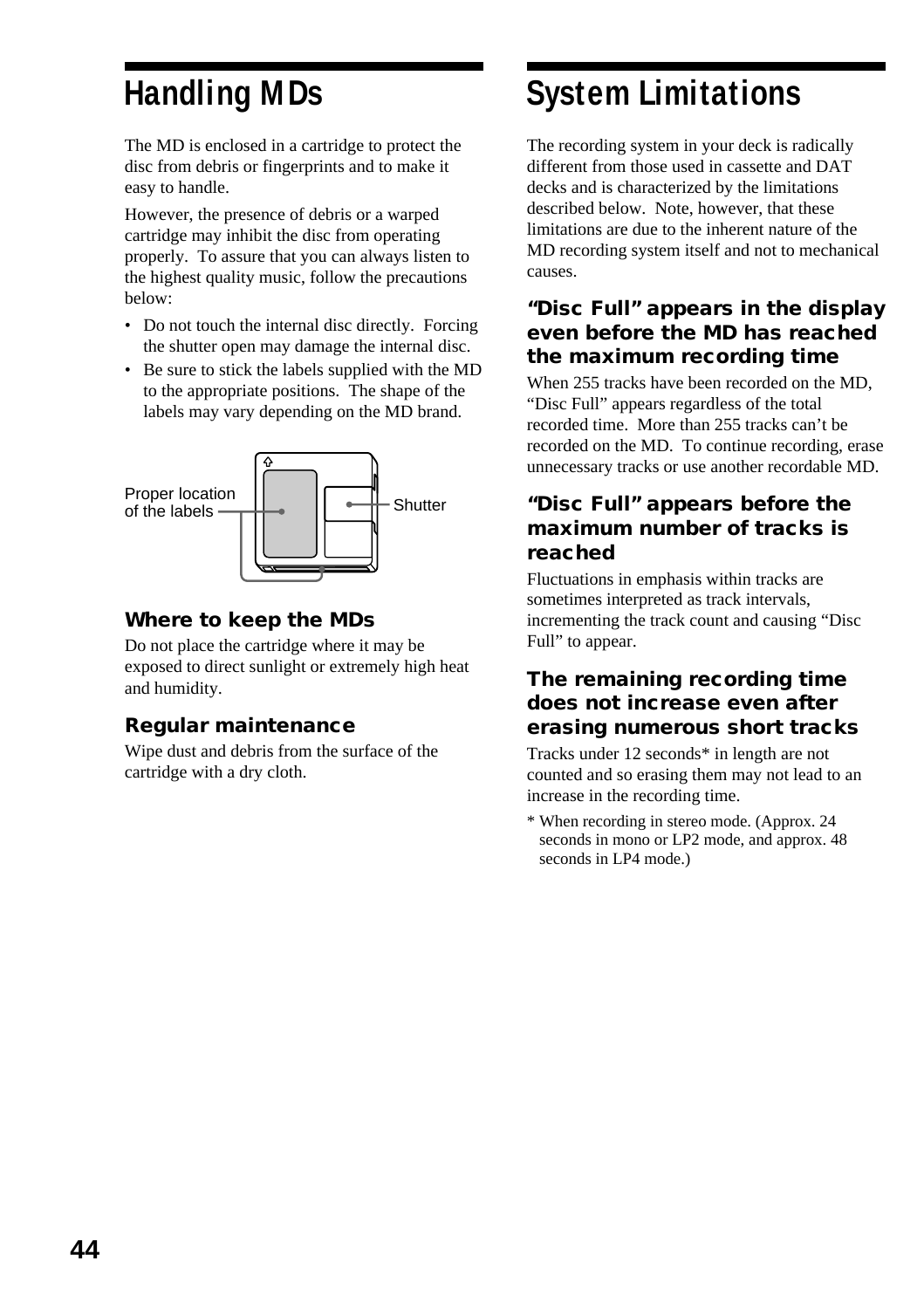# **Handling MDs**

The MD is enclosed in a cartridge to protect the disc from debris or fingerprints and to make it easy to handle.

However, the presence of debris or a warped cartridge may inhibit the disc from operating properly. To assure that you can always listen to the highest quality music, follow the precautions below:

- Do not touch the internal disc directly. Forcing the shutter open may damage the internal disc.
- Be sure to stick the labels supplied with the MD to the appropriate positions. The shape of the labels may vary depending on the MD brand.



#### **Where to keep the MDs**

Do not place the cartridge where it may be exposed to direct sunlight or extremely high heat and humidity.

#### **Regular maintenance**

Wipe dust and debris from the surface of the cartridge with a dry cloth.

# **System Limitations**

The recording system in your deck is radically different from those used in cassette and DAT decks and is characterized by the limitations described below. Note, however, that these limitations are due to the inherent nature of the MD recording system itself and not to mechanical causes.

#### **"Disc Full" appears in the display even before the MD has reached the maximum recording time**

When 255 tracks have been recorded on the MD, "Disc Full" appears regardless of the total recorded time. More than 255 tracks can't be recorded on the MD. To continue recording, erase unnecessary tracks or use another recordable MD.

#### **"Disc Full" appears before the maximum number of tracks is reached**

Fluctuations in emphasis within tracks are sometimes interpreted as track intervals, incrementing the track count and causing "Disc Full" to appear.

#### **The remaining recording time does not increase even after erasing numerous short tracks**

Tracks under 12 seconds\* in length are not counted and so erasing them may not lead to an increase in the recording time.

\* When recording in stereo mode. (Approx. 24 seconds in mono or LP2 mode, and approx. 48 seconds in LP4 mode.)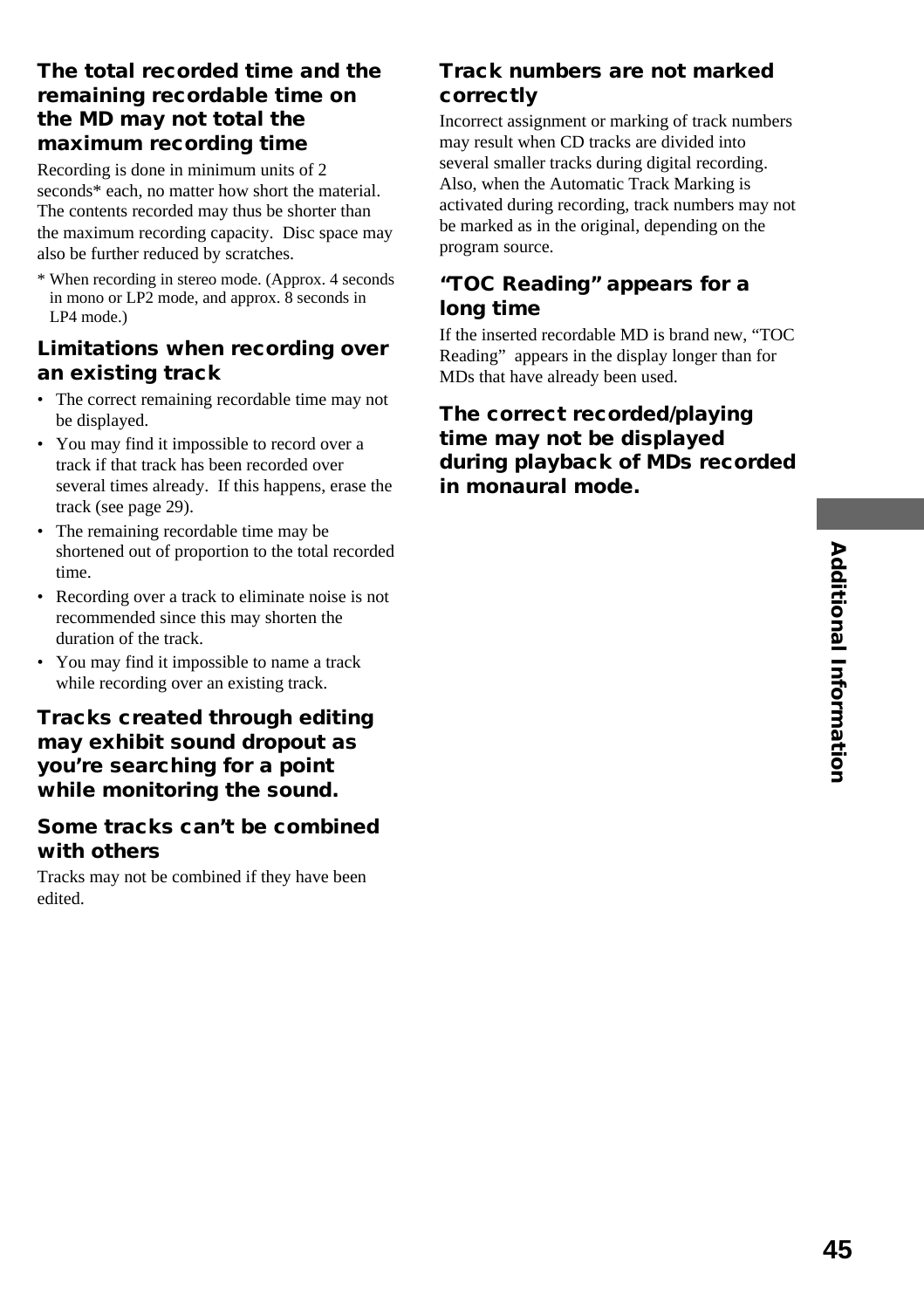#### **The total recorded time and the remaining recordable time on the MD may not total the maximum recording time**

Recording is done in minimum units of 2 seconds\* each, no matter how short the material. The contents recorded may thus be shorter than the maximum recording capacity. Disc space may also be further reduced by scratches.

\* When recording in stereo mode. (Approx. 4 seconds in mono or LP2 mode, and approx. 8 seconds in LP4 mode.)

#### **Limitations when recording over an existing track**

- The correct remaining recordable time may not be displayed.
- You may find it impossible to record over a track if that track has been recorded over several times already. If this happens, erase the track (see page 29).
- The remaining recordable time may be shortened out of proportion to the total recorded time.
- Recording over a track to eliminate noise is not recommended since this may shorten the duration of the track.
- You may find it impossible to name a track while recording over an existing track.

#### **Tracks created through editing may exhibit sound dropout as you're searching for a point while monitoring the sound.**

#### **Some tracks can't be combined with others**

Tracks may not be combined if they have been edited.

#### **Track numbers are not marked correctly**

Incorrect assignment or marking of track numbers may result when CD tracks are divided into several smaller tracks during digital recording. Also, when the Automatic Track Marking is activated during recording, track numbers may not be marked as in the original, depending on the program source.

#### **"TOC Reading" appears for a long time**

If the inserted recordable MD is brand new, "TOC Reading" appears in the display longer than for MDs that have already been used.

#### **The correct recorded/playing time may not be displayed during playback of MDs recorded in monaural mode.**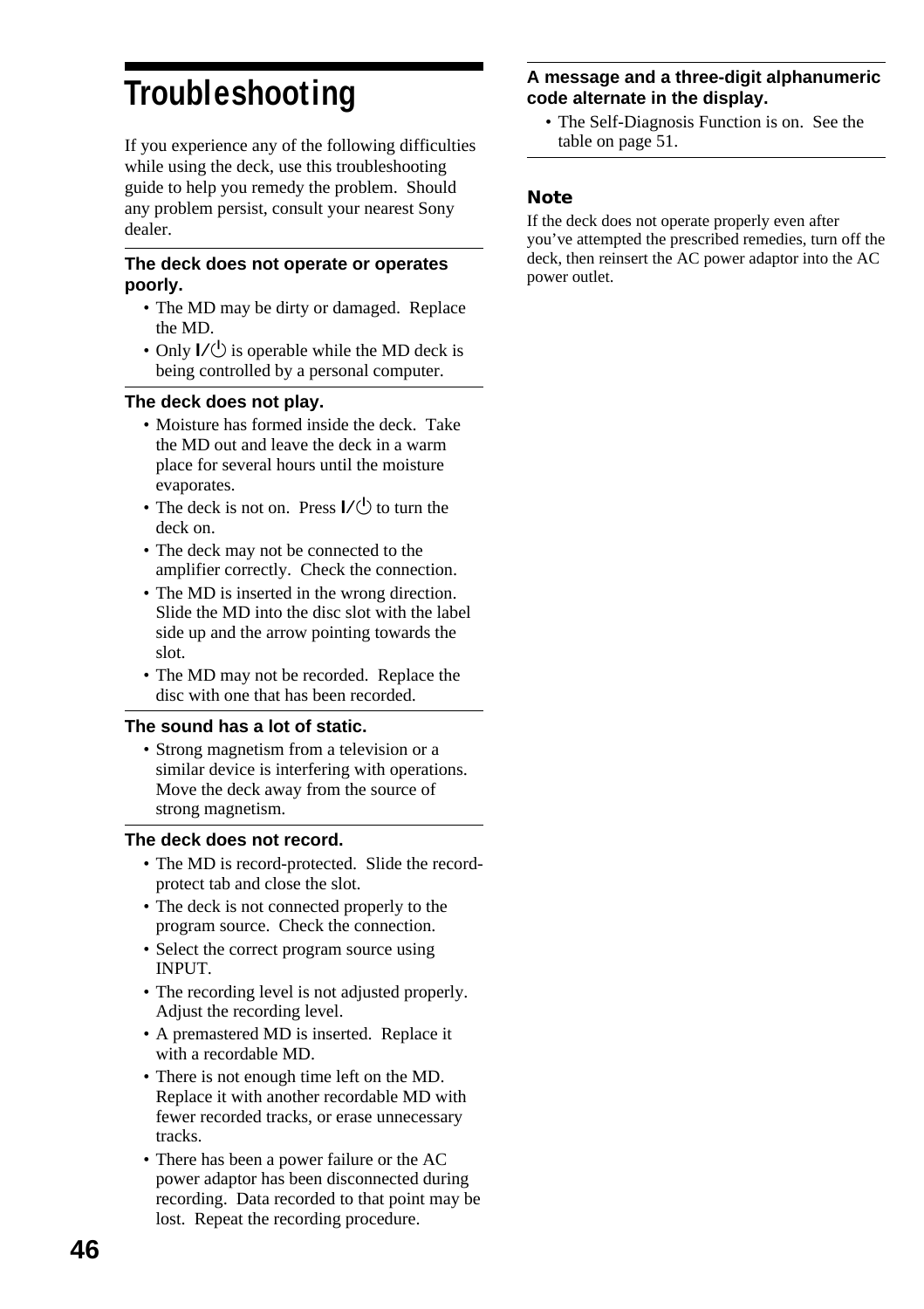# **Troubleshooting**

If you experience any of the following difficulties while using the deck, use this troubleshooting guide to help you remedy the problem. Should any problem persist, consult your nearest Sony dealer.

#### **The deck does not operate or operates poorly.**

- The MD may be dirty or damaged. Replace the MD.
- Only  $\mathsf{I}/\mathsf{U}$  is operable while the MD deck is being controlled by a personal computer.

#### **The deck does not play.**

- Moisture has formed inside the deck. Take the MD out and leave the deck in a warm place for several hours until the moisture evaporates.
- The deck is not on. Press  $I/(1)$  to turn the deck on.
- The deck may not be connected to the amplifier correctly. Check the connection.
- The MD is inserted in the wrong direction. Slide the MD into the disc slot with the label side up and the arrow pointing towards the slot.
- The MD may not be recorded. Replace the disc with one that has been recorded.

#### **The sound has a lot of static.**

• Strong magnetism from a television or a similar device is interfering with operations. Move the deck away from the source of strong magnetism.

#### **The deck does not record.**

- The MD is record-protected. Slide the recordprotect tab and close the slot.
- The deck is not connected properly to the program source. Check the connection.
- Select the correct program source using INPUT.
- The recording level is not adjusted properly. Adjust the recording level.
- A premastered MD is inserted. Replace it with a recordable MD.
- There is not enough time left on the MD. Replace it with another recordable MD with fewer recorded tracks, or erase unnecessary tracks.
- There has been a power failure or the AC power adaptor has been disconnected during recording. Data recorded to that point may be lost. Repeat the recording procedure.

#### **A message and a three-digit alphanumeric code alternate in the display.**

• The Self-Diagnosis Function is on. See the table on page 51.

#### **Note**

If the deck does not operate properly even after you've attempted the prescribed remedies, turn off the deck, then reinsert the AC power adaptor into the AC power outlet.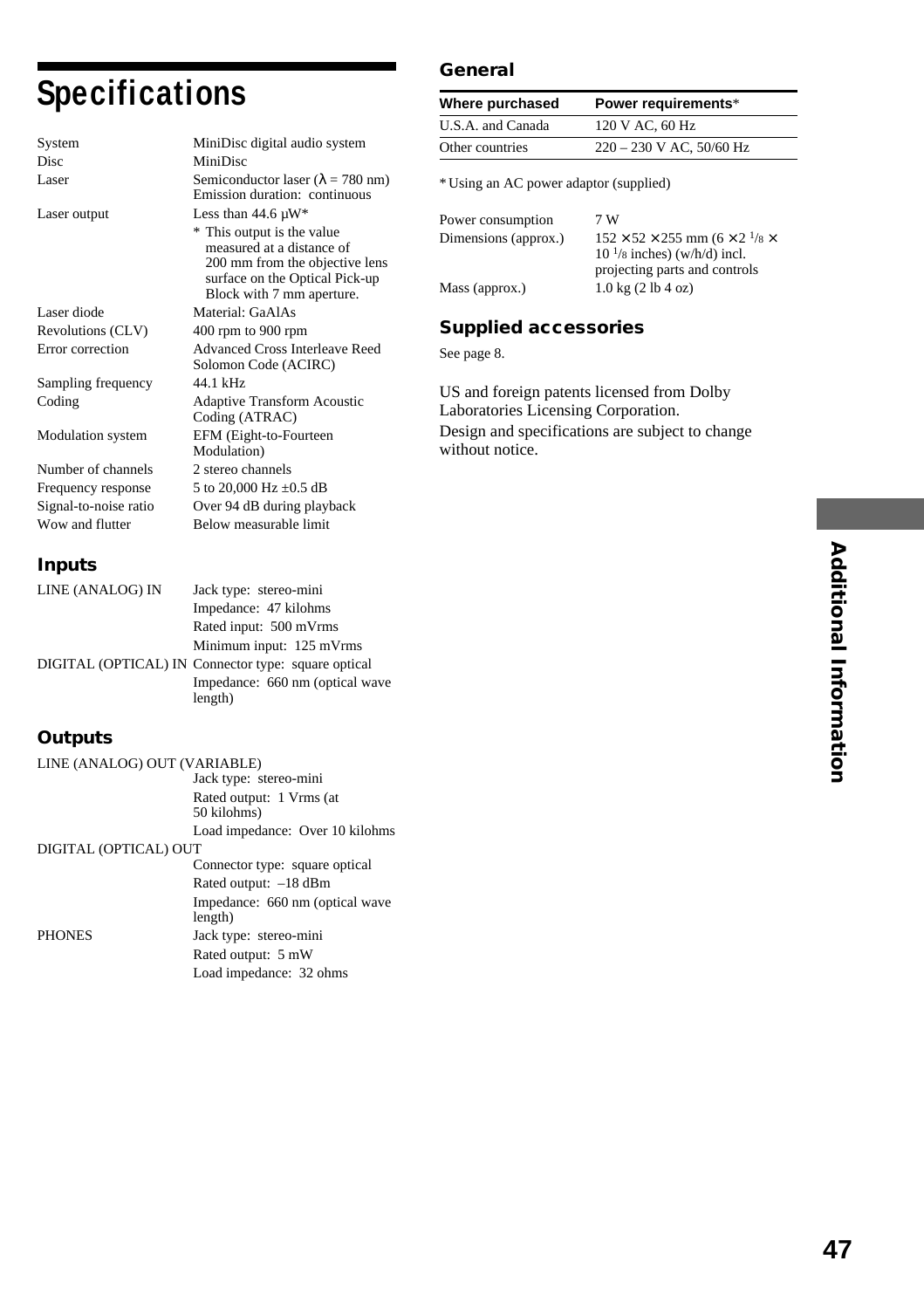# **Specifications**

| System                | MiniDisc digital audio system                                                                                                                            |
|-----------------------|----------------------------------------------------------------------------------------------------------------------------------------------------------|
| Disc                  | MiniDisc                                                                                                                                                 |
| Laser                 | Semiconductor laser ( $\lambda = 780$ nm)<br>Emission duration: continuous                                                                               |
| Laser output          | Less than $44.6 \mu W^*$                                                                                                                                 |
|                       | * This output is the value<br>measured at a distance of<br>200 mm from the objective lens<br>surface on the Optical Pick-up<br>Block with 7 mm aperture. |
| Laser diode           | Material: GaAlAs                                                                                                                                         |
| Revolutions (CLV)     | 400 rpm to 900 rpm                                                                                                                                       |
| Error correction      | Advanced Cross Interleave Reed<br>Solomon Code (ACIRC)                                                                                                   |
| Sampling frequency    | 44 1 kHz                                                                                                                                                 |
| Coding                | <b>Adaptive Transform Acoustic</b><br>Coding (ATRAC)                                                                                                     |
| Modulation system     | EFM (Eight-to-Fourteen<br>Modulation)                                                                                                                    |
| Number of channels    | 2 stereo channels                                                                                                                                        |
| Frequency response    | 5 to 20,000 Hz ±0.5 dB                                                                                                                                   |
| Signal-to-noise ratio | Over 94 dB during playback                                                                                                                               |
| Wow and flutter       | Below measurable limit                                                                                                                                   |

#### **Inputs**

| LINE (ANALOG) IN | Jack type: stereo-mini                              |
|------------------|-----------------------------------------------------|
|                  | Impedance: 47 kilohms                               |
|                  | Rated input: 500 mVrms                              |
|                  | Minimum input: 125 mVrms                            |
|                  | DIGITAL (OPTICAL) IN Connector type: square optical |
|                  | Impedance: 660 nm (optical wave                     |

length)

#### **Outputs**

| LINE (ANALOG) OUT (VARIABLE) |                                            |
|------------------------------|--------------------------------------------|
|                              | Jack type: stereo-mini                     |
|                              | Rated output: 1 Vrms (at<br>50 kilohms)    |
|                              | Load impedance: Over 10 kilohms            |
| DIGITAL (OPTICAL) OUT        |                                            |
|                              | Connector type: square optical             |
|                              | Rated output: -18 dBm                      |
|                              | Impedance: 660 nm (optical wave<br>length) |
| <b>PHONES</b>                | Jack type: stereo-mini                     |
|                              | Rated output: 5 mW                         |
|                              | Load impedance: 32 ohms                    |

#### **General**

| Where purchased   | Power requirements*        |
|-------------------|----------------------------|
| U.S.A. and Canada | 120 V AC, 60 Hz            |
| Other countries   | $220 - 230$ V AC, 50/60 Hz |

\* Using an AC power adaptor (supplied)

| Power consumption    | 7 W                                                |
|----------------------|----------------------------------------------------|
| Dimensions (approx.) | $152 \times 52 \times 255$ mm $(6 \times 2)^{1/8}$ |
|                      | $101/8$ inches) (w/h/d) incl.                      |
|                      | projecting parts and controls                      |
| Mass (approx.)       | $1.0 \text{ kg} (2 \text{ lb } 4 \text{ oz})$      |
|                      |                                                    |

#### **Supplied accessories**

See page 8.

US and foreign patents licensed from Dolby Laboratories Licensing Corporation. Design and specifications are subject to change without notice.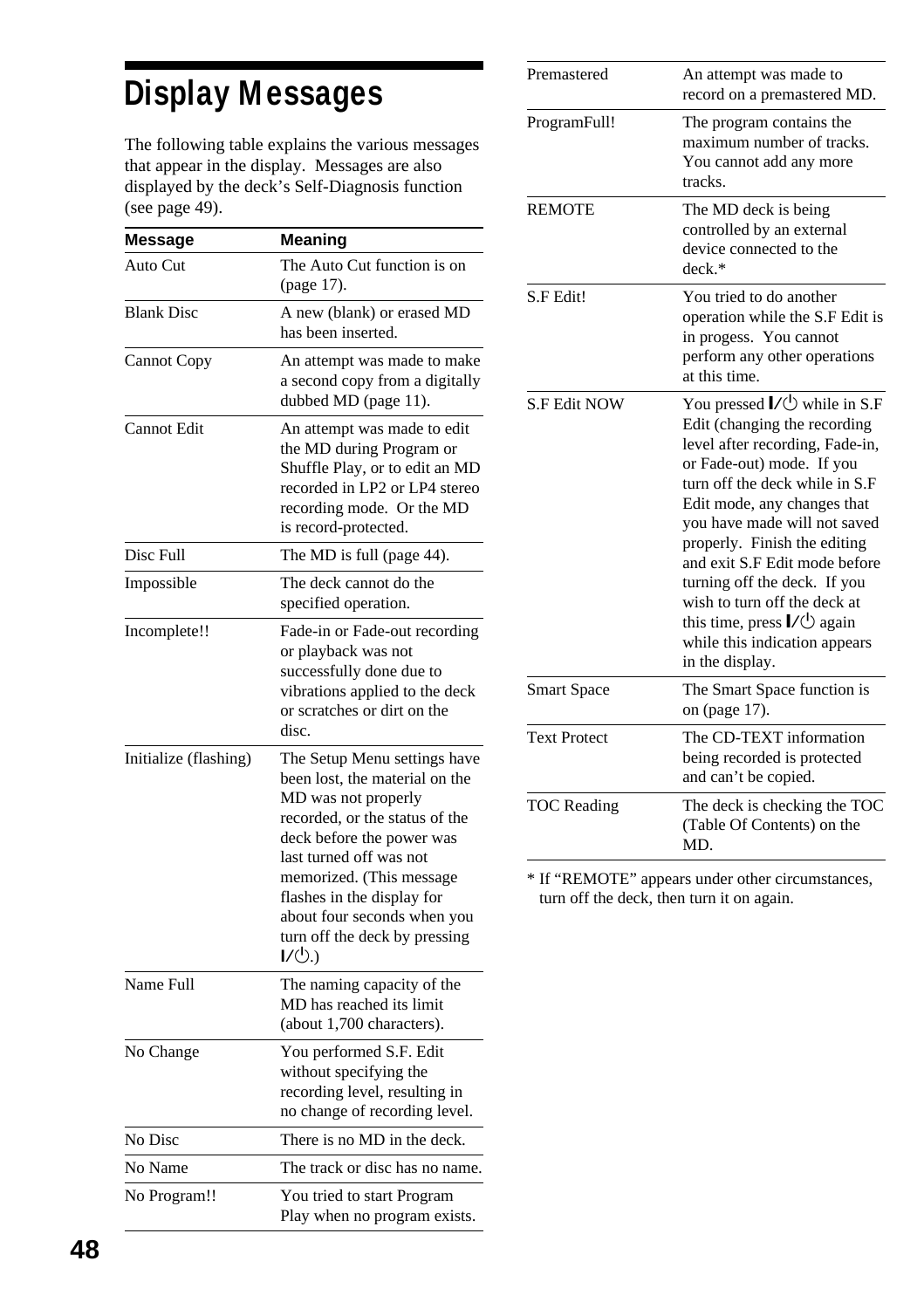# **Display Messages**

The following table explains the various messages that appear in the display. Messages are also displayed by the deck's Self-Diagnosis function (see page 49).

| Message               | Meaning                                                                                                                                                                                                                                                                                                          |
|-----------------------|------------------------------------------------------------------------------------------------------------------------------------------------------------------------------------------------------------------------------------------------------------------------------------------------------------------|
| Auto Cut              | The Auto Cut function is on<br>(page 17).                                                                                                                                                                                                                                                                        |
| <b>Blank Disc</b>     | A new (blank) or erased MD<br>has been inserted.                                                                                                                                                                                                                                                                 |
| <b>Cannot Copy</b>    | An attempt was made to make<br>a second copy from a digitally<br>dubbed MD (page 11).                                                                                                                                                                                                                            |
| Cannot Edit           | An attempt was made to edit<br>the MD during Program or<br>Shuffle Play, or to edit an MD<br>recorded in LP2 or LP4 stereo<br>recording mode. Or the MD<br>is record-protected.                                                                                                                                  |
| Disc Full             | The MD is full (page 44).                                                                                                                                                                                                                                                                                        |
| Impossible            | The deck cannot do the<br>specified operation.                                                                                                                                                                                                                                                                   |
| Incomplete!!          | Fade-in or Fade-out recording<br>or playback was not<br>successfully done due to<br>vibrations applied to the deck<br>or scratches or dirt on the<br>disc.                                                                                                                                                       |
| Initialize (flashing) | The Setup Menu settings have<br>been lost, the material on the<br>MD was not properly<br>recorded, or the status of the<br>deck before the power was<br>last turned off was not<br>memorized. (This message<br>flashes in the display for<br>about four seconds when you<br>turn off the deck by pressing<br>I/J |
| Name Full             | The naming capacity of the<br>MD has reached its limit<br>(about 1,700 characters).                                                                                                                                                                                                                              |
| No Change             | You performed S.F. Edit<br>without specifying the<br>recording level, resulting in<br>no change of recording level.                                                                                                                                                                                              |
| No Disc               | There is no MD in the deck.                                                                                                                                                                                                                                                                                      |
| No Name               | The track or disc has no name.                                                                                                                                                                                                                                                                                   |
| No Program!!          | You tried to start Program<br>Play when no program exists.                                                                                                                                                                                                                                                       |

| Premastered         | An attempt was made to                                                                                                                                                                                                                                                                                                                                                                                                                                                                                           |
|---------------------|------------------------------------------------------------------------------------------------------------------------------------------------------------------------------------------------------------------------------------------------------------------------------------------------------------------------------------------------------------------------------------------------------------------------------------------------------------------------------------------------------------------|
|                     | record on a premastered MD.                                                                                                                                                                                                                                                                                                                                                                                                                                                                                      |
| ProgramFull!        | The program contains the<br>maximum number of tracks.<br>You cannot add any more<br>tracks.                                                                                                                                                                                                                                                                                                                                                                                                                      |
| <b>REMOTE</b>       | The MD deck is being<br>controlled by an external<br>device connected to the<br>$deck.*$                                                                                                                                                                                                                                                                                                                                                                                                                         |
| S.F Edit!           | You tried to do another<br>operation while the S.F Edit is<br>in progess. You cannot<br>perform any other operations<br>at this time.                                                                                                                                                                                                                                                                                                                                                                            |
| <b>S.F Edit NOW</b> | You pressed $\mathsf{I}\mathsf{Z}\mathsf{U}$ while in S.F<br>Edit (changing the recording<br>level after recording, Fade-in,<br>or Fade-out) mode. If you<br>turn off the deck while in S.F<br>Edit mode, any changes that<br>you have made will not saved<br>properly. Finish the editing<br>and exit S.F Edit mode before<br>turning off the deck. If you<br>wish to turn off the deck at<br>this time, press $\mathsf{I}\mathsf{V}\circlearrowleft$ again<br>while this indication appears<br>in the display. |
| <b>Smart Space</b>  | The Smart Space function is<br>on (page 17).                                                                                                                                                                                                                                                                                                                                                                                                                                                                     |
| <b>Text Protect</b> | The CD-TEXT information<br>being recorded is protected<br>and can't be copied.                                                                                                                                                                                                                                                                                                                                                                                                                                   |
| <b>TOC</b> Reading  | The deck is checking the TOC<br>(Table Of Contents) on the<br>MD.                                                                                                                                                                                                                                                                                                                                                                                                                                                |

\* If "REMOTE" appears under other circumstances, turn off the deck, then turn it on again.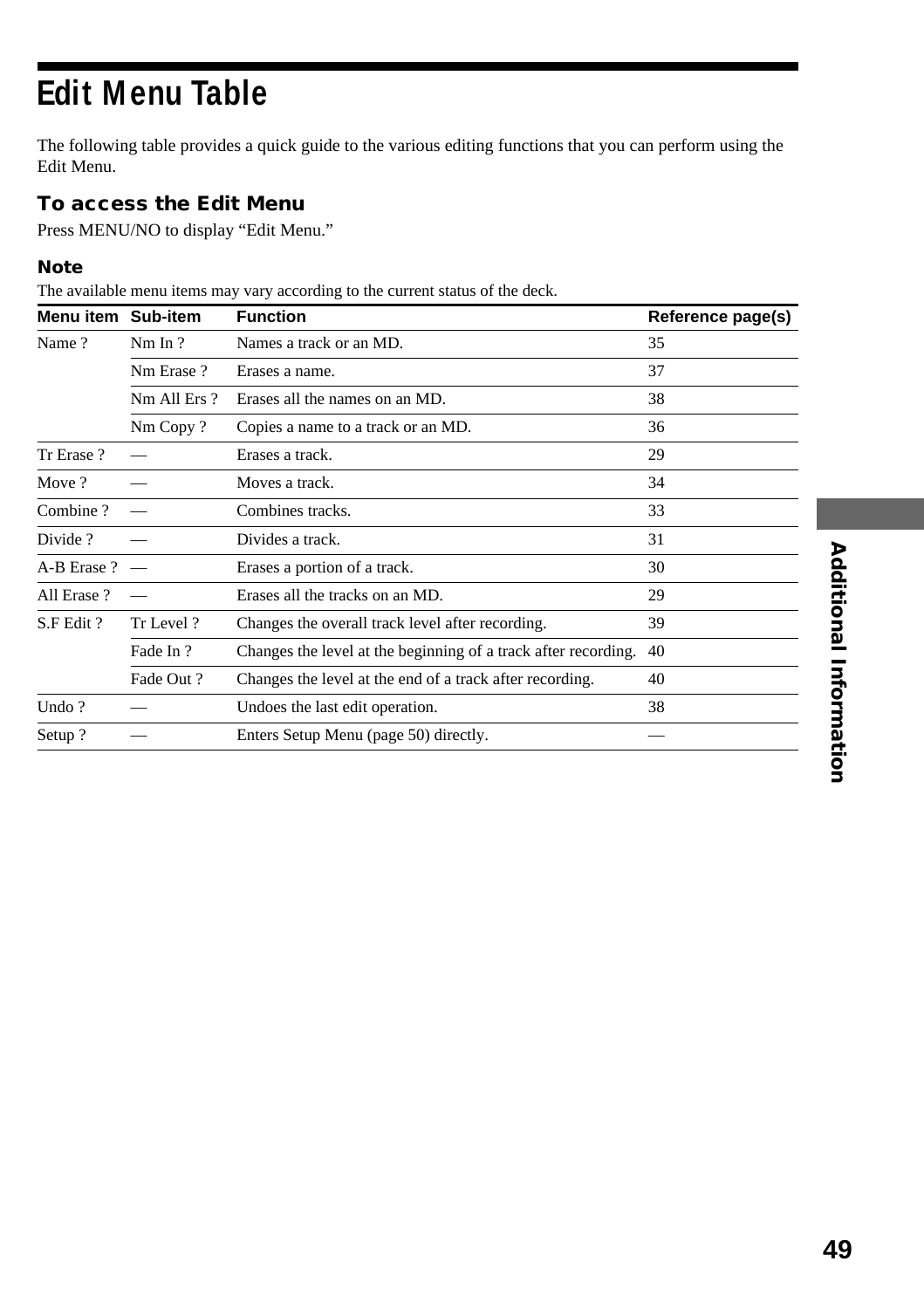# **Edit Menu Table**

The following table provides a quick guide to the various editing functions that you can perform using the Edit Menu.

#### **To access the Edit Menu**

Press MENU/NO to display "Edit Menu."

#### **Note**

The available menu items may vary according to the current status of the deck.

| Menu item         | Sub-item    | <b>Function</b>                                                   | Reference page(s) |
|-------------------|-------------|-------------------------------------------------------------------|-------------------|
| Name?             | NmIn?       | Names a track or an MD.                                           | 35                |
|                   | Nm Erase?   | Erases a name.                                                    | 37                |
|                   | Nm All Ers? | Erases all the names on an MD.                                    | 38                |
|                   | Nm Copy?    | Copies a name to a track or an MD.                                | 36                |
| Tr Erase ?        |             | Erases a track.                                                   | 29                |
| Move?             |             | Moves a track.                                                    | 34                |
| Combine?          |             | Combines tracks.                                                  | 33                |
| Divide ?          |             | Divides a track.                                                  | 31                |
| $A-B$ Erase ? $-$ |             | Erases a portion of a track.                                      | 30                |
| All Erase?        |             | Erases all the tracks on an MD.                                   | 29                |
| S.F Edit?         | Tr Level ?  | Changes the overall track level after recording.                  | 39                |
|                   | Fade In ?   | Changes the level at the beginning of a track after recording. 40 |                   |
|                   | Fade Out?   | Changes the level at the end of a track after recording.          | 40                |
| Undo?             |             | Undoes the last edit operation.                                   | 38                |
| Setup?            |             | Enters Setup Menu (page 50) directly.                             |                   |
|                   |             |                                                                   |                   |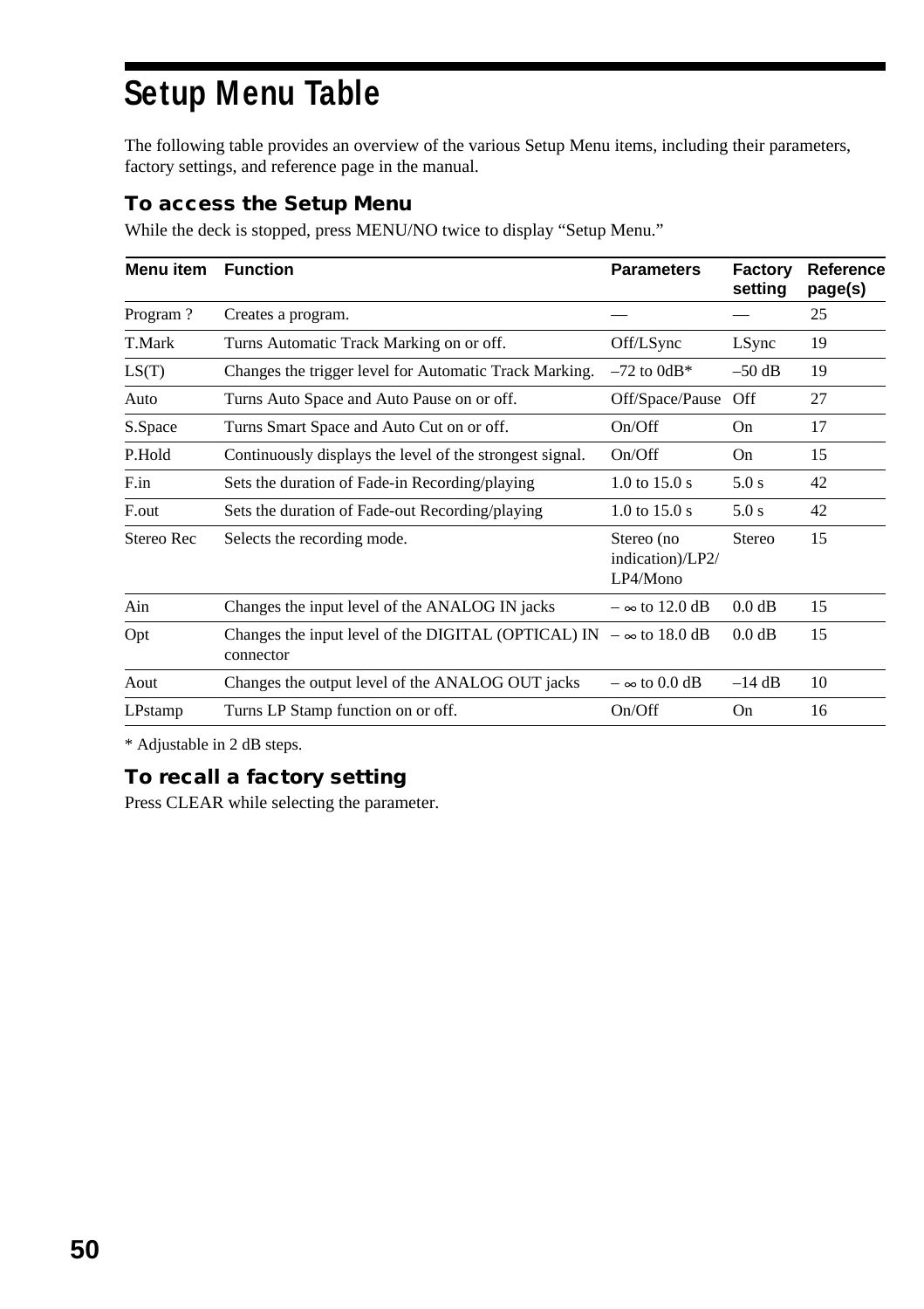# **Setup Menu Table**

The following table provides an overview of the various Setup Menu items, including their parameters, factory settings, and reference page in the manual.

#### **To access the Setup Menu**

While the deck is stopped, press MENU/NO twice to display "Setup Menu."

| Menu item  | <b>Function</b>                                                  | <b>Parameters</b>                          | Factory<br>setting | Reference<br>page(s) |
|------------|------------------------------------------------------------------|--------------------------------------------|--------------------|----------------------|
| Program?   | Creates a program.                                               |                                            |                    | 25                   |
| T.Mark     | Turns Automatic Track Marking on or off.                         | Off/LSync                                  | LSync              | 19                   |
| LS(T)      | Changes the trigger level for Automatic Track Marking.           | $-72$ to $0dB*$                            | $-50$ dB           | 19                   |
| Auto       | Turns Auto Space and Auto Pause on or off.                       | Off/Space/Pause                            | Off                | 27                   |
| S.Space    | Turns Smart Space and Auto Cut on or off.                        | On/Off                                     | On                 | 17                   |
| P.Hold     | Continuously displays the level of the strongest signal.         | On/Off                                     | On                 | 15                   |
| F.in       | Sets the duration of Fade-in Recording/playing                   | $1.0$ to $15.0$ s                          | 5.0 s              | 42                   |
| F.out      | Sets the duration of Fade-out Recording/playing                  | $1.0 \text{ to } 15.0 \text{ s}$           | 5.0 s              | 42                   |
| Stereo Rec | Selects the recording mode.                                      | Stereo (no<br>indication)/LP2/<br>LP4/Mono | Stereo             | 15                   |
| Ain        | Changes the input level of the ANALOG IN jacks                   | $-\infty$ to 12.0 dB                       | $0.0$ dB           | 15                   |
| Opt        | Changes the input level of the DIGITAL (OPTICAL) IN<br>connector | $-\infty$ to 18.0 dB                       | 0.0 dB             | 15                   |
| Aout       | Changes the output level of the ANALOG OUT jacks                 | $-\infty$ to 0.0 dB                        | $-14$ dB           | 10                   |
| LPstamp    | Turns LP Stamp function on or off.                               | On/Off                                     | On                 | 16                   |

\* Adjustable in 2 dB steps.

#### **To recall a factory setting**

Press CLEAR while selecting the parameter.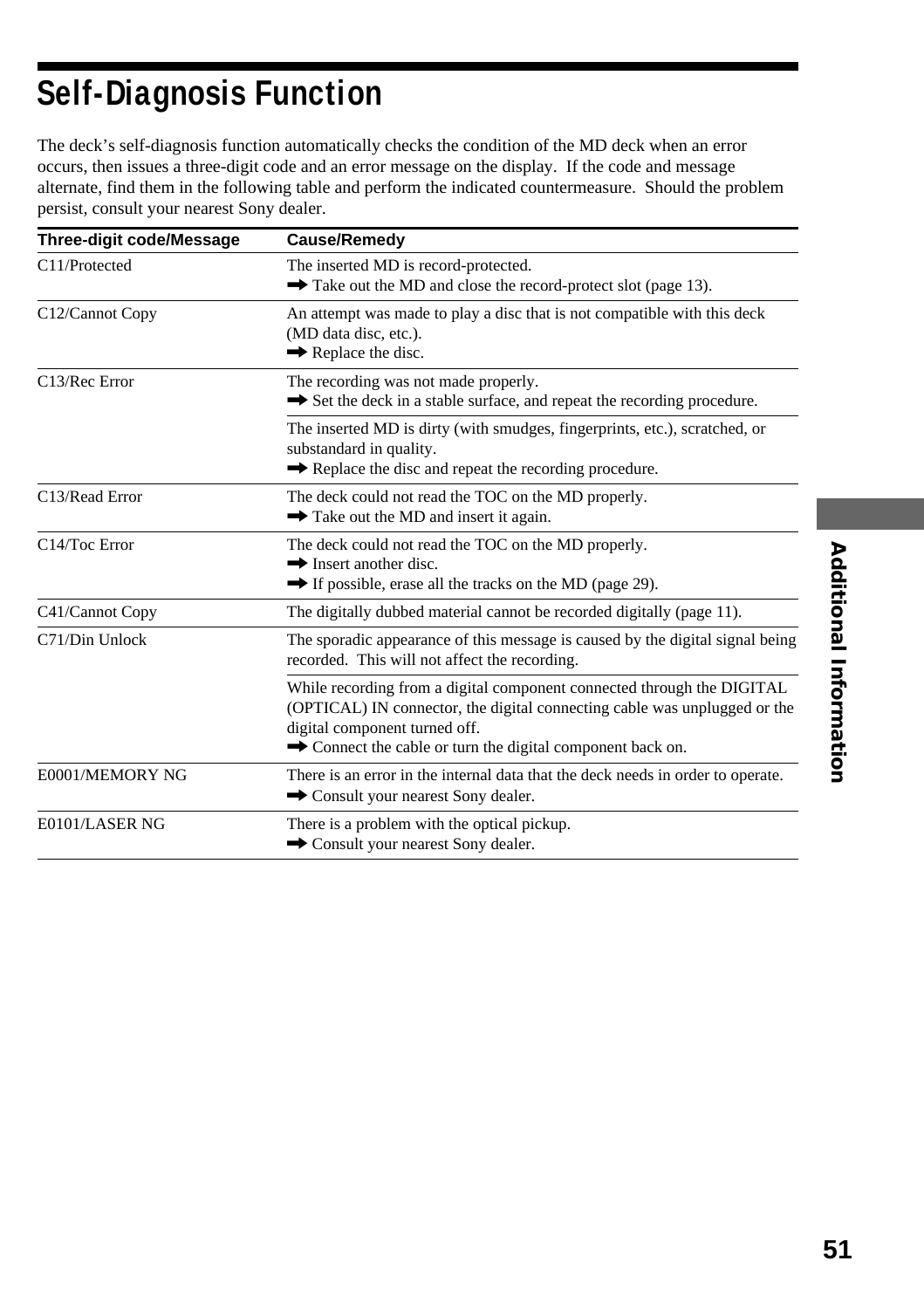# **Self-Diagnosis Function**

The deck's self-diagnosis function automatically checks the condition of the MD deck when an error occurs, then issues a three-digit code and an error message on the display. If the code and message alternate, find them in the following table and perform the indicated countermeasure. Should the problem persist, consult your nearest Sony dealer.

| Three-digit code/Message | Cause/Remedy                                                                                                                                                                                                                                       |
|--------------------------|----------------------------------------------------------------------------------------------------------------------------------------------------------------------------------------------------------------------------------------------------|
| C11/Protected            | The inserted MD is record-protected.<br>$\rightarrow$ Take out the MD and close the record-protect slot (page 13).                                                                                                                                 |
| C12/Cannot Copy          | An attempt was made to play a disc that is not compatible with this deck<br>(MD data disc, etc.).<br>$\rightarrow$ Replace the disc.                                                                                                               |
| C13/Rec Error            | The recording was not made properly.<br>Set the deck in a stable surface, and repeat the recording procedure.                                                                                                                                      |
|                          | The inserted MD is dirty (with smudges, fingerprints, etc.), scratched, or<br>substandard in quality.<br>Replace the disc and repeat the recording procedure.                                                                                      |
| C13/Read Error           | The deck could not read the TOC on the MD properly.<br>Take out the MD and insert it again.                                                                                                                                                        |
| C14/Toc Error            | The deck could not read the TOC on the MD properly.<br>$\rightarrow$ Insert another disc.<br>• If possible, erase all the tracks on the MD (page 29).                                                                                              |
| C41/Cannot Copy          | The digitally dubbed material cannot be recorded digitally (page 11).                                                                                                                                                                              |
| C71/Din Unlock           | The sporadic appearance of this message is caused by the digital signal being<br>recorded. This will not affect the recording.                                                                                                                     |
|                          | While recording from a digital component connected through the DIGITAL<br>(OPTICAL) IN connector, the digital connecting cable was unplugged or the<br>digital component turned off.<br>• Connect the cable or turn the digital component back on. |
| E0001/MEMORY NG          | There is an error in the internal data that the deck needs in order to operate.<br>Consult your nearest Sony dealer.                                                                                                                               |
| E0101/LASER NG           | There is a problem with the optical pickup.<br>Consult your nearest Sony dealer.                                                                                                                                                                   |